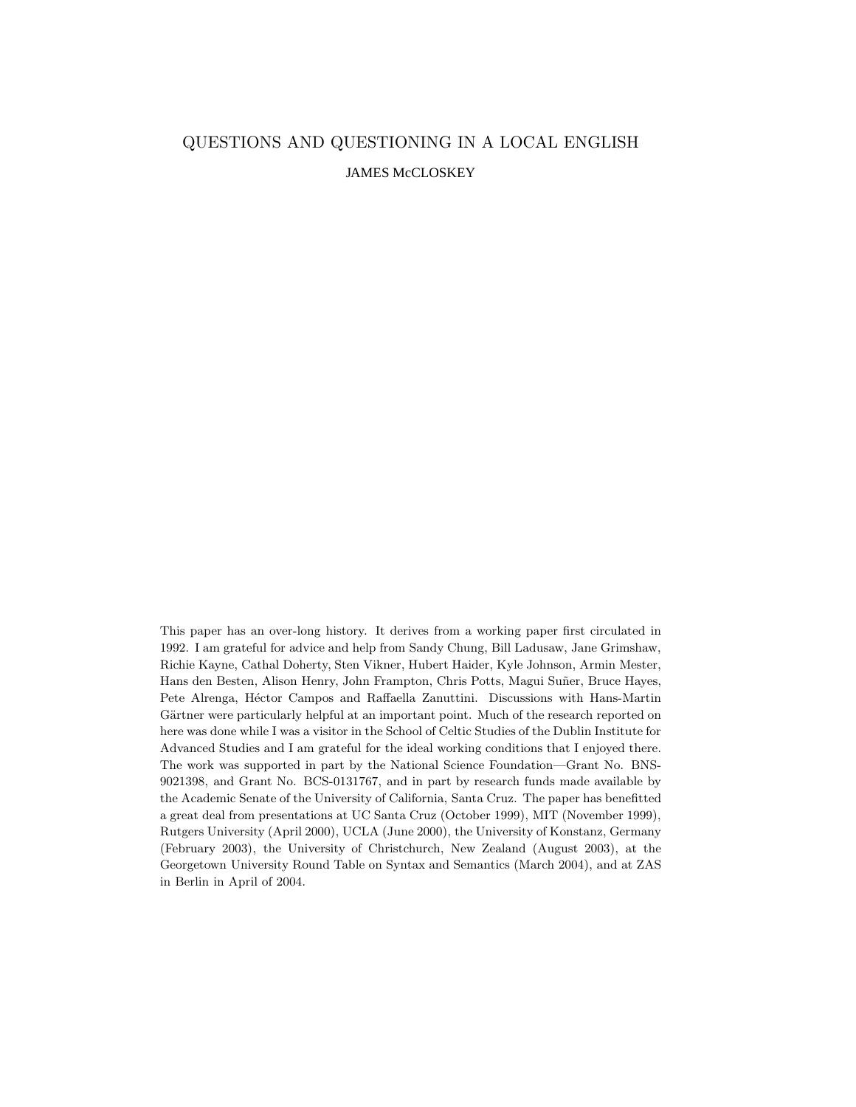# QUESTIONS AND QUESTIONING IN A LOCAL ENGLISH JAMES McCLOSKEY

This paper has an over-long history. It derives from a working paper first circulated in 1992. I am grateful for advice and help from Sandy Chung, Bill Ladusaw, Jane Grimshaw, Richie Kayne, Cathal Doherty, Sten Vikner, Hubert Haider, Kyle Johnson, Armin Mester, Hans den Besten, Alison Henry, John Frampton, Chris Potts, Magui Suñer, Bruce Hayes, Pete Alrenga, Héctor Campos and Raffaella Zanuttini. Discussions with Hans-Martin Gärtner were particularly helpful at an important point. Much of the research reported on here was done while I was a visitor in the School of Celtic Studies of the Dublin Institute for Advanced Studies and I am grateful for the ideal working conditions that I enjoyed there. The work was supported in part by the National Science Foundation—Grant No. BNS-9021398, and Grant No. BCS-0131767, and in part by research funds made available by the Academic Senate of the University of California, Santa Cruz. The paper has benefitted a great deal from presentations at UC Santa Cruz (October 1999), MIT (November 1999), Rutgers University (April 2000), UCLA (June 2000), the University of Konstanz, Germany (February 2003), the University of Christchurch, New Zealand (August 2003), at the Georgetown University Round Table on Syntax and Semantics (March 2004), and at ZAS in Berlin in April of 2004.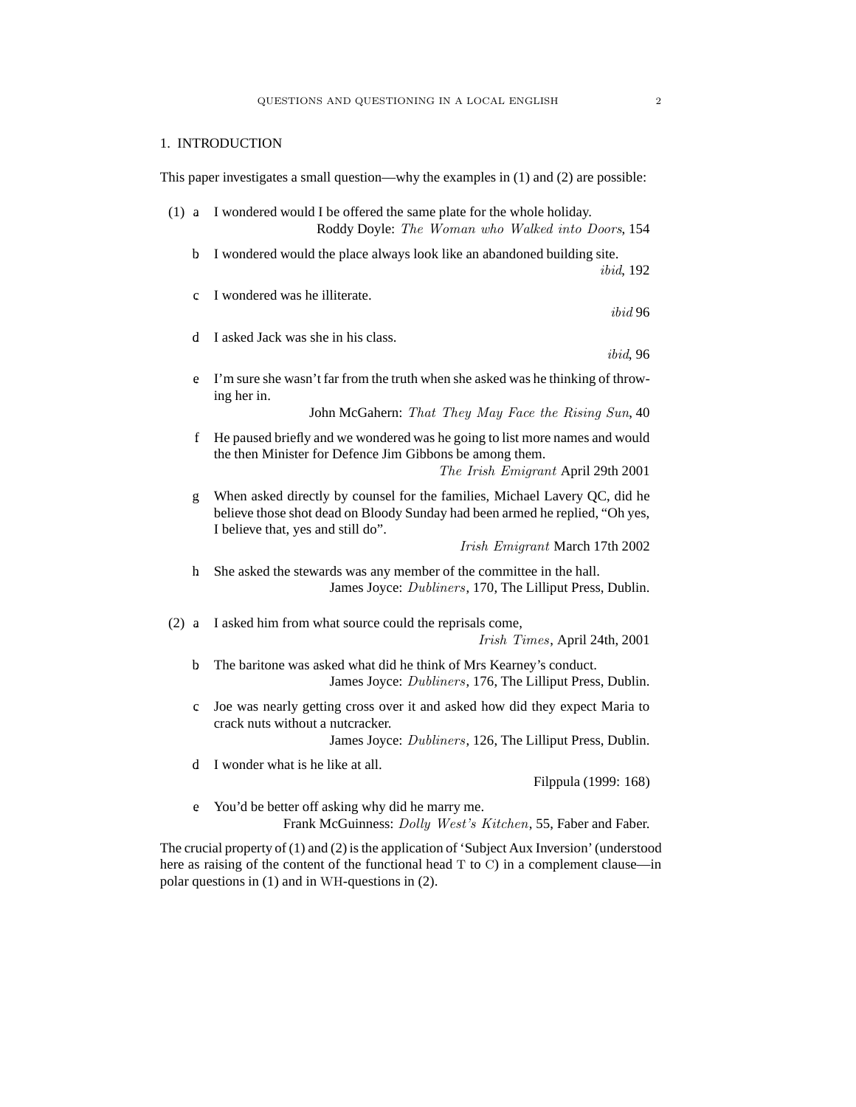## 1. INTRODUCTION

This paper investigates a small question—why the examples in (1) and (2) are possible:

| $(1)$ a     | I wondered would I be offered the same plate for the whole holiday.<br>Roddy Doyle: The Woman who Walked into Doors, 154                                                                                                           |  |
|-------------|------------------------------------------------------------------------------------------------------------------------------------------------------------------------------------------------------------------------------------|--|
| b           | I wondered would the place always look like an abandoned building site.<br><i>ibid</i> , 192                                                                                                                                       |  |
| $\mathbf c$ | I wondered was he illiterate.<br>$ibid$ 96                                                                                                                                                                                         |  |
| d           | I asked Jack was she in his class.<br>$ibid$ , 96                                                                                                                                                                                  |  |
| e           | I'm sure she wasn't far from the truth when she asked was he thinking of throw-<br>ing her in.<br>John McGahern: That They May Face the Rising Sun, 40                                                                             |  |
| f           | He paused briefly and we wondered was he going to list more names and would<br>the then Minister for Defence Jim Gibbons be among them.<br>The Irish Emigrant April 29th 2001                                                      |  |
| g           | When asked directly by counsel for the families, Michael Lavery QC, did he<br>believe those shot dead on Bloody Sunday had been armed he replied, "Oh yes,<br>I believe that, yes and still do".<br>Irish Emigrant March 17th 2002 |  |
| h           | She asked the stewards was any member of the committee in the hall.<br>James Joyce: Dubliners, 170, The Lilliput Press, Dublin.                                                                                                    |  |
| (2)<br>a    | I asked him from what source could the reprisals come,<br>Irish Times, April 24th, 2001                                                                                                                                            |  |
| b           | The baritone was asked what did he think of Mrs Kearney's conduct.<br>James Joyce: Dubliners, 176, The Lilliput Press, Dublin.                                                                                                     |  |
| $\mathbf c$ | Joe was nearly getting cross over it and asked how did they expect Maria to<br>crack nuts without a nutcracker.<br>James Joyce: Dubliners, 126, The Lilliput Press, Dublin.                                                        |  |
| d           | I wonder what is he like at all.<br>Filppula (1999: 168)                                                                                                                                                                           |  |
|             |                                                                                                                                                                                                                                    |  |

e. You'd be better off asking why did he marry me. Frank McGuinness: Dolly West's Kitchen, 55, Faber and Faber.

The crucial property of (1) and (2) is the application of 'Subject Aux Inversion' (understood here as raising of the content of the functional head T to C) in a complement clause—in polar questions in (1) and in WH-questions in (2).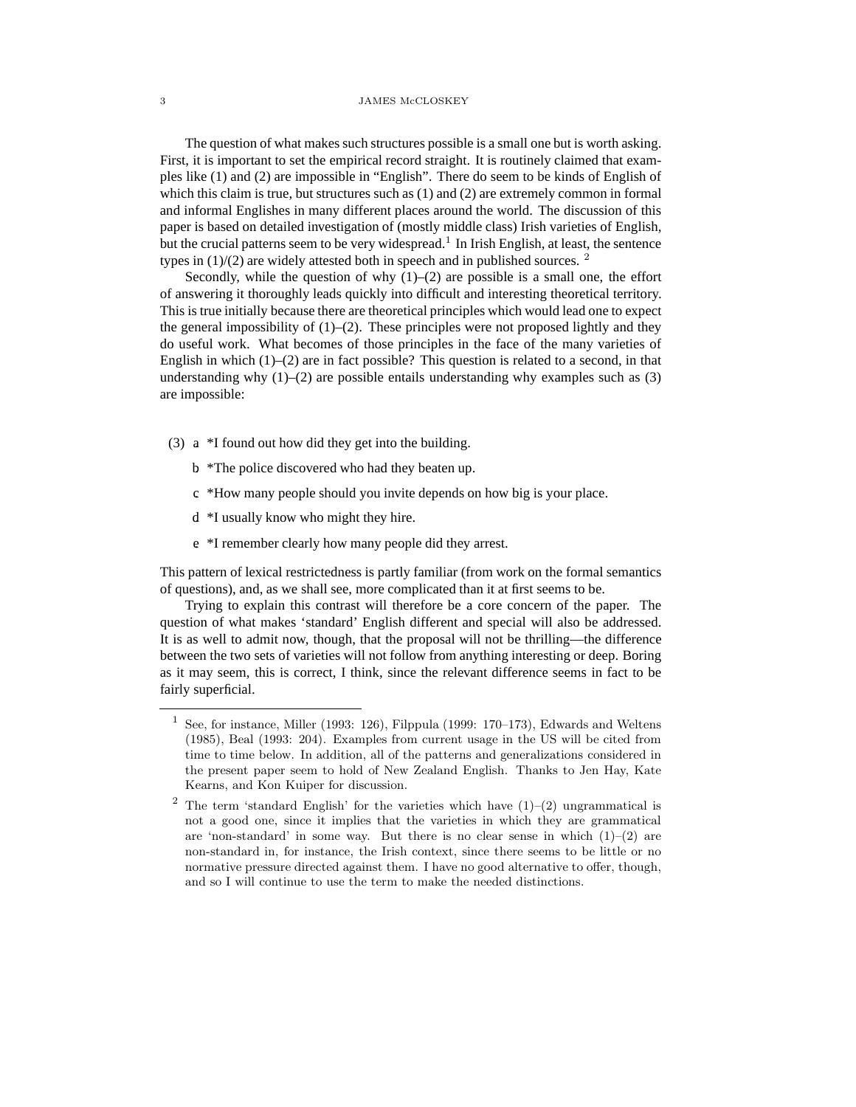The question of what makes such structures possible is a small one but is worth asking. First, it is important to set the empirical record straight. It is routinely claimed that examples like (1) and (2) are impossible in "English". There do seem to be kinds of English of which this claim is true, but structures such as  $(1)$  and  $(2)$  are extremely common in formal and informal Englishes in many different places around the world. The discussion of this paper is based on detailed investigation of (mostly middle class) Irish varieties of English, but the crucial patterns seem to be very widespread.<sup>1</sup> In Irish English, at least, the sentence types in  $(1)/(2)$  are widely attested both in speech and in published sources. <sup>2</sup>

Secondly, while the question of why  $(1)$ – $(2)$  are possible is a small one, the effort of answering it thoroughly leads quickly into difficult and interesting theoretical territory. This is true initially because there are theoretical principles which would lead one to expect the general impossibility of  $(1)$ – $(2)$ . These principles were not proposed lightly and they do useful work. What becomes of those principles in the face of the many varieties of English in which  $(1)$ – $(2)$  are in fact possible? This question is related to a second, in that understanding why  $(1)$ – $(2)$  are possible entails understanding why examples such as  $(3)$ are impossible:

- (3) a  $*$ I found out how did they get into the building.
	- b. \*The police discovered who had they beaten up.
	- c. \*How many people should you invite depends on how big is your place.
	- d. \*I usually know who might they hire.
	- e. \*I remember clearly how many people did they arrest.

This pattern of lexical restrictedness is partly familiar (from work on the formal semantics of questions), and, as we shall see, more complicated than it at first seems to be.

Trying to explain this contrast will therefore be a core concern of the paper. The question of what makes 'standard' English different and special will also be addressed. It is as well to admit now, though, that the proposal will not be thrilling—the difference between the two sets of varieties will not follow from anything interesting or deep. Boring as it may seem, this is correct, I think, since the relevant difference seems in fact to be fairly superficial.

<sup>&</sup>lt;sup>1</sup> See, for instance, Miller (1993: 126), Filppula (1999: 170–173), Edwards and Weltens (1985), Beal (1993: 204). Examples from current usage in the US will be cited from time to time below. In addition, all of the patterns and generalizations considered in the present paper seem to hold of New Zealand English. Thanks to Jen Hay, Kate Kearns, and Kon Kuiper for discussion.

<sup>&</sup>lt;sup>2</sup> The term 'standard English' for the varieties which have  $(1)-(2)$  ungrammatical is not a good one, since it implies that the varieties in which they are grammatical are 'non-standard' in some way. But there is no clear sense in which  $(1)-(2)$  are non-standard in, for instance, the Irish context, since there seems to be little or no normative pressure directed against them. I have no good alternative to offer, though, and so I will continue to use the term to make the needed distinctions.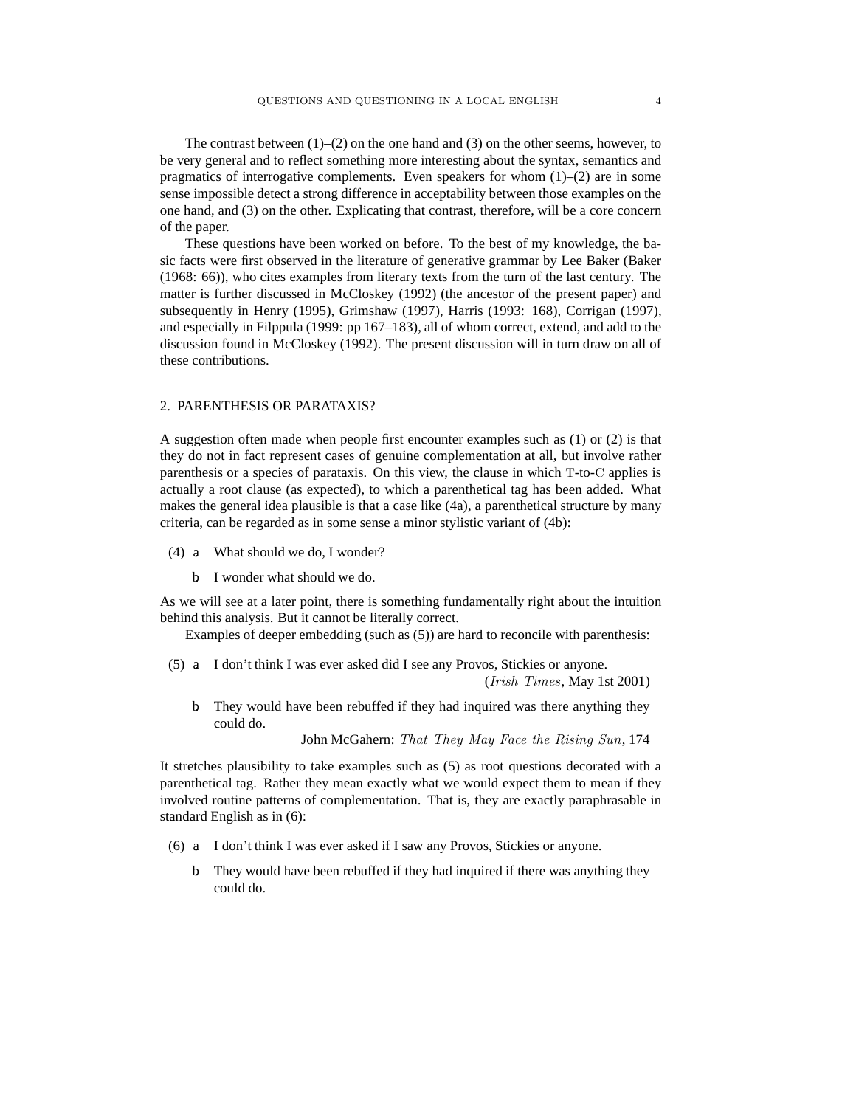The contrast between  $(1)$ – $(2)$  on the one hand and  $(3)$  on the other seems, however, to be very general and to reflect something more interesting about the syntax, semantics and pragmatics of interrogative complements. Even speakers for whom  $(1)$ – $(2)$  are in some sense impossible detect a strong difference in acceptability between those examples on the one hand, and (3) on the other. Explicating that contrast, therefore, will be a core concern of the paper.

These questions have been worked on before. To the best of my knowledge, the basic facts were first observed in the literature of generative grammar by Lee Baker (Baker (1968: 66)), who cites examples from literary texts from the turn of the last century. The matter is further discussed in McCloskey (1992) (the ancestor of the present paper) and subsequently in Henry (1995), Grimshaw (1997), Harris (1993: 168), Corrigan (1997), and especially in Filppula (1999: pp 167–183), all of whom correct, extend, and add to the discussion found in McCloskey (1992). The present discussion will in turn draw on all of these contributions.

## 2. PARENTHESIS OR PARATAXIS?

A suggestion often made when people first encounter examples such as (1) or (2) is that they do not in fact represent cases of genuine complementation at all, but involve rather parenthesis or a species of parataxis. On this view, the clause in which T-to-C applies is actually a root clause (as expected), to which a parenthetical tag has been added. What makes the general idea plausible is that a case like (4a), a parenthetical structure by many criteria, can be regarded as in some sense a minor stylistic variant of (4b):

- (4) a. What should we do, I wonder?
	- b. I wonder what should we do.

As we will see at a later point, there is something fundamentally right about the intuition behind this analysis. But it cannot be literally correct.

Examples of deeper embedding (such as (5)) are hard to reconcile with parenthesis:

- (5) a. I don't think I was ever asked did I see any Provos, Stickies or anyone. (Irish Times, May 1st 2001)
	- b. They would have been rebuffed if they had inquired was there anything they could do.

John McGahern: That They May Face the Rising Sun, 174

It stretches plausibility to take examples such as (5) as root questions decorated with a parenthetical tag. Rather they mean exactly what we would expect them to mean if they involved routine patterns of complementation. That is, they are exactly paraphrasable in standard English as in (6):

- (6) a. I don't think I was ever asked if I saw any Provos, Stickies or anyone.
	- b. They would have been rebuffed if they had inquired if there was anything they could do.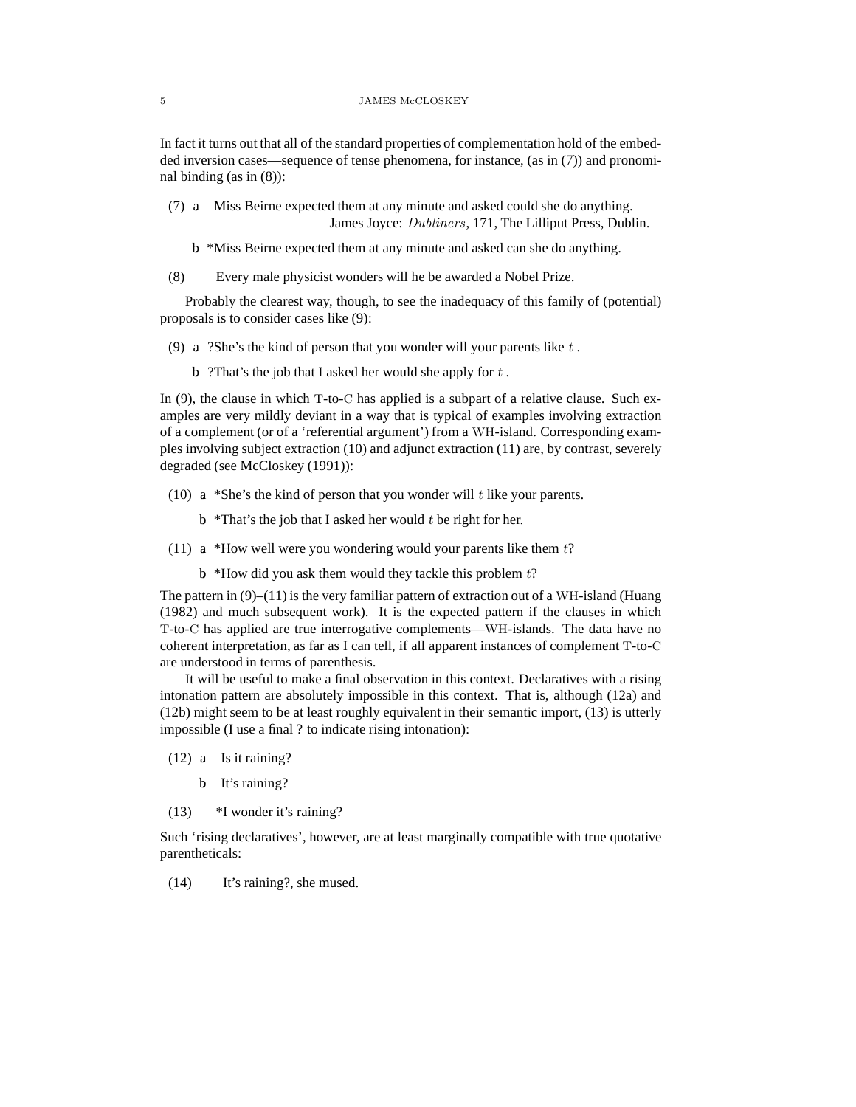In fact it turns out that all of the standard properties of complementation hold of the embedded inversion cases—sequence of tense phenomena, for instance, (as in (7)) and pronominal binding (as in (8)):

- (7) a. Miss Beirne expected them at any minute and asked could she do anything. James Joyce: Dubliners, 171, The Lilliput Press, Dublin.
	- b. \*Miss Beirne expected them at any minute and asked can she do anything.
- (8) Every male physicist wonders will he be awarded a Nobel Prize.

Probably the clearest way, though, to see the inadequacy of this family of (potential) proposals is to consider cases like (9):

- (9) a. ?She's the kind of person that you wonder will your parents like  $t$ .
	- b. ?That's the job that I asked her would she apply for  $t$ .

In (9), the clause in which T-to-C has applied is a subpart of a relative clause. Such examples are very mildly deviant in a way that is typical of examples involving extraction of a complement (or of a 'referential argument') from a WH-island. Corresponding examples involving subject extraction (10) and adjunct extraction (11) are, by contrast, severely degraded (see McCloskey (1991)):

- (10) a. \*She's the kind of person that you wonder will t like your parents.
	- $b$  \*That's the job that I asked her would t be right for her.
- (11) a \*How well were you wondering would your parents like them  $t$ ?
	- $b$  \*How did you ask them would they tackle this problem  $t$ ?

The pattern in  $(9)$ – $(11)$  is the very familiar pattern of extraction out of a WH-island (Huang (1982) and much subsequent work). It is the expected pattern if the clauses in which T-to-C has applied are true interrogative complements—WH-islands. The data have no coherent interpretation, as far as I can tell, if all apparent instances of complement T-to-C are understood in terms of parenthesis.

It will be useful to make a final observation in this context. Declaratives with a rising intonation pattern are absolutely impossible in this context. That is, although (12a) and (12b) might seem to be at least roughly equivalent in their semantic import, (13) is utterly impossible (I use a final ? to indicate rising intonation):

- (12) a. Is it raining?
	- b. It's raining?
- (13) \*I wonder it's raining?

Such 'rising declaratives', however, are at least marginally compatible with true quotative parentheticals:

(14) It's raining?, she mused.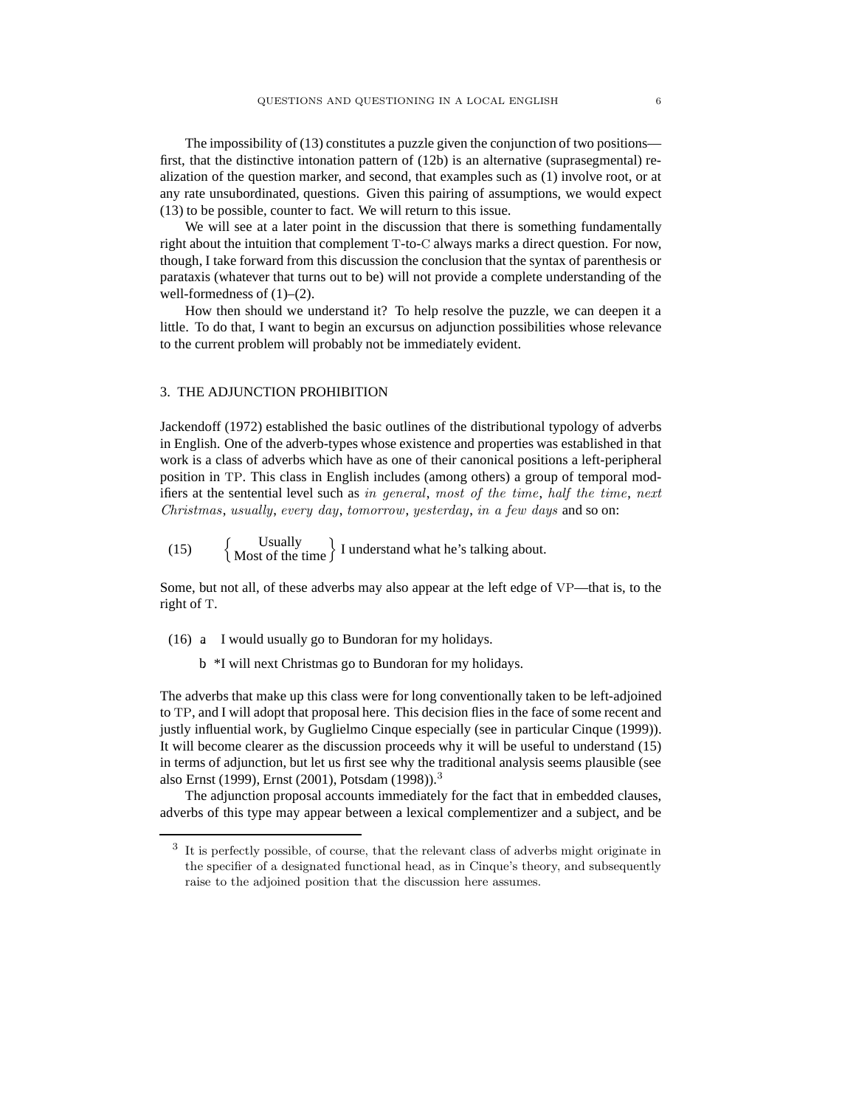The impossibility of (13) constitutes a puzzle given the conjunction of two positions first, that the distinctive intonation pattern of (12b) is an alternative (suprasegmental) realization of the question marker, and second, that examples such as (1) involve root, or at any rate unsubordinated, questions. Given this pairing of assumptions, we would expect (13) to be possible, counter to fact. We will return to this issue.

We will see at a later point in the discussion that there is something fundamentally right about the intuition that complement T-to-C always marks a direct question. For now, though, I take forward from this discussion the conclusion that the syntax of parenthesis or parataxis (whatever that turns out to be) will not provide a complete understanding of the well-formedness of  $(1)$ – $(2)$ .

How then should we understand it? To help resolve the puzzle, we can deepen it a little. To do that, I want to begin an excursus on adjunction possibilities whose relevance to the current problem will probably not be immediately evident.

## 3. THE ADJUNCTION PROHIBITION

Jackendoff (1972) established the basic outlines of the distributional typology of adverbs in English. One of the adverb-types whose existence and properties was established in that work is a class of adverbs which have as one of their canonical positions a left-peripheral position in TP. This class in English includes (among others) a group of temporal modifiers at the sentential level such as in general, most of the time, half the time, next Christmas, usually, every day, tomorrow, yesterday, in a few days and so on:

 $(15)$ Usually  $\left\{\right\}$  I understand what he's talking about.

Some, but not all, of these adverbs may also appear at the left edge of VP—that is, to the right of T.

- (16) a. I would usually go to Bundoran for my holidays.
	- b. \*I will next Christmas go to Bundoran for my holidays.

The adverbs that make up this class were for long conventionally taken to be left-adjoined to TP, and I will adopt that proposal here. This decision flies in the face of some recent and justly influential work, by Guglielmo Cinque especially (see in particular Cinque (1999)). It will become clearer as the discussion proceeds why it will be useful to understand (15) in terms of adjunction, but let us first see why the traditional analysis seems plausible (see also Ernst (1999), Ernst (2001), Potsdam (1998)).<sup>3</sup>

The adjunction proposal accounts immediately for the fact that in embedded clauses, adverbs of this type may appear between a lexical complementizer and a subject, and be

<sup>&</sup>lt;sup>3</sup> It is perfectly possible, of course, that the relevant class of adverbs might originate in the specifier of a designated functional head, as in Cinque's theory, and subsequently raise to the adjoined position that the discussion here assumes.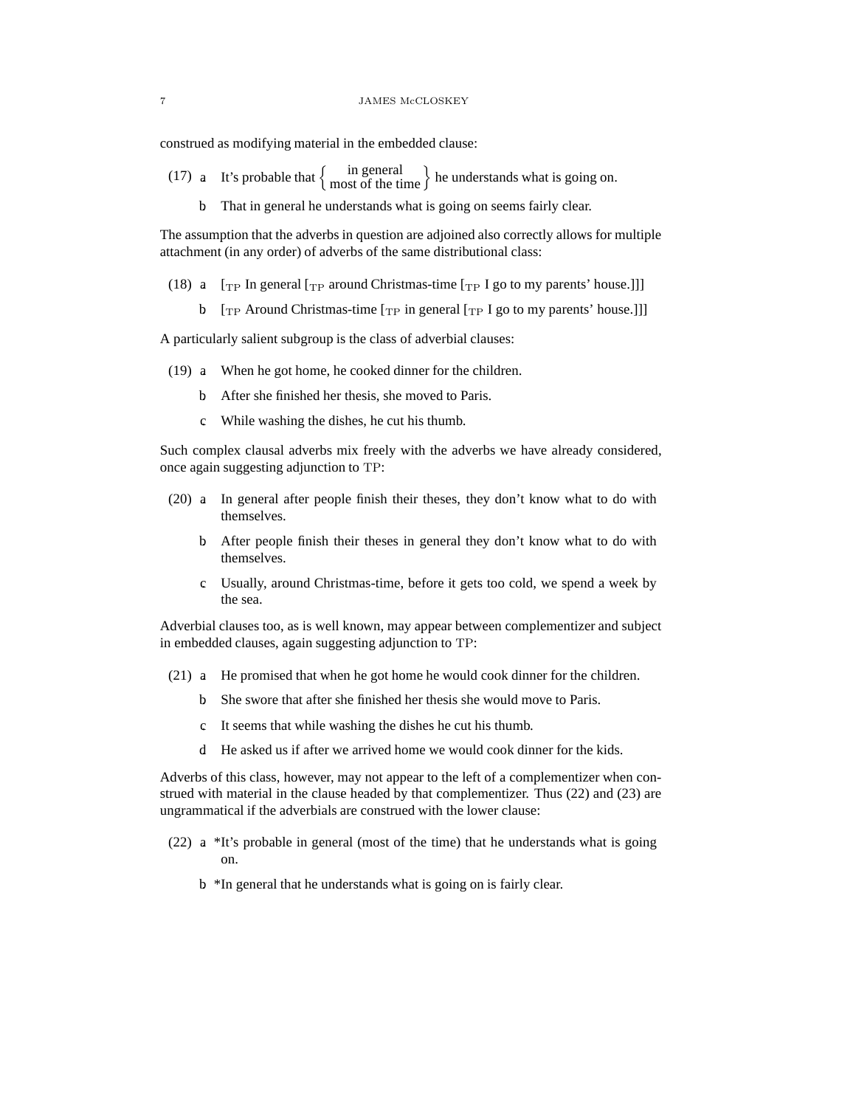construed as modifying material in the embedded clause:

- (17) a It's probable that  $\begin{cases} \text{in general} \\ \text{most of the time} \end{cases}$  he understands what is going on.
	- b. That in general he understands what is going on seems fairly clear.

The assumption that the adverbs in question are adjoined also correctly allows for multiple attachment (in any order) of adverbs of the same distributional class:

- (18) a  $[\text{TP} \text{ In general } [\text{TP} \text{ around Christmas-time } [\text{TP} \text{ I go to my parents'} \text{ house.}]]]$ 
	- b.  $[\text{TP} \text{ Around Christmas-time } [\text{TP} \text{ in general } [\text{TP} \text{ I go to my parents'} \text{ house.}]]]$

A particularly salient subgroup is the class of adverbial clauses:

- (19) a. When he got home, he cooked dinner for the children.
	- b. After she finished her thesis, she moved to Paris.
	- c. While washing the dishes, he cut his thumb.

Such complex clausal adverbs mix freely with the adverbs we have already considered, once again suggesting adjunction to TP:

- (20) a. In general after people finish their theses, they don't know what to do with themselves.
	- b. After people finish their theses in general they don't know what to do with themselves.
	- c. Usually, around Christmas-time, before it gets too cold, we spend a week by the sea.

Adverbial clauses too, as is well known, may appear between complementizer and subject in embedded clauses, again suggesting adjunction to TP:

- (21) a. He promised that when he got home he would cook dinner for the children.
	- b. She swore that after she finished her thesis she would move to Paris.
	- c. It seems that while washing the dishes he cut his thumb.
	- d. He asked us if after we arrived home we would cook dinner for the kids.

Adverbs of this class, however, may not appear to the left of a complementizer when construed with material in the clause headed by that complementizer. Thus (22) and (23) are ungrammatical if the adverbials are construed with the lower clause:

- $(22)$  a. \*It's probable in general (most of the time) that he understands what is going on.
	- b. \*In general that he understands what is going on is fairly clear.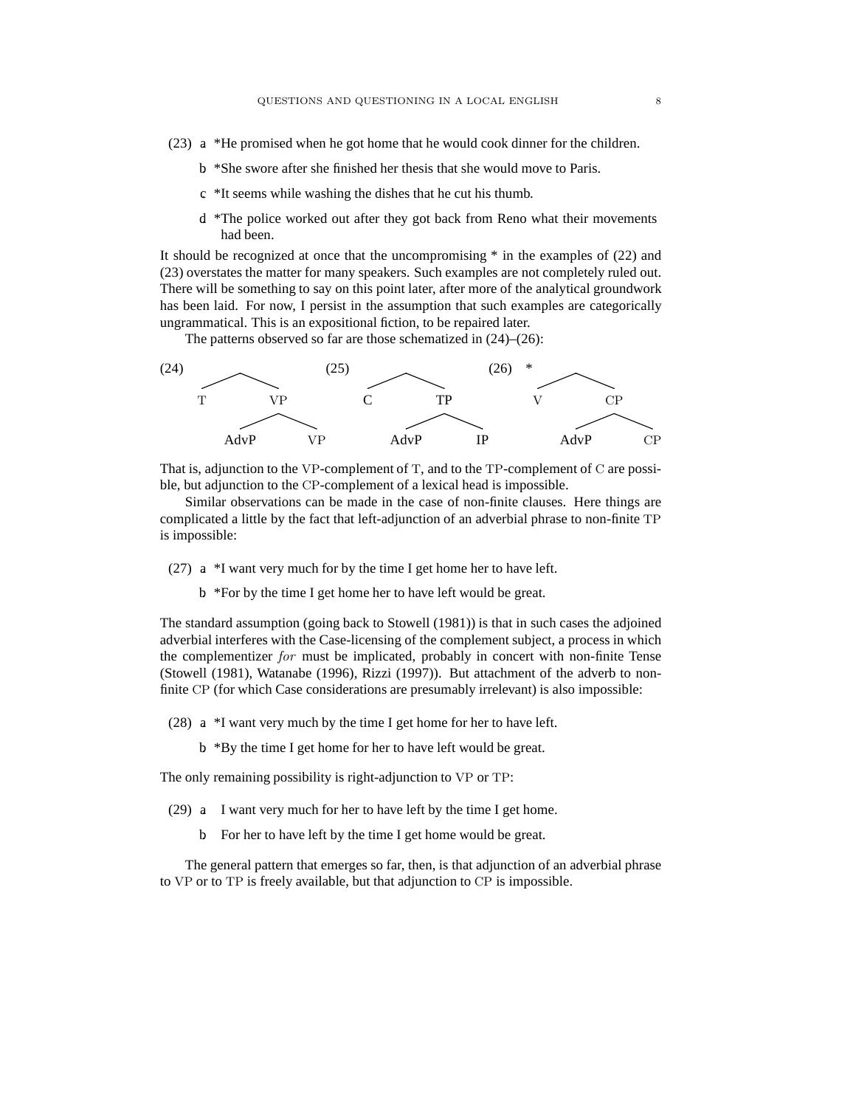- (23) a. \*He promised when he got home that he would cook dinner for the children.
	- b. \*She swore after she finished her thesis that she would move to Paris.
	- c. \*It seems while washing the dishes that he cut his thumb.
	- d. \*The police worked out after they got back from Reno what their movements had been.

It should be recognized at once that the uncompromising \* in the examples of (22) and (23) overstates the matter for many speakers. Such examples are not completely ruled out. There will be something to say on this point later, after more of the analytical groundwork has been laid. For now, I persist in the assumption that such examples are categorically ungrammatical. This is an expositional fiction, to be repaired later.

The patterns observed so far are those schematized in (24)–(26):



That is, adjunction to the VP-complement of  $T$ , and to the  $TP$ -complement of  $C$  are possible, but adjunction to the CP-complement of a lexical head is impossible.

Similar observations can be made in the case of non-finite clauses. Here things are complicated a little by the fact that left-adjunction of an adverbial phrase to non-finite TP is impossible:

- (27) a. \*I want very much for by the time I get home her to have left.
	- b. \*For by the time I get home her to have left would be great.

The standard assumption (going back to Stowell (1981)) is that in such cases the adjoined adverbial interferes with the Case-licensing of the complement subject, a process in which the complementizer for must be implicated, probably in concert with non-finite Tense (Stowell (1981), Watanabe (1996), Rizzi (1997)). But attachment of the adverb to nonfinite CP (for which Case considerations are presumably irrelevant) is also impossible:

- (28) a. \*I want very much by the time I get home for her to have left.
	- b. \*By the time I get home for her to have left would be great.

The only remaining possibility is right-adjunction to VP or TP:

- (29) a. I want very much for her to have left by the time I get home.
	- b. For her to have left by the time I get home would be great.

The general pattern that emerges so far, then, is that adjunction of an adverbial phrase to VP or to TP is freely available, but that adjunction to CP is impossible.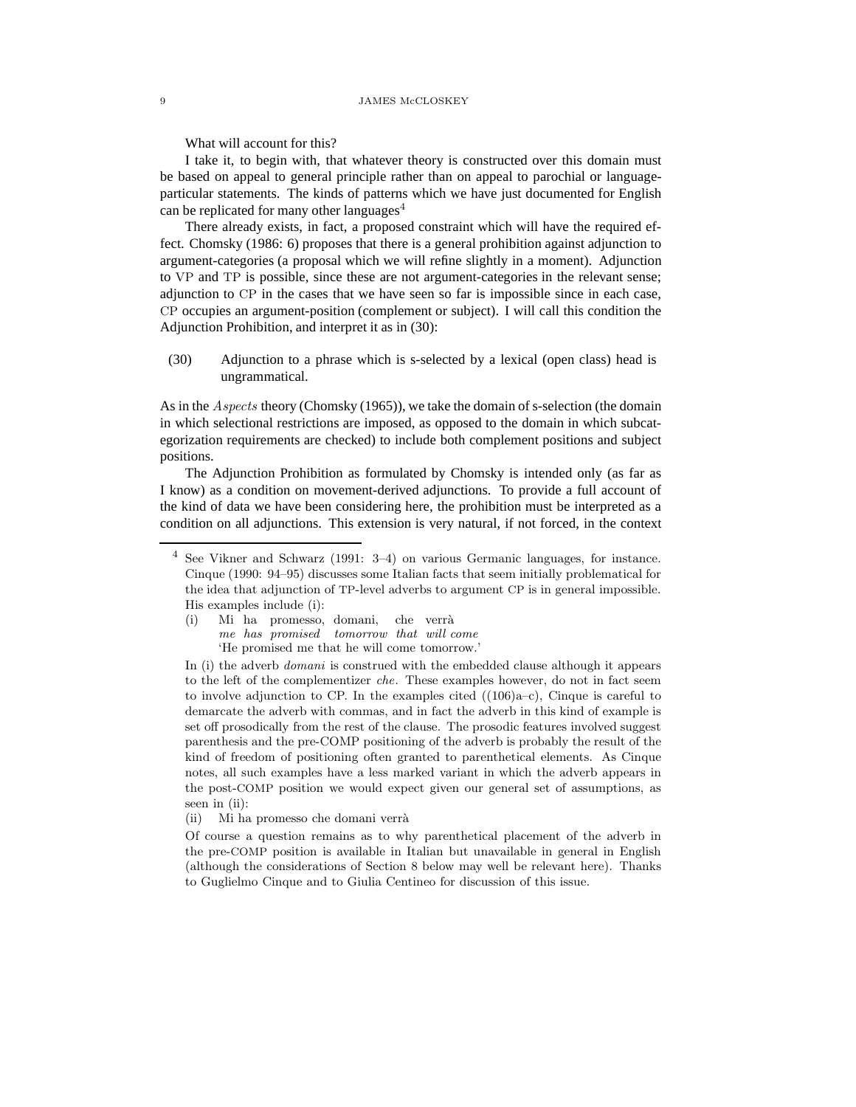What will account for this?

I take it, to begin with, that whatever theory is constructed over this domain must be based on appeal to general principle rather than on appeal to parochial or languageparticular statements. The kinds of patterns which we have just documented for English can be replicated for many other languages<sup>4</sup>

There already exists, in fact, a proposed constraint which will have the required effect. Chomsky (1986: 6) proposes that there is a general prohibition against adjunction to argument-categories (a proposal which we will refine slightly in a moment). Adjunction to VP and TP is possible, since these are not argument-categories in the relevant sense; adjunction to CP in the cases that we have seen so far is impossible since in each case, CP occupies an argument-position (complement or subject). I will call this condition the Adjunction Prohibition, and interpret it as in (30):

(30) Adjunction to a phrase which is s-selected by a lexical (open class) head is ungrammatical.

As in the Aspects theory (Chomsky (1965)), we take the domain of s-selection (the domain in which selectional restrictions are imposed, as opposed to the domain in which subcategorization requirements are checked) to include both complement positions and subject positions.

The Adjunction Prohibition as formulated by Chomsky is intended only (as far as I know) as a condition on movement-derived adjunctions. To provide a full account of the kind of data we have been considering here, the prohibition must be interpreted as a condition on all adjunctions. This extension is very natural, if not forced, in the context

(i) Mi ha promesso, domani, che verrà me has promised tomorrow that will come 'He promised me that he will come tomorrow.'

In (i) the adverb domani is construed with the embedded clause although it appears to the left of the complementizer che. These examples however, do not in fact seem to involve adjunction to CP. In the examples cited  $((106)a-c)$ , Cinque is careful to demarcate the adverb with commas, and in fact the adverb in this kind of example is set off prosodically from the rest of the clause. The prosodic features involved suggest parenthesis and the pre-COMP positioning of the adverb is probably the result of the kind of freedom of positioning often granted to parenthetical elements. As Cinque notes, all such examples have a less marked variant in which the adverb appears in the post-COMP position we would expect given our general set of assumptions, as seen in (ii):

(ii) Mi ha promesso che domani verrà

Of course a question remains as to why parenthetical placement of the adverb in the pre-COMP position is available in Italian but unavailable in general in English (although the considerations of Section 8 below may well be relevant here). Thanks to Guglielmo Cinque and to Giulia Centineo for discussion of this issue.

<sup>4</sup> See Vikner and Schwarz (1991: 3–4) on various Germanic languages, for instance. Cinque (1990: 94–95) discusses some Italian facts that seem initially problematical for the idea that adjunction of TP-level adverbs to argument CP is in general impossible. His examples include (i):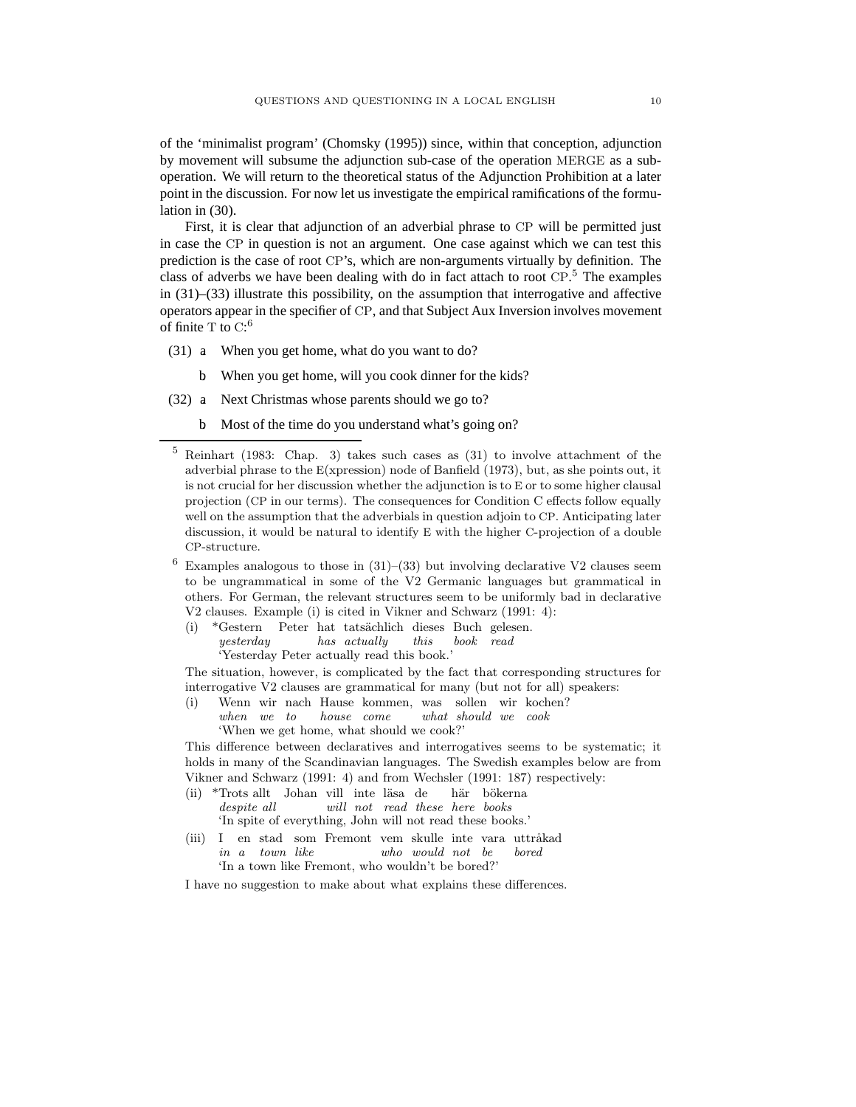of the 'minimalist program' (Chomsky (1995)) since, within that conception, adjunction by movement will subsume the adjunction sub-case of the operation MERGE as a suboperation. We will return to the theoretical status of the Adjunction Prohibition at a later point in the discussion. For now let us investigate the empirical ramifications of the formulation in (30).

First, it is clear that adjunction of an adverbial phrase to CP will be permitted just in case the CP in question is not an argument. One case against which we can test this prediction is the case of root CP's, which are non-arguments virtually by definition. The class of adverbs we have been dealing with do in fact attach to root CP. <sup>5</sup> The examples in (31)–(33) illustrate this possibility, on the assumption that interrogative and affective operators appear in the specifier of CP, and that Subject Aux Inversion involves movement of finite  $T$  to  $C:6$ 

- (31) a. When you get home, what do you want to do?
	- b. When you get home, will you cook dinner for the kids?
- (32) a. Next Christmas whose parents should we go to?
	- b. Most of the time do you understand what's going on?

- $6$  Examples analogous to those in  $(31)$ – $(33)$  but involving declarative V2 clauses seem to be ungrammatical in some of the V2 Germanic languages but grammatical in others. For German, the relevant structures seem to be uniformly bad in declarative V2 clauses. Example (i) is cited in Vikner and Schwarz (1991: 4):
	- (i) \*Gestern Peter hat tatsächlich dieses Buch gelesen. yesterday has actually this book read 'Yesterday Peter actually read this book.'

The situation, however, is complicated by the fact that corresponding structures for interrogative V2 clauses are grammatical for many (but not for all) speakers:

(i) Wenn wir nach Hause kommen, was sollen wir kochen? when we to house come what should we cook 'When we get home, what should we cook?'

This difference between declaratives and interrogatives seems to be systematic; it holds in many of the Scandinavian languages. The Swedish examples below are from Vikner and Schwarz (1991: 4) and from Wechsler (1991: 187) respectively:

- (ii) \*Trots allt Johan vill inte läsa de här bökerna despite all will not read these here books 'In spite of everything, John will not read these books.'
- (iii) I en stad som Fremont vem skulle inte vara uttråkad in a town like who would not be bored 'In a town like Fremont, who wouldn't be bored?'

I have no suggestion to make about what explains these differences.

<sup>5</sup> Reinhart (1983: Chap. 3) takes such cases as (31) to involve attachment of the adverbial phrase to the E(xpression) node of Banfield (1973), but, as she points out, it is not crucial for her discussion whether the adjunction is to E or to some higher clausal projection (CP in our terms). The consequences for Condition C effects follow equally well on the assumption that the adverbials in question adjoin to CP. Anticipating later discussion, it would be natural to identify E with the higher C-projection of a double CP-structure.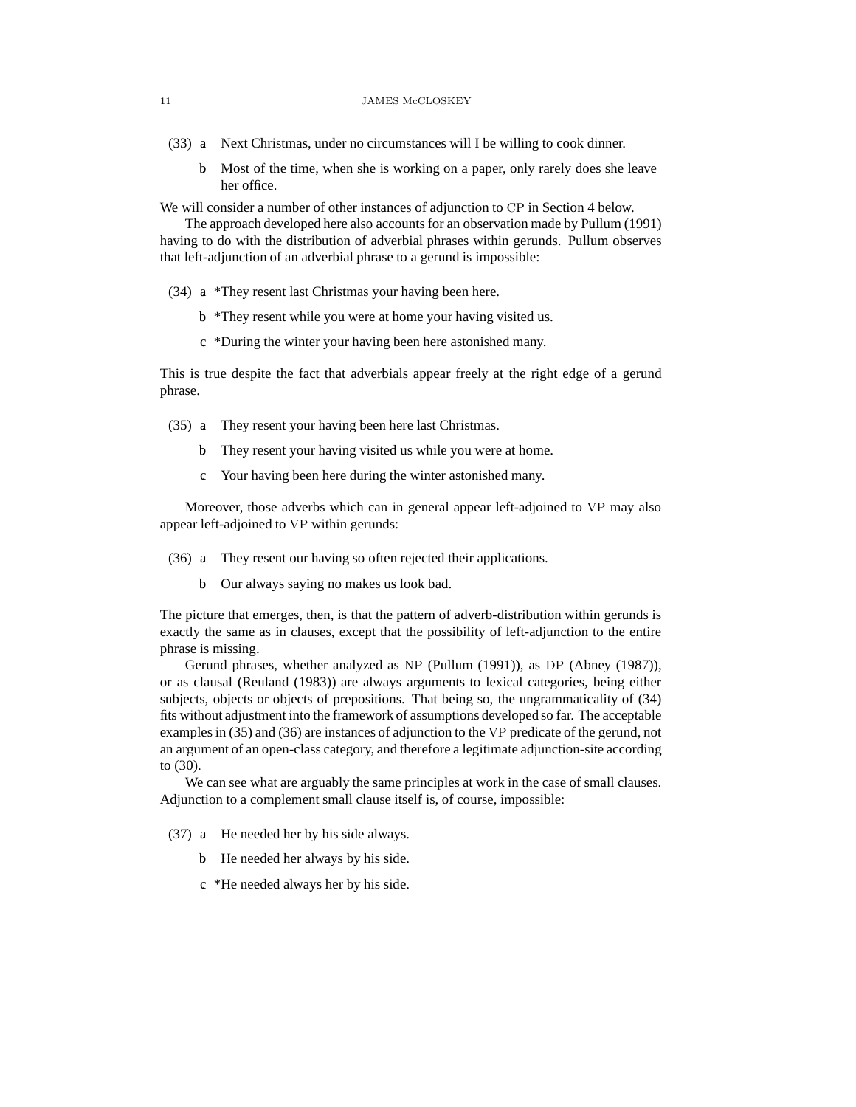- (33) a. Next Christmas, under no circumstances will I be willing to cook dinner.
	- b. Most of the time, when she is working on a paper, only rarely does she leave her office.

We will consider a number of other instances of adjunction to CP in Section 4 below.

The approach developed here also accounts for an observation made by Pullum (1991) having to do with the distribution of adverbial phrases within gerunds. Pullum observes that left-adjunction of an adverbial phrase to a gerund is impossible:

- (34) a. \*They resent last Christmas your having been here.
	- b. \*They resent while you were at home your having visited us.
	- c. \*During the winter your having been here astonished many.

This is true despite the fact that adverbials appear freely at the right edge of a gerund phrase.

- (35) a. They resent your having been here last Christmas.
	- b. They resent your having visited us while you were at home.
	- c. Your having been here during the winter astonished many.

Moreover, those adverbs which can in general appear left-adjoined to VP may also appear left-adjoined to VP within gerunds:

- (36) a. They resent our having so often rejected their applications.
	- b. Our always saying no makes us look bad.

The picture that emerges, then, is that the pattern of adverb-distribution within gerunds is exactly the same as in clauses, except that the possibility of left-adjunction to the entire phrase is missing.

Gerund phrases, whether analyzed as NP (Pullum (1991)), as DP (Abney (1987)), or as clausal (Reuland (1983)) are always arguments to lexical categories, being either subjects, objects or objects of prepositions. That being so, the ungrammaticality of (34) fits without adjustment into the framework of assumptions developed so far. The acceptable examples in (35) and (36) are instances of adjunction to the VP predicate of the gerund, not an argument of an open-class category, and therefore a legitimate adjunction-site according to (30).

We can see what are arguably the same principles at work in the case of small clauses. Adjunction to a complement small clause itself is, of course, impossible:

- (37) a. He needed her by his side always.
	- b. He needed her always by his side.
	- c. \*He needed always her by his side.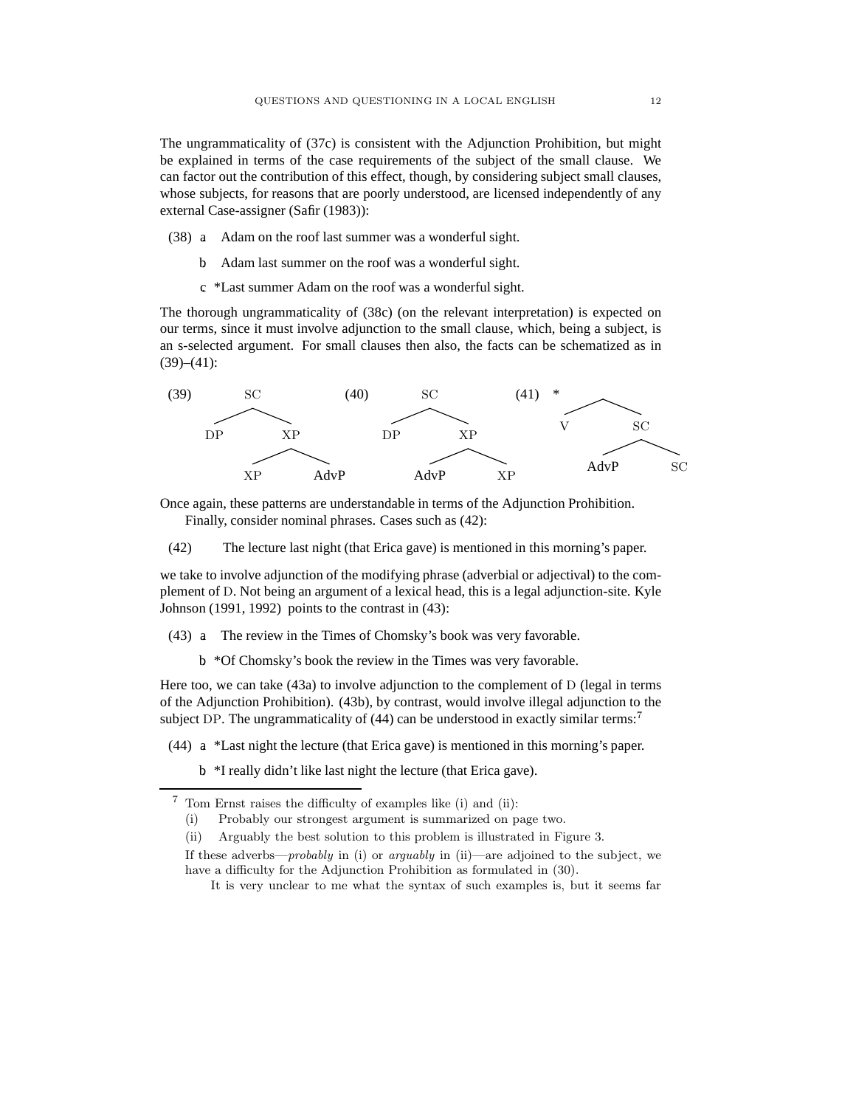The ungrammaticality of (37c) is consistent with the Adjunction Prohibition, but might be explained in terms of the case requirements of the subject of the small clause. We can factor out the contribution of this effect, though, by considering subject small clauses, whose subjects, for reasons that are poorly understood, are licensed independently of any external Case-assigner (Safir (1983)):

- (38) a. Adam on the roof last summer was a wonderful sight.
	- b. Adam last summer on the roof was a wonderful sight.
	- c. \*Last summer Adam on the roof was a wonderful sight.

The thorough ungrammaticality of (38c) (on the relevant interpretation) is expected on our terms, since it must involve adjunction to the small clause, which, being a subject, is an s-selected argument. For small clauses then also, the facts can be schematized as in  $(39)–(41)$ :



Once again, these patterns are understandable in terms of the Adjunction Prohibition. Finally, consider nominal phrases. Cases such as (42):

(42) The lecture last night (that Erica gave) is mentioned in this morning's paper.

we take to involve adjunction of the modifying phrase (adverbial or adjectival) to the complement of D. Not being an argument of a lexical head, this is a legal adjunction-site. Kyle Johnson (1991, 1992) points to the contrast in (43):

(43) a. The review in the Times of Chomsky's book was very favorable.

b. \*Of Chomsky's book the review in the Times was very favorable.

Here too, we can take  $(43a)$  to involve adjunction to the complement of D (legal in terms of the Adjunction Prohibition). (43b), by contrast, would involve illegal adjunction to the subject DP. The ungrammaticality of  $(44)$  can be understood in exactly similar terms:<sup>7</sup>

 $(44)$  a \*Last night the lecture (that Erica gave) is mentioned in this morning's paper.

b. \*I really didn't like last night the lecture (that Erica gave).

 $^7\,$  Tom Ernst raises the difficulty of examples like (i) and (ii):

<sup>(</sup>i) Probably our strongest argument is summarized on page two.

<sup>(</sup>ii) Arguably the best solution to this problem is illustrated in Figure 3.

If these adverbs—*probably* in (i) or *arguably* in (ii)—are adjoined to the subject, we have a difficulty for the Adjunction Prohibition as formulated in (30).

It is very unclear to me what the syntax of such examples is, but it seems far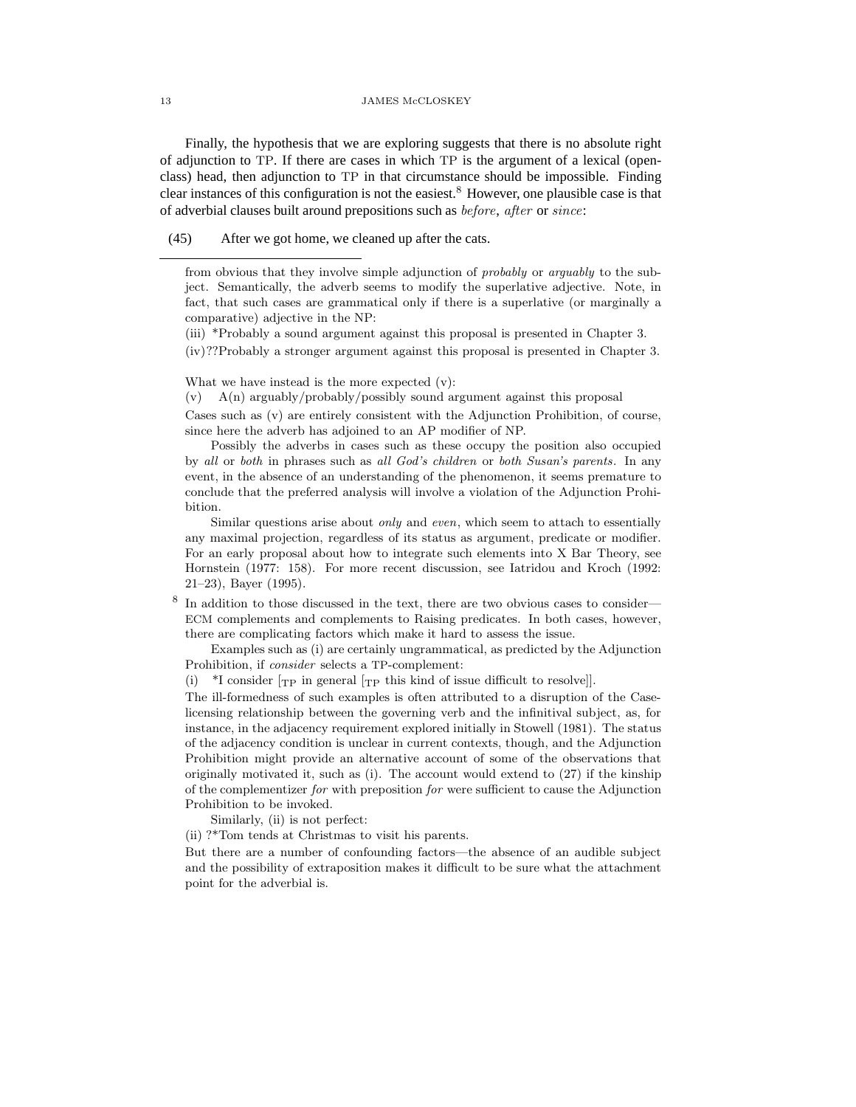Finally, the hypothesis that we are exploring suggests that there is no absolute right of adjunction to TP. If there are cases in which TP is the argument of a lexical (openclass) head, then adjunction to TP in that circumstance should be impossible. Finding clear instances of this configuration is not the easiest.<sup>8</sup> However, one plausible case is that of adverbial clauses built around prepositions such as before, after or since:

(45) After we got home, we cleaned up after the cats.

- (iii) \*Probably a sound argument against this proposal is presented in Chapter 3.
- (iv)??Probably a stronger argument against this proposal is presented in Chapter 3.

What we have instead is the more expected (v):

(v) A(n) arguably/probably/possibly sound argument against this proposal

Cases such as (v) are entirely consistent with the Adjunction Prohibition, of course, since here the adverb has adjoined to an AP modifier of NP.

Possibly the adverbs in cases such as these occupy the position also occupied by all or both in phrases such as all God's children or both Susan's parents. In any event, in the absence of an understanding of the phenomenon, it seems premature to conclude that the preferred analysis will involve a violation of the Adjunction Prohibition.

Similar questions arise about *only* and *even*, which seem to attach to essentially any maximal projection, regardless of its status as argument, predicate or modifier. For an early proposal about how to integrate such elements into X Bar Theory, see Hornstein (1977: 158). For more recent discussion, see Iatridou and Kroch (1992: 21–23), Bayer (1995).

8 In addition to those discussed in the text, there are two obvious cases to consider— ECM complements and complements to Raising predicates. In both cases, however, there are complicating factors which make it hard to assess the issue.

Examples such as (i) are certainly ungrammatical, as predicted by the Adjunction Prohibition, if consider selects a TP-complement:

(i)  $*$ I consider  $[\text{TP}$  in general  $[\text{TP}$  this kind of issue difficult to resolve].

The ill-formedness of such examples is often attributed to a disruption of the Caselicensing relationship between the governing verb and the infinitival subject, as, for instance, in the adjacency requirement explored initially in Stowell (1981). The status of the adjacency condition is unclear in current contexts, though, and the Adjunction Prohibition might provide an alternative account of some of the observations that originally motivated it, such as (i). The account would extend to (27) if the kinship of the complementizer for with preposition for were sufficient to cause the Adjunction Prohibition to be invoked.

Similarly, (ii) is not perfect:

(ii) ?\*Tom tends at Christmas to visit his parents.

But there are a number of confounding factors—the absence of an audible subject and the possibility of extraposition makes it difficult to be sure what the attachment point for the adverbial is.

from obvious that they involve simple adjunction of probably or arguably to the subject. Semantically, the adverb seems to modify the superlative adjective. Note, in fact, that such cases are grammatical only if there is a superlative (or marginally a comparative) adjective in the NP: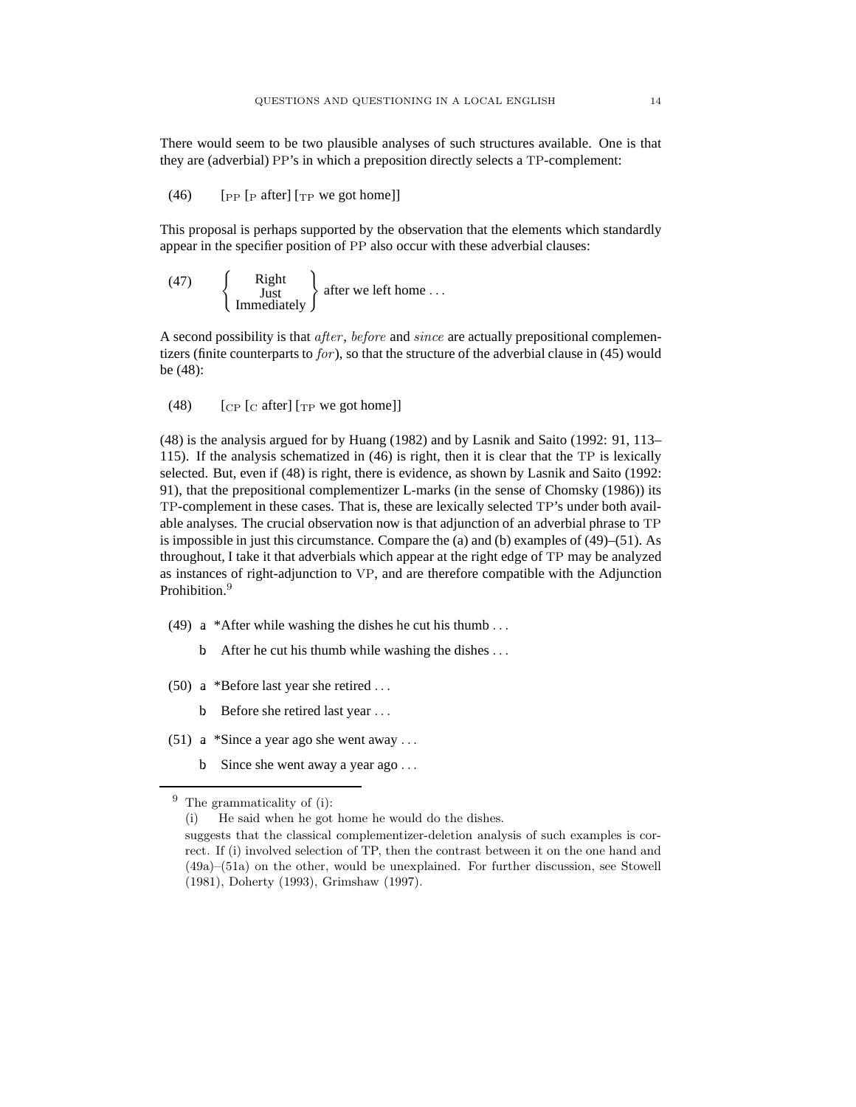There would seem to be two plausible analyses of such structures available. One is that they are (adverbial) PP's in which a preposition directly selects a TP-complement:

(46)  $[p_P [P \text{ after }] [TP \text{ we got home}]]$ 

This proposal is perhaps supported by the observation that the elements which standardly appear in the specifier position of PP also occur with these adverbial clauses:

(47) 
$$
\begin{Bmatrix} \text{Right} \\ \text{Just} \\ \text{Immediately} \end{Bmatrix} \text{ after we left home ...}
$$

A second possibility is that *after*, *before* and *since* are actually prepositional complementizers (finite counterparts to  $for$ ), so that the structure of the adverbial clause in (45) would be (48):

(48)  $\left[$  [CP  $\left[$  c after]  $\left[$  [TP we got home]]

(48) is the analysis argued for by Huang (1982) and by Lasnik and Saito (1992: 91, 113– 115). If the analysis schematized in (46) is right, then it is clear that the TP is lexically selected. But, even if (48) is right, there is evidence, as shown by Lasnik and Saito (1992: 91), that the prepositional complementizer L-marks (in the sense of Chomsky (1986)) its TP-complement in these cases. That is, these are lexically selected TP's under both available analyses. The crucial observation now is that adjunction of an adverbial phrase to TP is impossible in just this circumstance. Compare the  $(a)$  and  $(b)$  examples of  $(49)$ – $(51)$ . As throughout, I take it that adverbials which appear at the right edge of TP may be analyzed as instances of right-adjunction to VP, and are therefore compatible with the Adjunction Prohibition.<sup>9</sup>

- (49) a \*After while washing the dishes he cut his thumb  $\dots$ 
	- b. After he cut his thumb while washing the dishes . . .
- (50) a. \*Before last year she retired  $\dots$ 
	- b. Before she retired last year ...
- (51) a. \*Since a year ago she went away ...
	- b. Since she went away a year ago ...

<sup>9</sup> The grammaticality of (i):

<sup>(</sup>i) He said when he got home he would do the dishes.

suggests that the classical complementizer-deletion analysis of such examples is correct. If (i) involved selection of TP, then the contrast between it on the one hand and (49a)–(51a) on the other, would be unexplained. For further discussion, see Stowell (1981), Doherty (1993), Grimshaw (1997).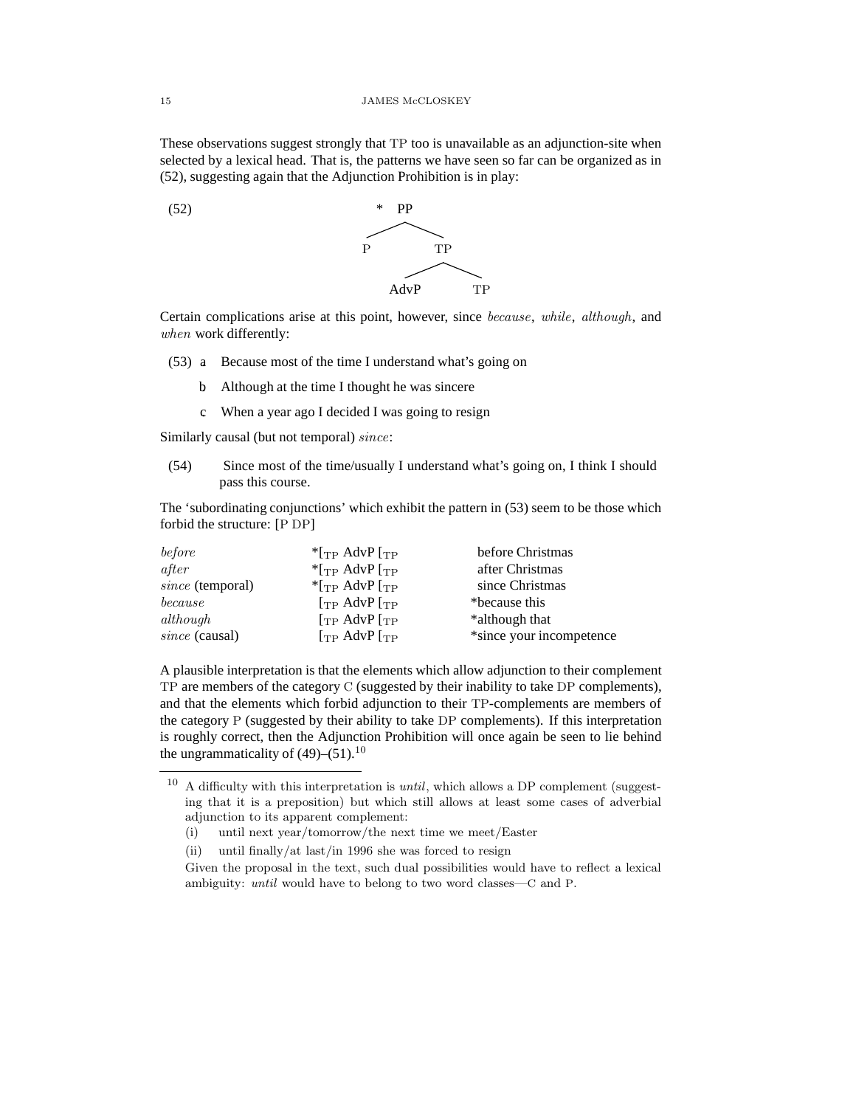These observations suggest strongly that TP too is unavailable as an adjunction-site when selected by a lexical head. That is, the patterns we have seen so far can be organized as in (52), suggesting again that the Adjunction Prohibition is in play:



Certain complications arise at this point, however, since because, while, although, and when work differently:

- (53) a. Because most of the time I understand what's going on
	- b. Although at the time I thought he was sincere
	- c. When a year ago I decided I was going to resign

Similarly causal (but not temporal) since:

(54) Since most of the time/usually I understand what's going on, I think I should pass this course.

The 'subordinating conjunctions' which exhibit the pattern in (53) seem to be those which forbid the structure: [P DP]

| before                  | $\Gamma$ <sub>TP</sub> AdvP $\Gamma$ <sub>TP</sub> | before Christmas         |
|-------------------------|----------------------------------------------------|--------------------------|
| after                   | $\Gamma$ <sub>TP</sub> AdvP $\Gamma$ <sub>TP</sub> | after Christmas          |
| <i>since</i> (temporal) | $\Gamma$ <sub>TP</sub> AdvP $\Gamma$ <sub>TP</sub> | since Christmas          |
| because                 | $[\text{TP} \text{AdvP} [\text{TP}]$               | *because this            |
| although                | $[\text{TP} \text{ AdvP} [\text{TP}$               | *although that           |
| since (causal)          | $[\text{TP} \text{ AdvP} [\text{TP}$               | *since your incompetence |

A plausible interpretation is that the elements which allow adjunction to their complement TP are members of the category C (suggested by their inability to take DP complements), and that the elements which forbid adjunction to their TP-complements are members of the category P (suggested by their ability to take DP complements). If this interpretation is roughly correct, then the Adjunction Prohibition will once again be seen to lie behind the ungrammaticality of  $(49)$ – $(51)$ .<sup>10</sup>

(ii) until finally/at last/in 1996 she was forced to resign

 $10$  A difficulty with this interpretation is *until*, which allows a DP complement (suggesting that it is a preposition) but which still allows at least some cases of adverbial adjunction to its apparent complement:

<sup>(</sup>i) until next year/tomorrow/the next time we meet/Easter

Given the proposal in the text, such dual possibilities would have to reflect a lexical ambiguity: until would have to belong to two word classes—C and P.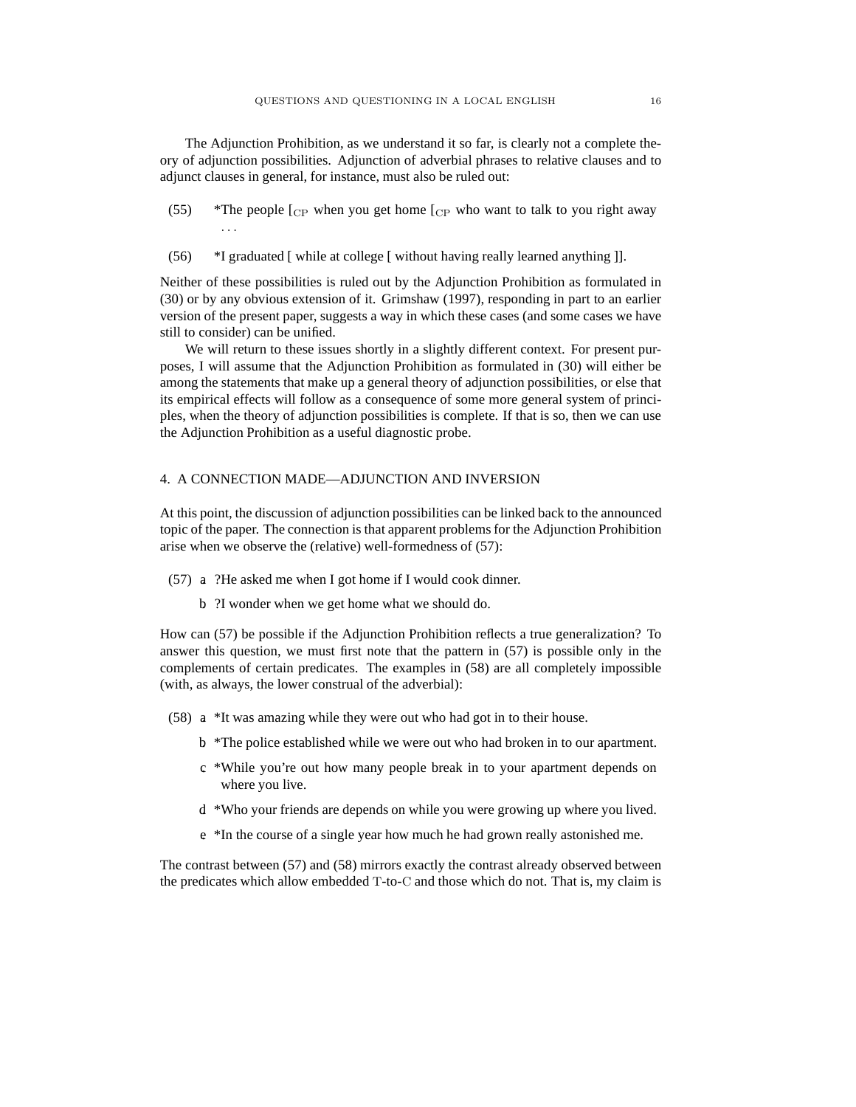The Adjunction Prohibition, as we understand it so far, is clearly not a complete theory of adjunction possibilities. Adjunction of adverbial phrases to relative clauses and to adjunct clauses in general, for instance, must also be ruled out:

(55) \*The people  $\lceil$  c<sub>P</sub> when you get home  $\lceil$  c<sub>P</sub> who want to talk to you right away

(56) \*I graduated [ while at college [ without having really learned anything ]].

Neither of these possibilities is ruled out by the Adjunction Prohibition as formulated in (30) or by any obvious extension of it. Grimshaw (1997), responding in part to an earlier version of the present paper, suggests a way in which these cases (and some cases we have still to consider) can be unified.

We will return to these issues shortly in a slightly different context. For present purposes, I will assume that the Adjunction Prohibition as formulated in (30) will either be among the statements that make up a general theory of adjunction possibilities, or else that its empirical effects will follow as a consequence of some more general system of principles, when the theory of adjunction possibilities is complete. If that is so, then we can use the Adjunction Prohibition as a useful diagnostic probe.

## 4. A CONNECTION MADE—ADJUNCTION AND INVERSION

. . .

At this point, the discussion of adjunction possibilities can be linked back to the announced topic of the paper. The connection is that apparent problemsfor the Adjunction Prohibition arise when we observe the (relative) well-formedness of (57):

- (57) a. ?He asked me when I got home if I would cook dinner.
	- b. ?I wonder when we get home what we should do.

How can (57) be possible if the Adjunction Prohibition reflects a true generalization? To answer this question, we must first note that the pattern in (57) is possible only in the complements of certain predicates. The examples in (58) are all completely impossible (with, as always, the lower construal of the adverbial):

- (58) a. \*It was amazing while they were out who had got in to their house.
	- b. \*The police established while we were out who had broken in to our apartment.
	- c. \*While you're out how many people break in to your apartment depends on where you live.
	- d. \*Who your friends are depends on while you were growing up where you lived.
	- e. \*In the course of a single year how much he had grown really astonished me.

The contrast between (57) and (58) mirrors exactly the contrast already observed between the predicates which allow embedded T-to-C and those which do not. That is, my claim is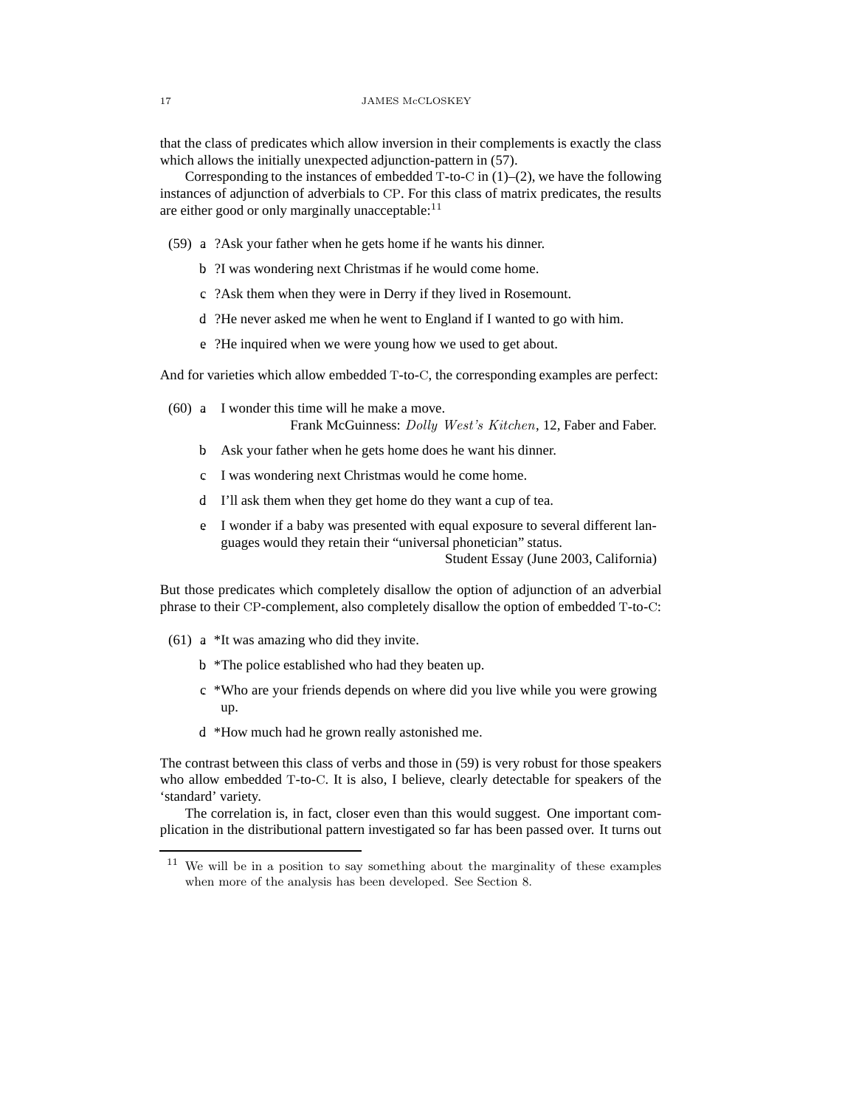that the class of predicates which allow inversion in their complements is exactly the class which allows the initially unexpected adjunction-pattern in (57).

Corresponding to the instances of embedded  $T$ -to-C in  $(1)$ – $(2)$ , we have the following instances of adjunction of adverbials to CP. For this class of matrix predicates, the results are either good or only marginally unacceptable: $11$ 

- (59) a. ?Ask your father when he gets home if he wants his dinner.
	- b. ?I was wondering next Christmas if he would come home.
	- c. ?Ask them when they were in Derry if they lived in Rosemount.
	- d. ?He never asked me when he went to England if I wanted to go with him.
	- e. ?He inquired when we were young how we used to get about.

And for varieties which allow embedded T-to-C, the corresponding examples are perfect:

- (60) a. I wonder this time will he make a move. Frank McGuinness: Dolly West's Kitchen, 12, Faber and Faber.
	- b. Ask your father when he gets home does he want his dinner.
	- c. I was wondering next Christmas would he come home.
	- d. I'll ask them when they get home do they want a cup of tea.
	- e. I wonder if a baby was presented with equal exposure to several different languages would they retain their "universal phonetician" status.

Student Essay (June 2003, California)

But those predicates which completely disallow the option of adjunction of an adverbial phrase to their CP-complement, also completely disallow the option of embedded T-to-C:

- $(61)$  a \*It was amazing who did they invite.
	- b. \*The police established who had they beaten up.
	- c. \*Who are your friends depends on where did you live while you were growing up.
	- d. \*How much had he grown really astonished me.

The contrast between this class of verbs and those in (59) is very robust for those speakers who allow embedded T-to-C. It is also, I believe, clearly detectable for speakers of the 'standard' variety.

The correlation is, in fact, closer even than this would suggest. One important complication in the distributional pattern investigated so far has been passed over. It turns out

<sup>&</sup>lt;sup>11</sup> We will be in a position to say something about the marginality of these examples when more of the analysis has been developed. See Section 8.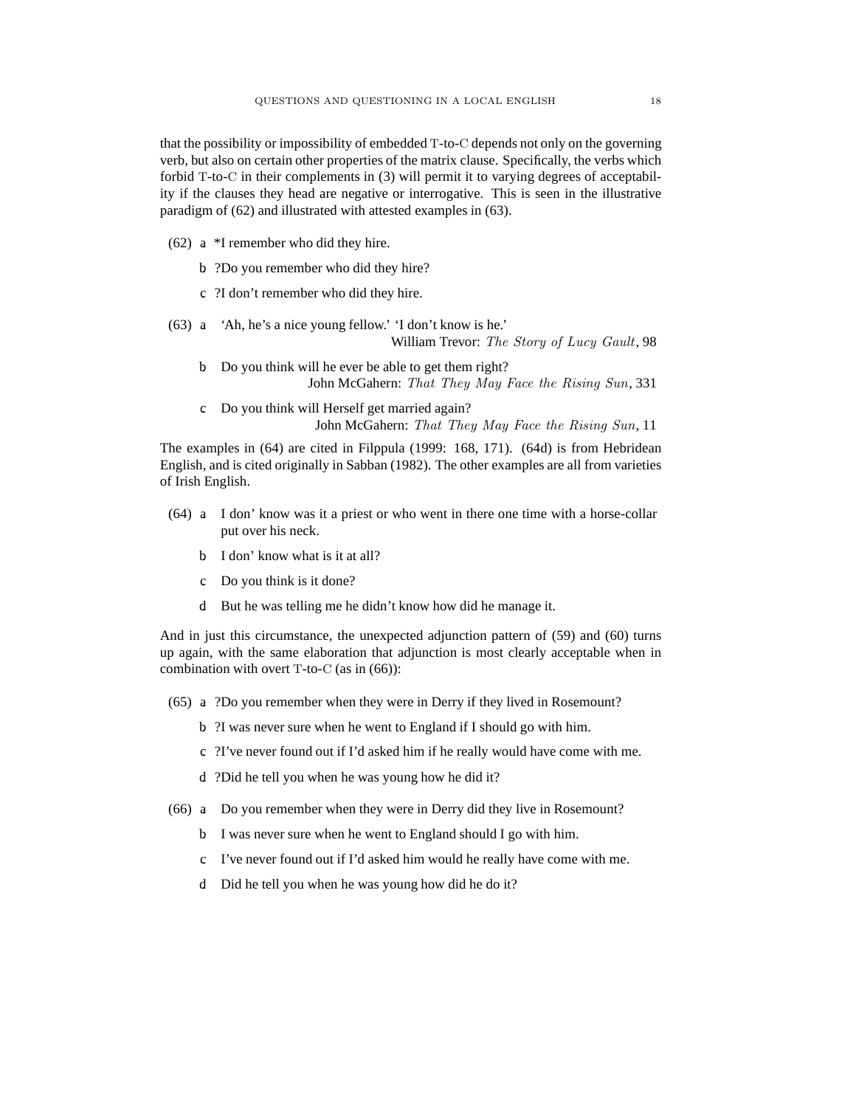that the possibility or impossibility of embedded T-to-C depends not only on the governing verb, but also on certain other properties of the matrix clause. Specifically, the verbs which forbid T-to-C in their complements in (3) will permit it to varying degrees of acceptability if the clauses they head are negative or interrogative. This is seen in the illustrative paradigm of (62) and illustrated with attested examples in (63).

- (62) a  $*$ I remember who did they hire.
	- b. ?Do you remember who did they hire?
	- c. ?I don't remember who did they hire.
- (63) a. 'Ah, he's a nice young fellow.' 'I don't know is he.' William Trevor: The Story of Lucy Gault, 98
	- b. Do you think will he ever be able to get them right? John McGahern: That They May Face the Rising Sun, 331
	- c. Do you think will Herself get married again? John McGahern: That They May Face the Rising Sun, 11

The examples in (64) are cited in Filppula (1999: 168, 171). (64d) is from Hebridean English, and is cited originally in Sabban (1982). The other examples are all from varieties of Irish English.

- (64) a. I don' know was it a priest or who went in there one time with a horse-collar put over his neck.
	- b. I don' know what is it at all?
	- c. Do you think is it done?
	- d. But he was telling me he didn't know how did he manage it.

And in just this circumstance, the unexpected adjunction pattern of (59) and (60) turns up again, with the same elaboration that adjunction is most clearly acceptable when in combination with overt T-to-C (as in (66)):

- (65) a. ?Do you remember when they were in Derry if they lived in Rosemount?
	- b. ?I was never sure when he went to England if I should go with him.
	- c. ?I've never found out if I'd asked him if he really would have come with me.
	- d. ?Did he tell you when he was young how he did it?
- (66) a. Do you remember when they were in Derry did they live in Rosemount?
	- b. I was never sure when he went to England should I go with him.
	- c. I've never found out if I'd asked him would he really have come with me.
	- d. Did he tell you when he was young how did he do it?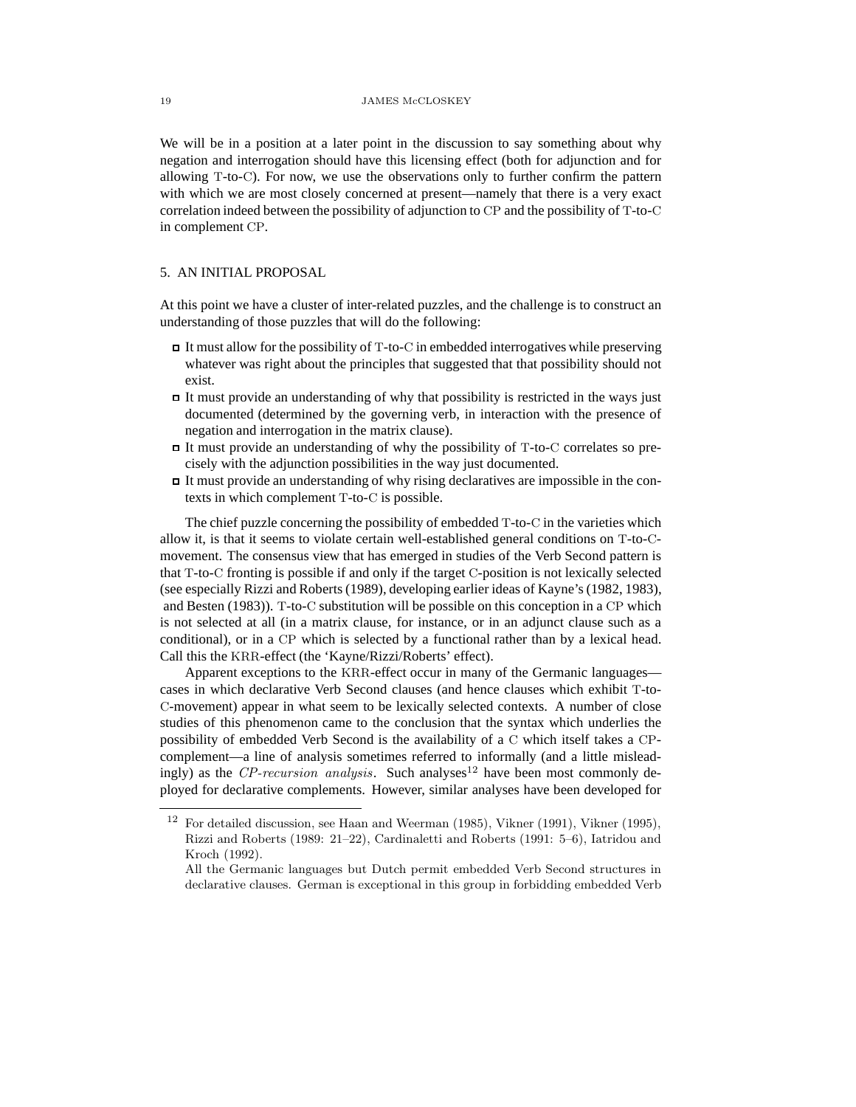We will be in a position at a later point in the discussion to say something about why negation and interrogation should have this licensing effect (both for adjunction and for allowing T-to-C). For now, we use the observations only to further confirm the pattern with which we are most closely concerned at present—namely that there is a very exact correlation indeed between the possibility of adjunction to CP and the possibility of T-to-C in complement CP.

## 5. AN INITIAL PROPOSAL

At this point we have a cluster of inter-related puzzles, and the challenge is to construct an understanding of those puzzles that will do the following:

- $\Box$  It must allow for the possibility of T-to-C in embedded interrogatives while preserving whatever was right about the principles that suggested that that possibility should not exist.
- $\Box$  It must provide an understanding of why that possibility is restricted in the ways just documented (determined by the governing verb, in interaction with the presence of negation and interrogation in the matrix clause).
- $\Box$  It must provide an understanding of why the possibility of T-to-C correlates so precisely with the adjunction possibilities in the way just documented.
- $\Box$  It must provide an understanding of why rising declaratives are impossible in the contexts in which complement T-to-C is possible.

The chief puzzle concerning the possibility of embedded T-to-C in the varieties which allow it, is that it seems to violate certain well-established general conditions on T-to-Cmovement. The consensus view that has emerged in studies of the Verb Second pattern is that T-to-C fronting is possible if and only if the target C-position is not lexically selected (see especially Rizzi and Roberts (1989), developing earlier ideas of Kayne's (1982, 1983), and Besten (1983)). T-to-C substitution will be possible on this conception in a CP which is not selected at all (in a matrix clause, for instance, or in an adjunct clause such as a conditional), or in a CP which is selected by a functional rather than by a lexical head. Call this the KRR-effect (the 'Kayne/Rizzi/Roberts' effect).

Apparent exceptions to the KRR-effect occur in many of the Germanic languages cases in which declarative Verb Second clauses (and hence clauses which exhibit T-to-C-movement) appear in what seem to be lexically selected contexts. A number of close studies of this phenomenon came to the conclusion that the syntax which underlies the possibility of embedded Verb Second is the availability of a C which itself takes a CPcomplement—a line of analysis sometimes referred to informally (and a little misleadingly) as the CP-recursion analysis. Such analyses<sup>12</sup> have been most commonly deployed for declarative complements. However, similar analyses have been developed for

 $12$  For detailed discussion, see Haan and Weerman (1985), Vikner (1991), Vikner (1995), Rizzi and Roberts (1989: 21–22), Cardinaletti and Roberts (1991: 5–6), Iatridou and Kroch (1992).

All the Germanic languages but Dutch permit embedded Verb Second structures in declarative clauses. German is exceptional in this group in forbidding embedded Verb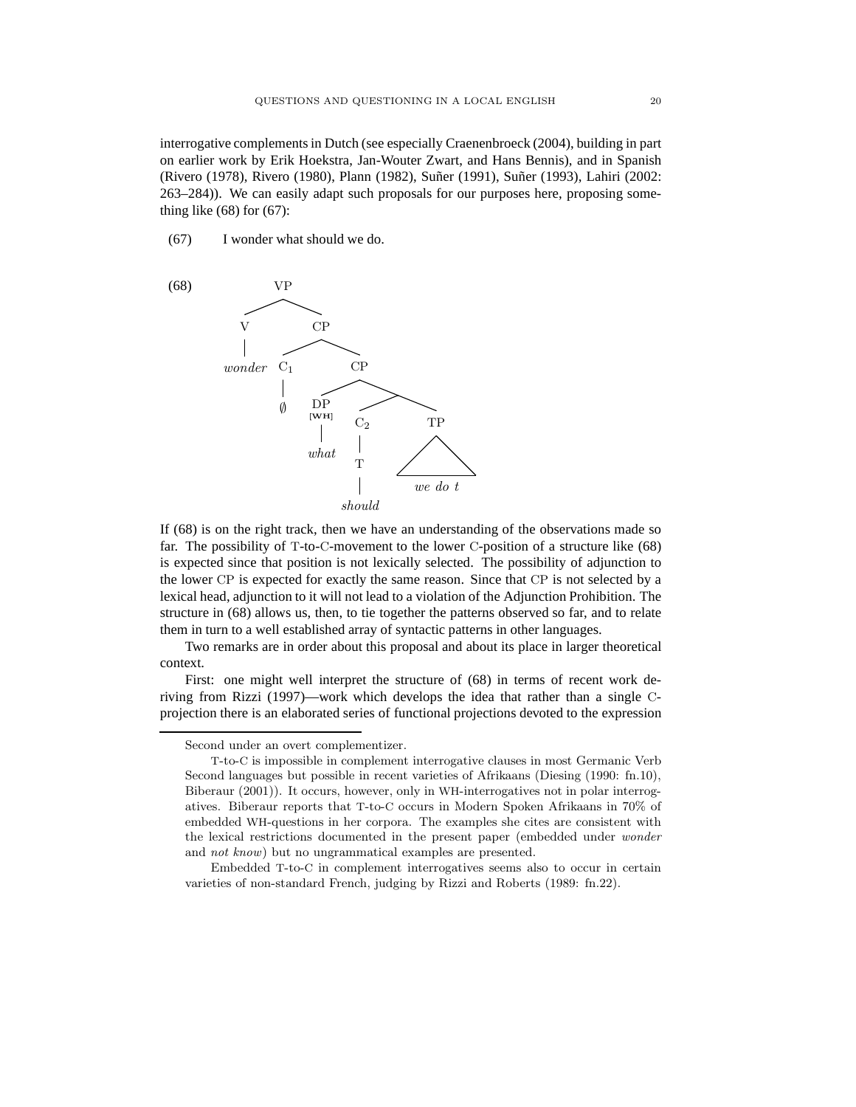interrogative complements in Dutch (see especially Craenenbroeck (2004), building in part on earlier work by Erik Hoekstra, Jan-Wouter Zwart, and Hans Bennis), and in Spanish (Rivero (1978), Rivero (1980), Plann (1982), Su˜ner (1991), Su˜ner (1993), Lahiri (2002: 263–284)). We can easily adapt such proposals for our purposes here, proposing something like  $(68)$  for  $(67)$ :

(67) I wonder what should we do.



If (68) is on the right track, then we have an understanding of the observations made so far. The possibility of T-to-C-movement to the lower C-position of a structure like (68) is expected since that position is not lexically selected. The possibility of adjunction to the lower CP is expected for exactly the same reason. Since that CP is not selected by a lexical head, adjunction to it will not lead to a violation of the Adjunction Prohibition. The structure in (68) allows us, then, to tie together the patterns observed so far, and to relate them in turn to a well established array of syntactic patterns in other languages.

Two remarks are in order about this proposal and about its place in larger theoretical context.

First: one might well interpret the structure of  $(68)$  in terms of recent work deriving from Rizzi (1997)—work which develops the idea that rather than a single Cprojection there is an elaborated series of functional projections devoted to the expression

Second under an overt complementizer.

T-to-C is impossible in complement interrogative clauses in most Germanic Verb Second languages but possible in recent varieties of Afrikaans (Diesing (1990: fn.10), Biberaur (2001)). It occurs, however, only in WH-interrogatives not in polar interrogatives. Biberaur reports that T-to-C occurs in Modern Spoken Afrikaans in 70% of embedded WH-questions in her corpora. The examples she cites are consistent with the lexical restrictions documented in the present paper (embedded under wonder and not know) but no ungrammatical examples are presented.

Embedded T-to-C in complement interrogatives seems also to occur in certain varieties of non-standard French, judging by Rizzi and Roberts (1989: fn.22).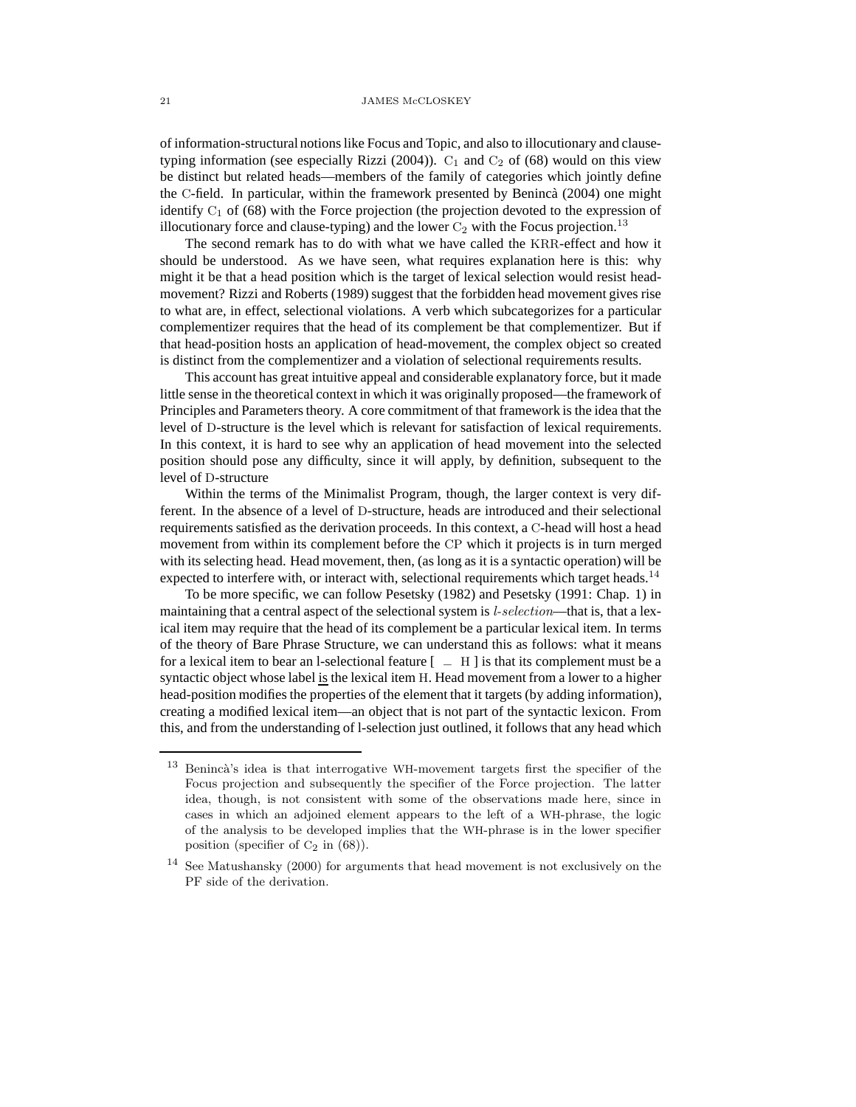of information-structural notions like Focus and Topic, and also to illocutionary and clausetyping information (see especially Rizzi (2004)).  $C_1$  and  $C_2$  of (68) would on this view be distinct but related heads—members of the family of categories which jointly define the C-field. In particular, within the framework presented by Benincà  $(2004)$  one might identify  $C_1$  of (68) with the Force projection (the projection devoted to the expression of illocutionary force and clause-typing) and the lower  $C_2$  with the Focus projection.<sup>13</sup>

The second remark has to do with what we have called the KRR-effect and how it should be understood. As we have seen, what requires explanation here is this: why might it be that a head position which is the target of lexical selection would resist headmovement? Rizzi and Roberts (1989) suggest that the forbidden head movement gives rise to what are, in effect, selectional violations. A verb which subcategorizes for a particular complementizer requires that the head of its complement be that complementizer. But if that head-position hosts an application of head-movement, the complex object so created is distinct from the complementizer and a violation of selectional requirements results.

This account has great intuitive appeal and considerable explanatory force, but it made little sense in the theoretical context in which it was originally proposed—the framework of Principles and Parameters theory. A core commitment of that framework is the idea that the level of D-structure is the level which is relevant for satisfaction of lexical requirements. In this context, it is hard to see why an application of head movement into the selected position should pose any difficulty, since it will apply, by definition, subsequent to the level of D-structure

Within the terms of the Minimalist Program, though, the larger context is very different. In the absence of a level of D-structure, heads are introduced and their selectional requirements satisfied as the derivation proceeds. In this context, a C-head will host a head movement from within its complement before the CP which it projects is in turn merged with its selecting head. Head movement, then, (as long as it is a syntactic operation) will be expected to interfere with, or interact with, selectional requirements which target heads.<sup>14</sup>

To be more specific, we can follow Pesetsky (1982) and Pesetsky (1991: Chap. 1) in maintaining that a central aspect of the selectional system is  $l$ -selection—that is, that a lexical item may require that the head of its complement be a particular lexical item. In terms of the theory of Bare Phrase Structure, we can understand this as follows: what it means for a lexical item to bear an l-selectional feature  $[-H]$  is that its complement must be a syntactic object whose label is the lexical item H. Head movement from a lower to a higher head-position modifies the properties of the element that it targets (by adding information), creating a modified lexical item—an object that is not part of the syntactic lexicon. From this, and from the understanding of l-selection just outlined, it follows that any head which

 $13$  Benincà's idea is that interrogative WH-movement targets first the specifier of the Focus projection and subsequently the specifier of the Force projection. The latter idea, though, is not consistent with some of the observations made here, since in cases in which an adjoined element appears to the left of a WH-phrase, the logic of the analysis to be developed implies that the WH-phrase is in the lower specifier position (specifier of  $C_2$  in (68)).

<sup>14</sup> See Matushansky (2000) for arguments that head movement is not exclusively on the PF side of the derivation.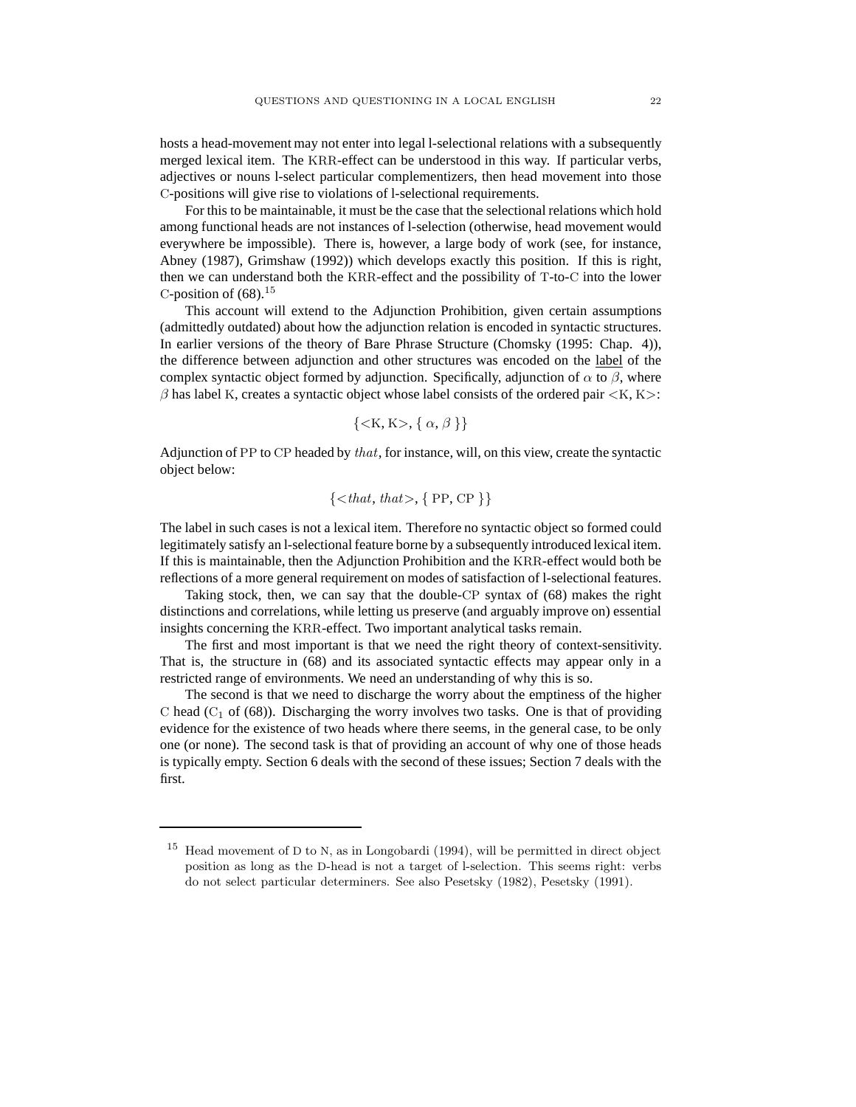hosts a head-movement may not enter into legal l-selectional relations with a subsequently merged lexical item. The KRR-effect can be understood in this way. If particular verbs, adjectives or nouns l-select particular complementizers, then head movement into those C-positions will give rise to violations of l-selectional requirements.

For this to be maintainable, it must be the case that the selectional relations which hold among functional heads are not instances of l-selection (otherwise, head movement would everywhere be impossible). There is, however, a large body of work (see, for instance, Abney (1987), Grimshaw (1992)) which develops exactly this position. If this is right, then we can understand both the KRR-effect and the possibility of T-to-C into the lower C-position of  $(68)$ .<sup>15</sup>

This account will extend to the Adjunction Prohibition, given certain assumptions (admittedly outdated) about how the adjunction relation is encoded in syntactic structures. In earlier versions of the theory of Bare Phrase Structure (Chomsky (1995: Chap. 4)), the difference between adjunction and other structures was encoded on the label of the complex syntactic object formed by adjunction. Specifically, adjunction of  $\alpha$  to  $\beta$ , where  $\beta$  has label K, creates a syntactic object whose label consists of the ordered pair  $\langle K, K \rangle$ :

$$
\{\langle K, K \rangle, \{\alpha, \beta\}\}\
$$

Adjunction of PP to CP headed by  $that$ , for instance, will, on this view, create the syntactic object below:

$$
\{\langle \textit{that}, \textit{that} \rangle, \{\text{ PP}, \text{ CP}\} \}
$$

The label in such cases is not a lexical item. Therefore no syntactic object so formed could legitimately satisfy an l-selectional feature borne by a subsequently introduced lexical item. If this is maintainable, then the Adjunction Prohibition and the KRR-effect would both be reflections of a more general requirement on modes of satisfaction of l-selectional features.

Taking stock, then, we can say that the double-CP syntax of (68) makes the right distinctions and correlations, while letting us preserve (and arguably improve on) essential insights concerning the KRR-effect. Two important analytical tasks remain.

The first and most important is that we need the right theory of context-sensitivity. That is, the structure in (68) and its associated syntactic effects may appear only in a restricted range of environments. We need an understanding of why this is so.

The second is that we need to discharge the worry about the emptiness of the higher C head  $(C_1$  of (68)). Discharging the worry involves two tasks. One is that of providing evidence for the existence of two heads where there seems, in the general case, to be only one (or none). The second task is that of providing an account of why one of those heads is typically empty. Section 6 deals with the second of these issues; Section 7 deals with the first.

 $15$  Head movement of D to N, as in Longobardi (1994), will be permitted in direct object position as long as the D-head is not a target of l-selection. This seems right: verbs do not select particular determiners. See also Pesetsky (1982), Pesetsky (1991).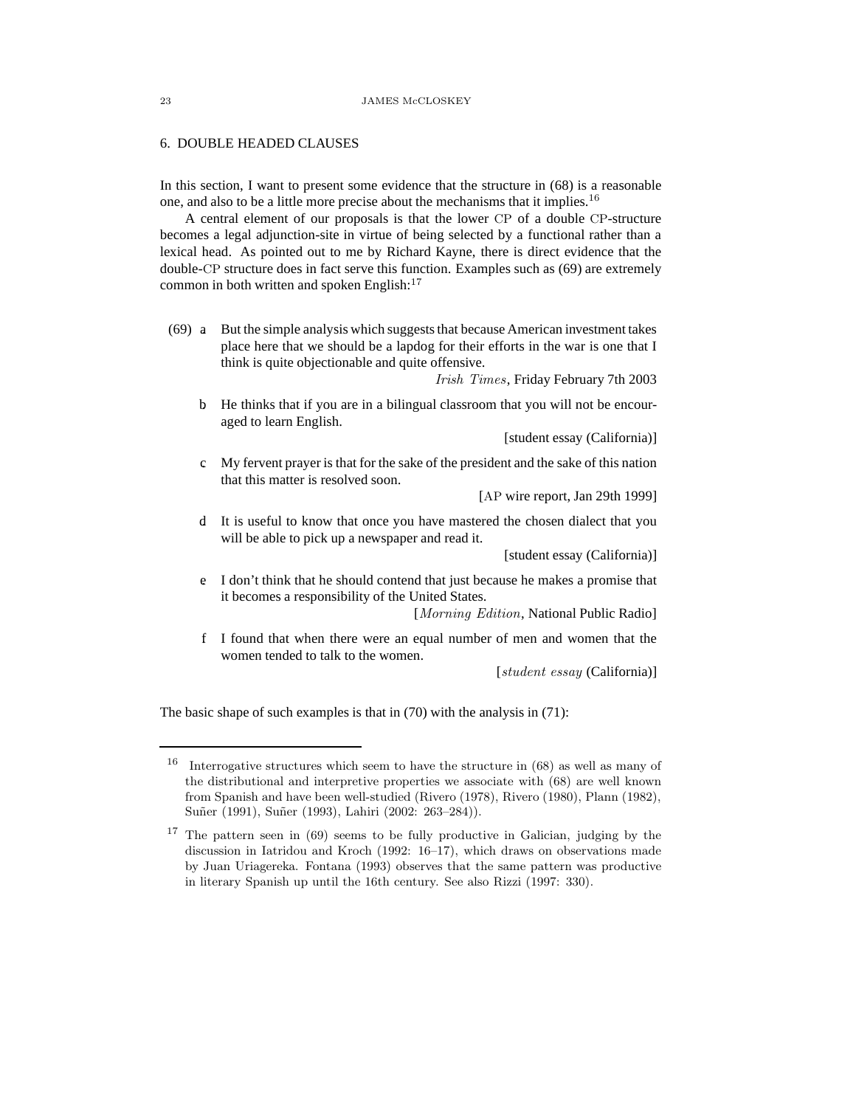#### 6. DOUBLE HEADED CLAUSES

In this section, I want to present some evidence that the structure in (68) is a reasonable one, and also to be a little more precise about the mechanisms that it implies.<sup>16</sup>

A central element of our proposals is that the lower CP of a double CP-structure becomes a legal adjunction-site in virtue of being selected by a functional rather than a lexical head. As pointed out to me by Richard Kayne, there is direct evidence that the double-CP structure does in fact serve this function. Examples such as (69) are extremely common in both written and spoken English:<sup>17</sup>

(69) a. But the simple analysis which suggests that because American investment takes place here that we should be a lapdog for their efforts in the war is one that I think is quite objectionable and quite offensive.

Irish Times, Friday February 7th 2003

b. He thinks that if you are in a bilingual classroom that you will not be encouraged to learn English.

[student essay (California)]

c. My fervent prayer is that for the sake of the president and the sake of this nation that this matter is resolved soon.

[AP wire report, Jan 29th 1999]

d. It is useful to know that once you have mastered the chosen dialect that you will be able to pick up a newspaper and read it.

[student essay (California)]

e. I don't think that he should contend that just because he makes a promise that it becomes a responsibility of the United States.

[Morning Edition, National Public Radio]

f. I found that when there were an equal number of men and women that the women tended to talk to the women.

[student essay (California)]

The basic shape of such examples is that in (70) with the analysis in (71):

<sup>16</sup> Interrogative structures which seem to have the structure in (68) as well as many of the distributional and interpretive properties we associate with (68) are well known from Spanish and have been well-studied (Rivero (1978), Rivero (1980), Plann (1982), Suñer (1991), Suñer (1993), Lahiri (2002: 263-284)).

<sup>&</sup>lt;sup>17</sup> The pattern seen in (69) seems to be fully productive in Galician, judging by the discussion in Iatridou and Kroch (1992: 16–17), which draws on observations made by Juan Uriagereka. Fontana (1993) observes that the same pattern was productive in literary Spanish up until the 16th century. See also Rizzi (1997: 330).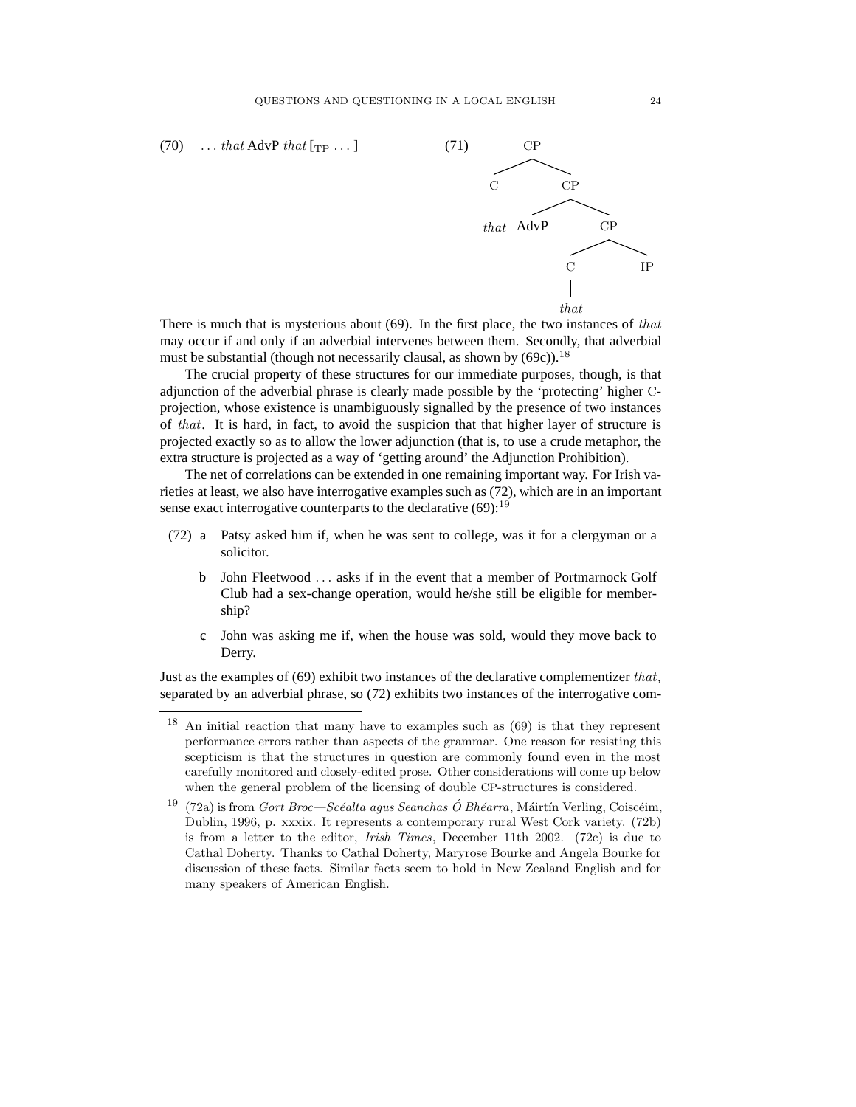



There is much that is mysterious about  $(69)$ . In the first place, the two instances of that may occur if and only if an adverbial intervenes between them. Secondly, that adverbial must be substantial (though not necessarily clausal, as shown by  $(69c)$ ).<sup>18</sup>

The crucial property of these structures for our immediate purposes, though, is that adjunction of the adverbial phrase is clearly made possible by the 'protecting' higher Cprojection, whose existence is unambiguously signalled by the presence of two instances of that. It is hard, in fact, to avoid the suspicion that that higher layer of structure is projected exactly so as to allow the lower adjunction (that is, to use a crude metaphor, the extra structure is projected as a way of 'getting around' the Adjunction Prohibition).

The net of correlations can be extended in one remaining important way. For Irish varieties at least, we also have interrogative examples such as (72), which are in an important sense exact interrogative counterparts to the declarative  $(69)$ :<sup>19</sup>

- (72) a. Patsy asked him if, when he was sent to college, was it for a clergyman or a solicitor.
	- b. John Fleetwood . . . asks if in the event that a member of Portmarnock Golf Club had a sex-change operation, would he/she still be eligible for membership?
	- c. John was asking me if, when the house was sold, would they move back to Derry.

Just as the examples of (69) exhibit two instances of the declarative complementizer that, separated by an adverbial phrase, so (72) exhibits two instances of the interrogative com-

<sup>18</sup> An initial reaction that many have to examples such as (69) is that they represent performance errors rather than aspects of the grammar. One reason for resisting this scepticism is that the structures in question are commonly found even in the most carefully monitored and closely-edited prose. Other considerations will come up below when the general problem of the licensing of double CP-structures is considered.

<sup>&</sup>lt;sup>19</sup> (72a) is from *Gort Broc—Scéalta agus Seanchas Ó Bhéarra*, Máirtín Verling, Coiscéim, Dublin, 1996, p. xxxix. It represents a contemporary rural West Cork variety. (72b) is from a letter to the editor, *Irish Times*, December 11th 2002. (72c) is due to Cathal Doherty. Thanks to Cathal Doherty, Maryrose Bourke and Angela Bourke for discussion of these facts. Similar facts seem to hold in New Zealand English and for many speakers of American English.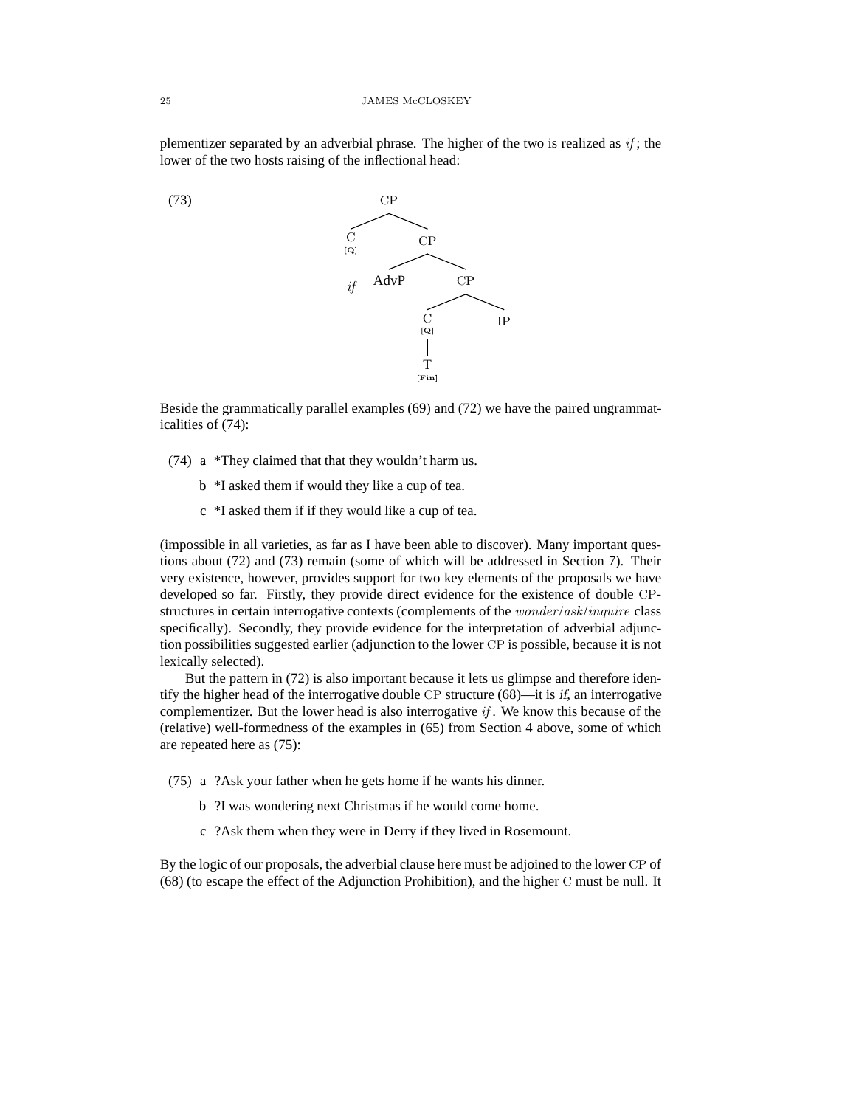plementizer separated by an adverbial phrase. The higher of the two is realized as  $if$ ; the lower of the two hosts raising of the inflectional head:



Beside the grammatically parallel examples (69) and (72) we have the paired ungrammaticalities of (74):

- (74) a. \*They claimed that that they wouldn't harm us.
	- b. \*I asked them if would they like a cup of tea.
	- c. \*I asked them if if they would like a cup of tea.

(impossible in all varieties, as far as I have been able to discover). Many important questions about (72) and (73) remain (some of which will be addressed in Section 7). Their very existence, however, provides support for two key elements of the proposals we have developed so far. Firstly, they provide direct evidence for the existence of double CPstructures in certain interrogative contexts (complements of the *wonder/ask/inquire* class specifically). Secondly, they provide evidence for the interpretation of adverbial adjunction possibilities suggested earlier (adjunction to the lower CP is possible, because it is not lexically selected).

But the pattern in (72) is also important because it lets us glimpse and therefore identify the higher head of the interrogative double CP structure  $(68)$ —it is *if*, an interrogative complementizer. But the lower head is also interrogative  $if$ . We know this because of the (relative) well-formedness of the examples in (65) from Section 4 above, some of which are repeated here as (75):

- (75) a. ?Ask your father when he gets home if he wants his dinner.
	- b. ?I was wondering next Christmas if he would come home.
	- c. ?Ask them when they were in Derry if they lived in Rosemount.

By the logic of our proposals, the adverbial clause here must be adjoined to the lower CP of (68) (to escape the effect of the Adjunction Prohibition), and the higher C must be null. It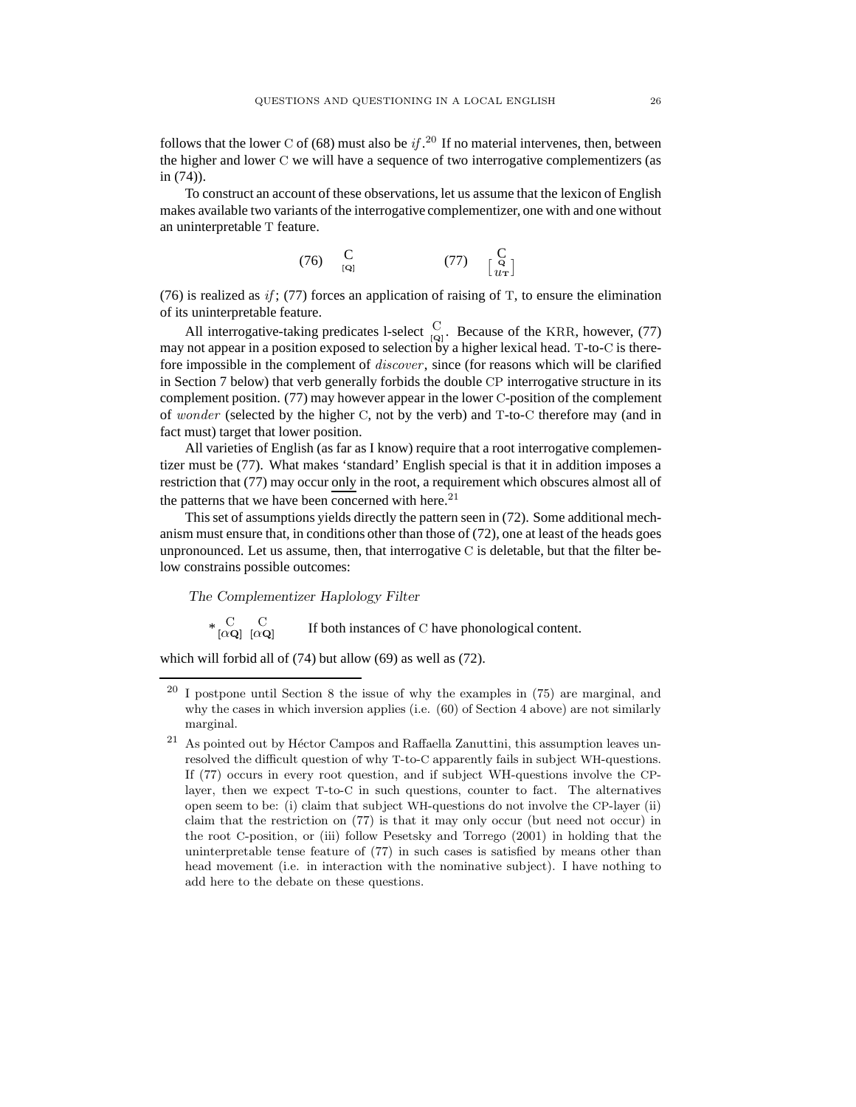follows that the lower C of (68) must also be  $if.^{20}$  If no material intervenes, then, between the higher and lower C we will have a sequence of two interrogative complementizers (as in (74)).

To construct an account of these observations, let us assume that the lexicon of English makes available two variants of the interrogative complementizer, one with and one without an uninterpretable T feature.

$$
(76)\quad \begin{array}{cc} C \\ [q] \end{array} \tag{77} \quad \begin{array}{cc} C \\ [q] \end{array}
$$

(76) is realized as if; (77) forces an application of raising of T, to ensure the elimination of its uninterpretable feature.

All interrogative-taking predicates 1-select  $\frac{C}{[Q]}$ . Because of the KRR, however, (77) may not appear in a position exposed to selection by a higher lexical head. T-to-C is therefore impossible in the complement of *discover*, since (for reasons which will be clarified in Section 7 below) that verb generally forbids the double CP interrogative structure in its complement position. (77) may however appear in the lower C-position of the complement of wonder (selected by the higher C, not by the verb) and T-to-C therefore may (and in fact must) target that lower position.

All varieties of English (as far as I know) require that a root interrogative complementizer must be (77). What makes 'standard' English special is that it in addition imposes a restriction that (77) may occur only in the root, a requirement which obscures almost all of the patterns that we have been concerned with here. $21$ 

This set of assumptions yields directly the pattern seen in (72). Some additional mechanism must ensure that, in conditions other than those of (72), one at least of the heads goes unpronounced. Let us assume, then, that interrogative C is deletable, but that the filter below constrains possible outcomes:

The Complementizer Haplology Filter

 $*\begin{array}{cc} \text{C} & \text{C} \ \text{[}\alpha\text{Q} \text{]} & \text{[}\alpha\text{C} \end{array}$ If both instances of  $C$  have phonological content.

which will forbid all of (74) but allow (69) as well as (72).

 $20$  I postpone until Section 8 the issue of why the examples in (75) are marginal, and why the cases in which inversion applies (i.e. (60) of Section 4 above) are not similarly marginal.

 $^{21}\,$  As pointed out by Héctor Campos and Raffaella Zanuttini, this assumption leaves unresolved the difficult question of why T-to-C apparently fails in subject WH-questions. If (77) occurs in every root question, and if subject WH-questions involve the CPlayer, then we expect T-to-C in such questions, counter to fact. The alternatives open seem to be: (i) claim that subject WH-questions do not involve the CP-layer (ii) claim that the restriction on (77) is that it may only occur (but need not occur) in the root C-position, or (iii) follow Pesetsky and Torrego (2001) in holding that the uninterpretable tense feature of (77) in such cases is satisfied by means other than head movement (i.e. in interaction with the nominative subject). I have nothing to add here to the debate on these questions.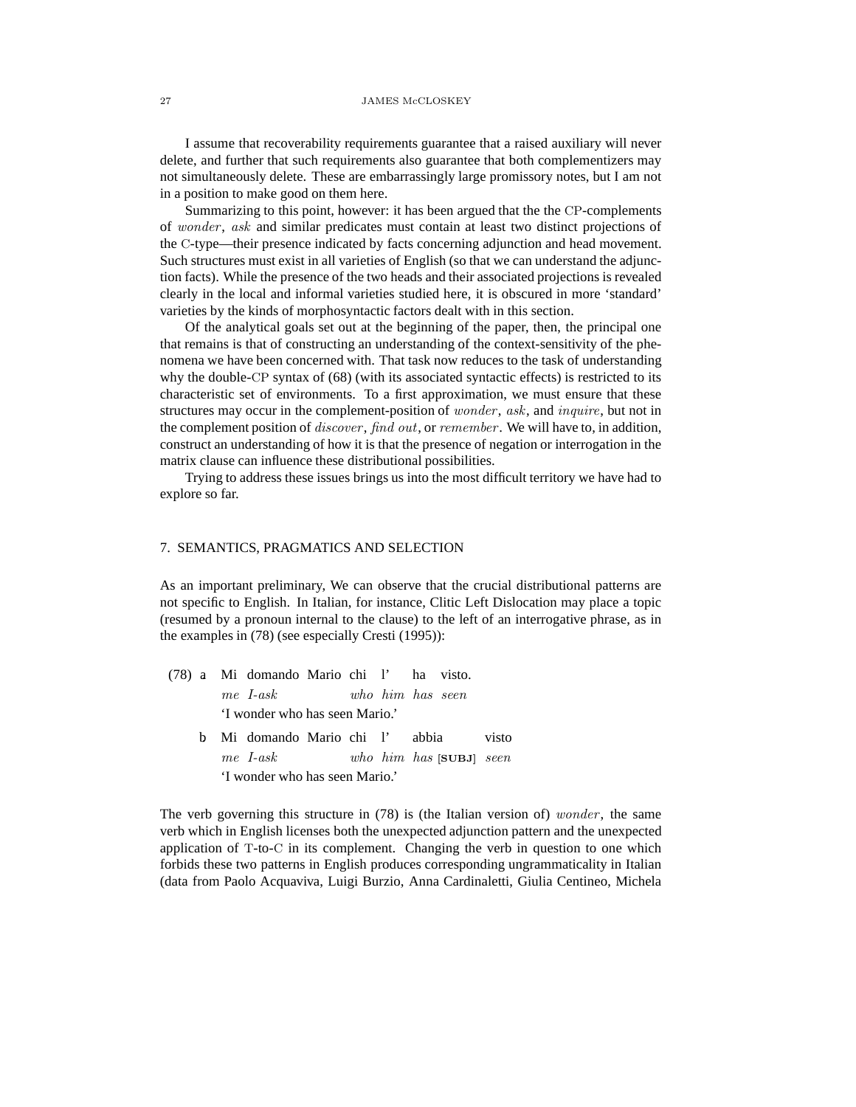I assume that recoverability requirements guarantee that a raised auxiliary will never delete, and further that such requirements also guarantee that both complementizers may not simultaneously delete. These are embarrassingly large promissory notes, but I am not in a position to make good on them here.

Summarizing to this point, however: it has been argued that the the CP-complements of wonder , ask and similar predicates must contain at least two distinct projections of the C-type—their presence indicated by facts concerning adjunction and head movement. Such structures must exist in all varieties of English (so that we can understand the adjunction facts). While the presence of the two heads and their associated projections is revealed clearly in the local and informal varieties studied here, it is obscured in more 'standard' varieties by the kinds of morphosyntactic factors dealt with in this section.

Of the analytical goals set out at the beginning of the paper, then, the principal one that remains is that of constructing an understanding of the context-sensitivity of the phenomena we have been concerned with. That task now reduces to the task of understanding why the double-CP syntax of (68) (with its associated syntactic effects) is restricted to its characteristic set of environments. To a first approximation, we must ensure that these structures may occur in the complement-position of *wonder*, ask, and *inquire*, but not in the complement position of *discover*, find out, or remember. We will have to, in addition, construct an understanding of how it is that the presence of negation or interrogation in the matrix clause can influence these distributional possibilities.

Trying to address these issues brings us into the most difficult territory we have had to explore so far.

## 7. SEMANTICS, PRAGMATICS AND SELECTION

As an important preliminary, We can observe that the crucial distributional patterns are not specific to English. In Italian, for instance, Clitic Left Dislocation may place a topic (resumed by a pronoun internal to the clause) to the left of an interrogative phrase, as in the examples in (78) (see especially Cresti (1995)):

- (78) a. Mi domando Mario chi l' ha visto. me I-ask who him has seen 'I wonder who has seen Mario.'
	- b. Mi domando Mario chi l' abbia visto me I-ask who him has [SUBJ] seen 'I wonder who has seen Mario.'

The verb governing this structure in  $(78)$  is (the Italian version of) wonder, the same verb which in English licenses both the unexpected adjunction pattern and the unexpected application of T-to-C in its complement. Changing the verb in question to one which forbids these two patterns in English produces corresponding ungrammaticality in Italian (data from Paolo Acquaviva, Luigi Burzio, Anna Cardinaletti, Giulia Centineo, Michela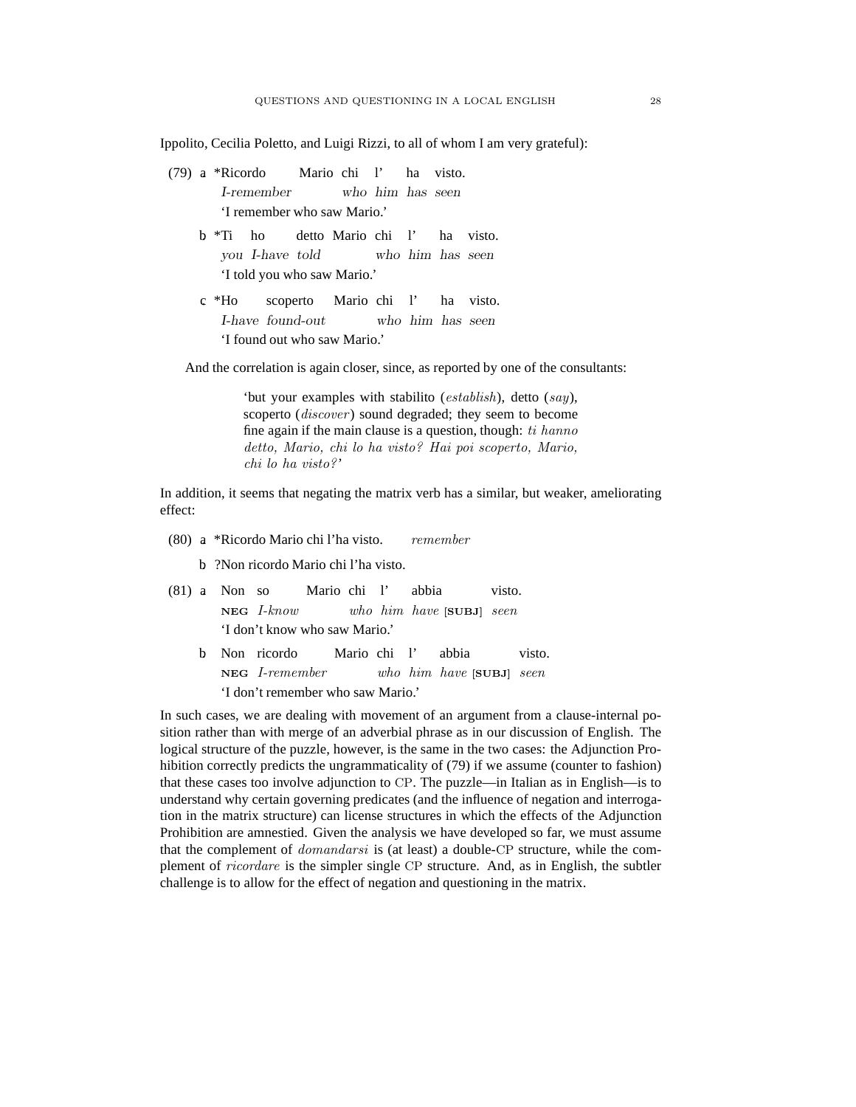Ippolito, Cecilia Poletto, and Luigi Rizzi, to all of whom I am very grateful):

- (79) a. \*Ricordo Mario chi l' ha visto. I-remember who him has seen 'I remember who saw Mario.'
	- b. \*Ti ho detto Mario chi l' ha visto. you I-have told who him has seen 'I told you who saw Mario.'
	- c. \*Ho scoperto Mario chi l' ha visto. I-have found-out who him has seen 'I found out who saw Mario.'

And the correlation is again closer, since, as reported by one of the consultants:

'but your examples with stabilito (establish), detto (say), scoperto (discover) sound degraded; they seem to become fine again if the main clause is a question, though:  $ti$  hanno detto, Mario, chi lo ha visto? Hai poi scoperto, Mario, chi lo ha visto?'

In addition, it seems that negating the matrix verb has a similar, but weaker, ameliorating effect:

- (80) a. \*Ricordo Mario chi l'ha visto.  $r$ emember
	- b. ?Non ricordo Mario chi l'ha visto.
- (81) a. Non so Mario chi l' abbia visto. NEG I-know who him have [SUBJ] seen 'I don't know who saw Mario.'
	- b. Non ricordo Mario chi l' abbia visto. NEG I-remember who him have [SUBJ] seen 'I don't remember who saw Mario.'

In such cases, we are dealing with movement of an argument from a clause-internal position rather than with merge of an adverbial phrase as in our discussion of English. The logical structure of the puzzle, however, is the same in the two cases: the Adjunction Prohibition correctly predicts the ungrammaticality of (79) if we assume (counter to fashion) that these cases too involve adjunction to CP. The puzzle—in Italian as in English—is to understand why certain governing predicates (and the influence of negation and interrogation in the matrix structure) can license structures in which the effects of the Adjunction Prohibition are amnestied. Given the analysis we have developed so far, we must assume that the complement of domandarsi is (at least) a double-CP structure, while the complement of ricordare is the simpler single CP structure. And, as in English, the subtler challenge is to allow for the effect of negation and questioning in the matrix.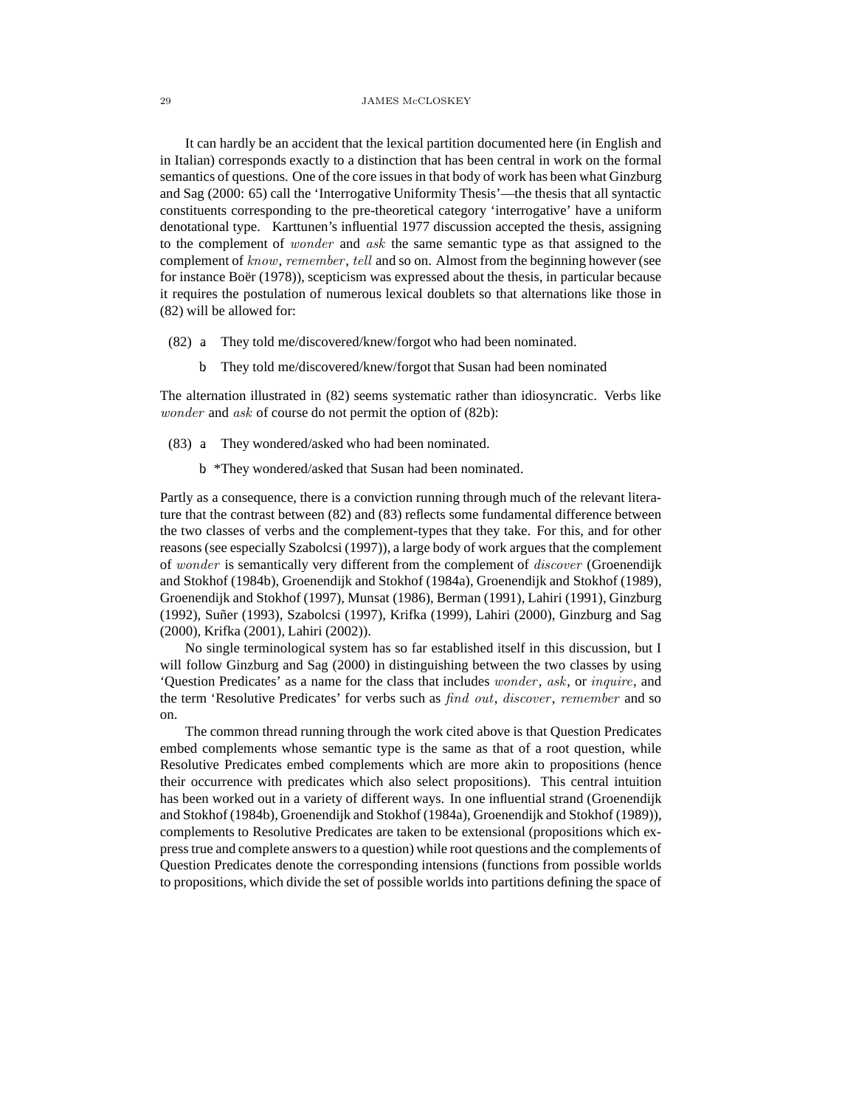It can hardly be an accident that the lexical partition documented here (in English and in Italian) corresponds exactly to a distinction that has been central in work on the formal semantics of questions. One of the core issues in that body of work has been what Ginzburg and Sag (2000: 65) call the 'Interrogative Uniformity Thesis'—the thesis that all syntactic constituents corresponding to the pre-theoretical category 'interrogative' have a uniform denotational type. Karttunen's influential 1977 discussion accepted the thesis, assigning to the complement of *wonder* and *ask* the same semantic type as that assigned to the complement of *know*, remember, tell and so on. Almost from the beginning however (see for instance Boër (1978)), scepticism was expressed about the thesis, in particular because it requires the postulation of numerous lexical doublets so that alternations like those in (82) will be allowed for:

- (82) a. They told me/discovered/knew/forgot who had been nominated.
	- b. They told me/discovered/knew/forgot that Susan had been nominated

The alternation illustrated in (82) seems systematic rather than idiosyncratic. Verbs like wonder and ask of course do not permit the option of (82b):

- (83) a. They wondered/asked who had been nominated.
	- b. \*They wondered/asked that Susan had been nominated.

Partly as a consequence, there is a conviction running through much of the relevant literature that the contrast between (82) and (83) reflects some fundamental difference between the two classes of verbs and the complement-types that they take. For this, and for other reasons (see especially Szabolcsi (1997)), a large body of work argues that the complement of wonder is semantically very different from the complement of discover (Groenendijk and Stokhof (1984b), Groenendijk and Stokhof (1984a), Groenendijk and Stokhof (1989), Groenendijk and Stokhof (1997), Munsat (1986), Berman (1991), Lahiri (1991), Ginzburg (1992), Suñer (1993), Szabolcsi (1997), Krifka (1999), Lahiri (2000), Ginzburg and Sag (2000), Krifka (2001), Lahiri (2002)).

No single terminological system has so far established itself in this discussion, but I will follow Ginzburg and Sag (2000) in distinguishing between the two classes by using 'Question Predicates' as a name for the class that includes wonder , ask, or inquire, and the term 'Resolutive Predicates' for verbs such as find out, discover, remember and so on.

The common thread running through the work cited above is that Question Predicates embed complements whose semantic type is the same as that of a root question, while Resolutive Predicates embed complements which are more akin to propositions (hence their occurrence with predicates which also select propositions). This central intuition has been worked out in a variety of different ways. In one influential strand (Groenendijk and Stokhof (1984b), Groenendijk and Stokhof (1984a), Groenendijk and Stokhof (1989)), complements to Resolutive Predicates are taken to be extensional (propositions which express true and complete answers to a question) while root questions and the complements of Question Predicates denote the corresponding intensions (functions from possible worlds to propositions, which divide the set of possible worlds into partitions defining the space of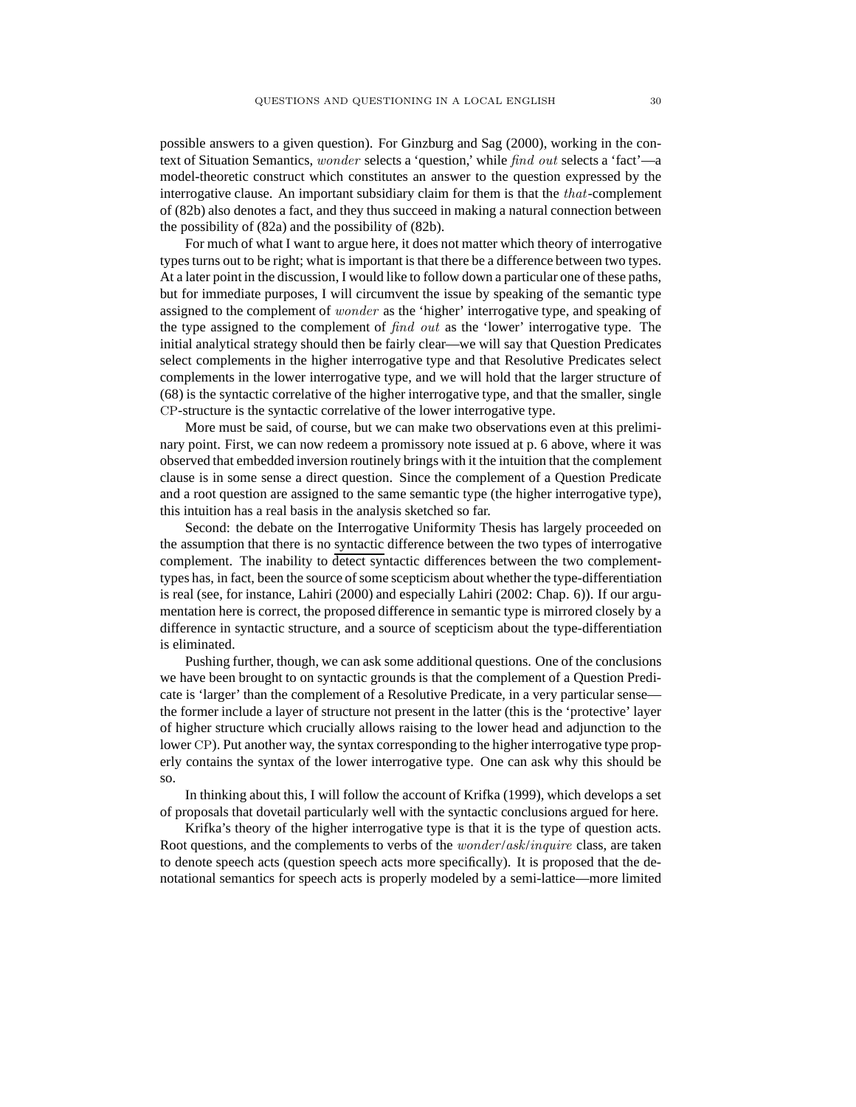possible answers to a given question). For Ginzburg and Sag (2000), working in the context of Situation Semantics, wonder selects a 'question,' while find out selects a 'fact'—a model-theoretic construct which constitutes an answer to the question expressed by the interrogative clause. An important subsidiary claim for them is that the  $that$ -complement of (82b) also denotes a fact, and they thus succeed in making a natural connection between the possibility of (82a) and the possibility of (82b).

For much of what I want to argue here, it does not matter which theory of interrogative types turns out to be right; what is important is that there be a difference between two types. At a later point in the discussion, I would like to follow down a particular one of these paths, but for immediate purposes, I will circumvent the issue by speaking of the semantic type assigned to the complement of *wonder* as the 'higher' interrogative type, and speaking of the type assigned to the complement of  $find\ out$  as the 'lower' interrogative type. The initial analytical strategy should then be fairly clear—we will say that Question Predicates select complements in the higher interrogative type and that Resolutive Predicates select complements in the lower interrogative type, and we will hold that the larger structure of (68) is the syntactic correlative of the higher interrogative type, and that the smaller, single CP-structure is the syntactic correlative of the lower interrogative type.

More must be said, of course, but we can make two observations even at this preliminary point. First, we can now redeem a promissory note issued at p. 6 above, where it was observed that embedded inversion routinely brings with it the intuition that the complement clause is in some sense a direct question. Since the complement of a Question Predicate and a root question are assigned to the same semantic type (the higher interrogative type), this intuition has a real basis in the analysis sketched so far.

Second: the debate on the Interrogative Uniformity Thesis has largely proceeded on the assumption that there is no syntactic difference between the two types of interrogative complement. The inability to detect syntactic differences between the two complementtypes has, in fact, been the source of some scepticism about whether the type-differentiation is real (see, for instance, Lahiri (2000) and especially Lahiri (2002: Chap. 6)). If our argumentation here is correct, the proposed difference in semantic type is mirrored closely by a difference in syntactic structure, and a source of scepticism about the type-differentiation is eliminated.

Pushing further, though, we can ask some additional questions. One of the conclusions we have been brought to on syntactic grounds is that the complement of a Question Predicate is 'larger' than the complement of a Resolutive Predicate, in a very particular sense the former include a layer of structure not present in the latter (this is the 'protective' layer of higher structure which crucially allows raising to the lower head and adjunction to the lower CP). Put another way, the syntax corresponding to the higher interrogative type properly contains the syntax of the lower interrogative type. One can ask why this should be so.

In thinking about this, I will follow the account of Krifka (1999), which develops a set of proposals that dovetail particularly well with the syntactic conclusions argued for here.

Krifka's theory of the higher interrogative type is that it is the type of question acts. Root questions, and the complements to verbs of the *wonder/ask/inquire* class, are taken to denote speech acts (question speech acts more specifically). It is proposed that the denotational semantics for speech acts is properly modeled by a semi-lattice—more limited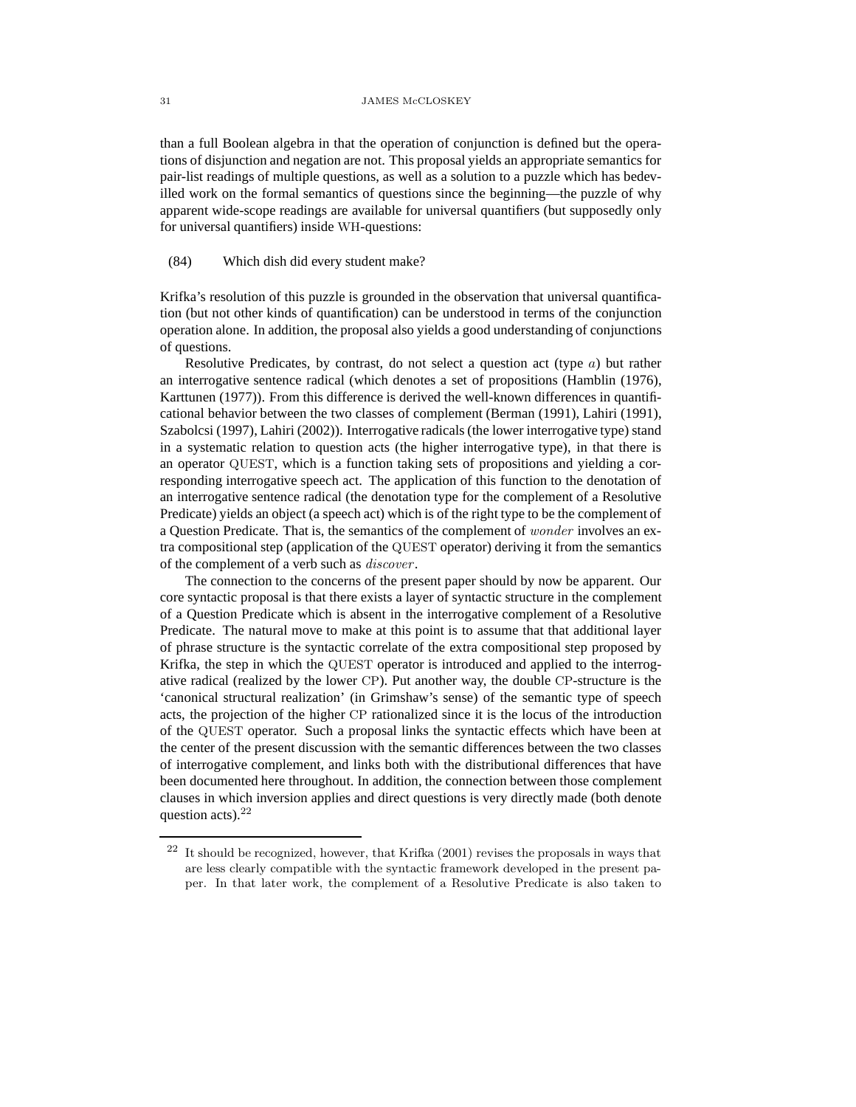than a full Boolean algebra in that the operation of conjunction is defined but the operations of disjunction and negation are not. This proposal yields an appropriate semantics for pair-list readings of multiple questions, as well as a solution to a puzzle which has bedevilled work on the formal semantics of questions since the beginning—the puzzle of why apparent wide-scope readings are available for universal quantifiers (but supposedly only for universal quantifiers) inside WH-questions:

## (84) Which dish did every student make?

Krifka's resolution of this puzzle is grounded in the observation that universal quantification (but not other kinds of quantification) can be understood in terms of the conjunction operation alone. In addition, the proposal also yields a good understanding of conjunctions of questions.

Resolutive Predicates, by contrast, do not select a question act (type a) but rather an interrogative sentence radical (which denotes a set of propositions (Hamblin (1976), Karttunen (1977)). From this difference is derived the well-known differences in quantificational behavior between the two classes of complement (Berman (1991), Lahiri (1991), Szabolcsi (1997), Lahiri (2002)). Interrogative radicals (the lower interrogative type) stand in a systematic relation to question acts (the higher interrogative type), in that there is an operator QUEST, which is a function taking sets of propositions and yielding a corresponding interrogative speech act. The application of this function to the denotation of an interrogative sentence radical (the denotation type for the complement of a Resolutive Predicate) yields an object (a speech act) which is of the right type to be the complement of a Question Predicate. That is, the semantics of the complement of wonder involves an extra compositional step (application of the QUEST operator) deriving it from the semantics of the complement of a verb such as discover .

The connection to the concerns of the present paper should by now be apparent. Our core syntactic proposal is that there exists a layer of syntactic structure in the complement of a Question Predicate which is absent in the interrogative complement of a Resolutive Predicate. The natural move to make at this point is to assume that that additional layer of phrase structure is the syntactic correlate of the extra compositional step proposed by Krifka, the step in which the QUEST operator is introduced and applied to the interrogative radical (realized by the lower CP). Put another way, the double CP-structure is the 'canonical structural realization' (in Grimshaw's sense) of the semantic type of speech acts, the projection of the higher CP rationalized since it is the locus of the introduction of the QUEST operator. Such a proposal links the syntactic effects which have been at the center of the present discussion with the semantic differences between the two classes of interrogative complement, and links both with the distributional differences that have been documented here throughout. In addition, the connection between those complement clauses in which inversion applies and direct questions is very directly made (both denote question acts).<sup>22</sup>

 $22$  It should be recognized, however, that Krifka (2001) revises the proposals in ways that are less clearly compatible with the syntactic framework developed in the present paper. In that later work, the complement of a Resolutive Predicate is also taken to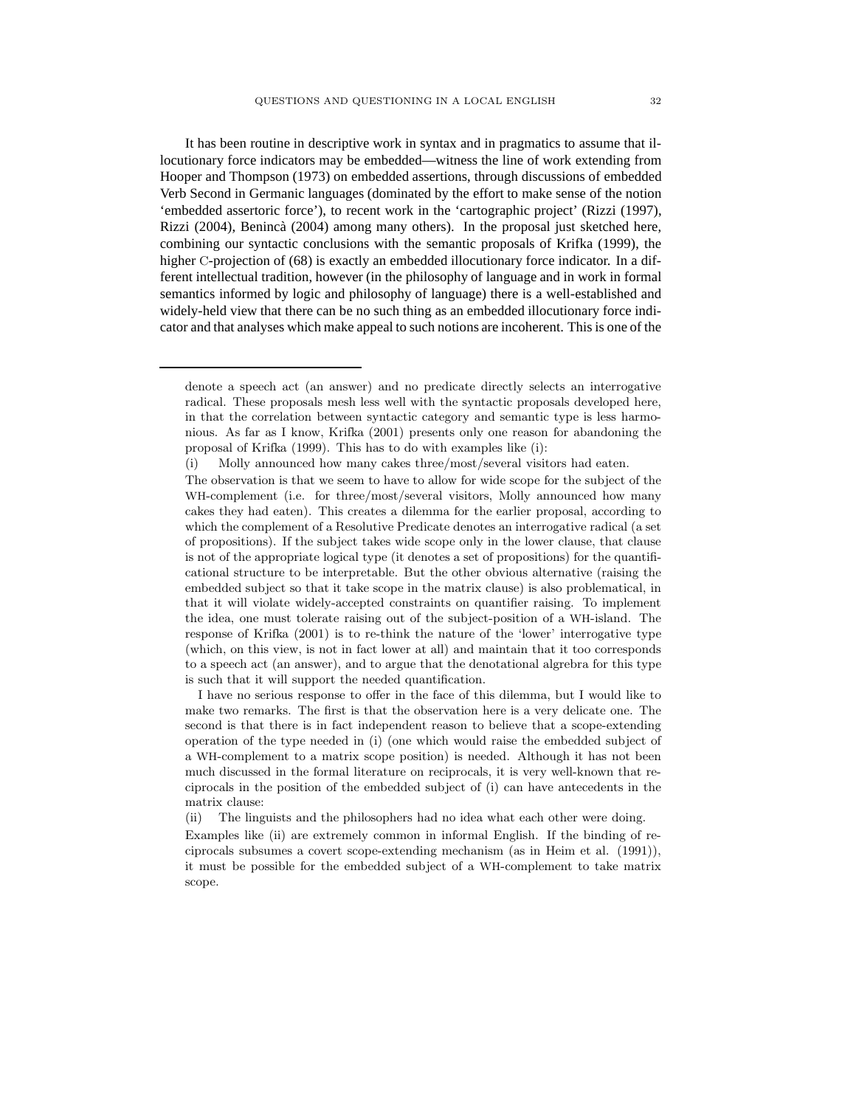It has been routine in descriptive work in syntax and in pragmatics to assume that illocutionary force indicators may be embedded—witness the line of work extending from Hooper and Thompson (1973) on embedded assertions, through discussions of embedded Verb Second in Germanic languages (dominated by the effort to make sense of the notion 'embedded assertoric force'), to recent work in the 'cartographic project' (Rizzi (1997), Rizzi (2004), Benincà (2004) among many others). In the proposal just sketched here, combining our syntactic conclusions with the semantic proposals of Krifka (1999), the higher C-projection of (68) is exactly an embedded illocutionary force indicator. In a different intellectual tradition, however (in the philosophy of language and in work in formal semantics informed by logic and philosophy of language) there is a well-established and widely-held view that there can be no such thing as an embedded illocutionary force indicator and that analyses which make appeal to such notions are incoherent. This is one of the

I have no serious response to offer in the face of this dilemma, but I would like to make two remarks. The first is that the observation here is a very delicate one. The second is that there is in fact independent reason to believe that a scope-extending operation of the type needed in (i) (one which would raise the embedded subject of a WH-complement to a matrix scope position) is needed. Although it has not been much discussed in the formal literature on reciprocals, it is very well-known that reciprocals in the position of the embedded subject of (i) can have antecedents in the matrix clause:

(ii) The linguists and the philosophers had no idea what each other were doing.

Examples like (ii) are extremely common in informal English. If the binding of reciprocals subsumes a covert scope-extending mechanism (as in Heim et al. (1991)), it must be possible for the embedded subject of a WH-complement to take matrix scope.

denote a speech act (an answer) and no predicate directly selects an interrogative radical. These proposals mesh less well with the syntactic proposals developed here, in that the correlation between syntactic category and semantic type is less harmonious. As far as I know, Krifka (2001) presents only one reason for abandoning the proposal of Krifka (1999). This has to do with examples like (i):

<sup>(</sup>i) Molly announced how many cakes three/most/several visitors had eaten.

The observation is that we seem to have to allow for wide scope for the subject of the WH-complement (i.e. for three/most/several visitors, Molly announced how many cakes they had eaten). This creates a dilemma for the earlier proposal, according to which the complement of a Resolutive Predicate denotes an interrogative radical (a set of propositions). If the subject takes wide scope only in the lower clause, that clause is not of the appropriate logical type (it denotes a set of propositions) for the quantificational structure to be interpretable. But the other obvious alternative (raising the embedded subject so that it take scope in the matrix clause) is also problematical, in that it will violate widely-accepted constraints on quantifier raising. To implement the idea, one must tolerate raising out of the subject-position of a WH-island. The response of Krifka (2001) is to re-think the nature of the 'lower' interrogative type (which, on this view, is not in fact lower at all) and maintain that it too corresponds to a speech act (an answer), and to argue that the denotational algrebra for this type is such that it will support the needed quantification.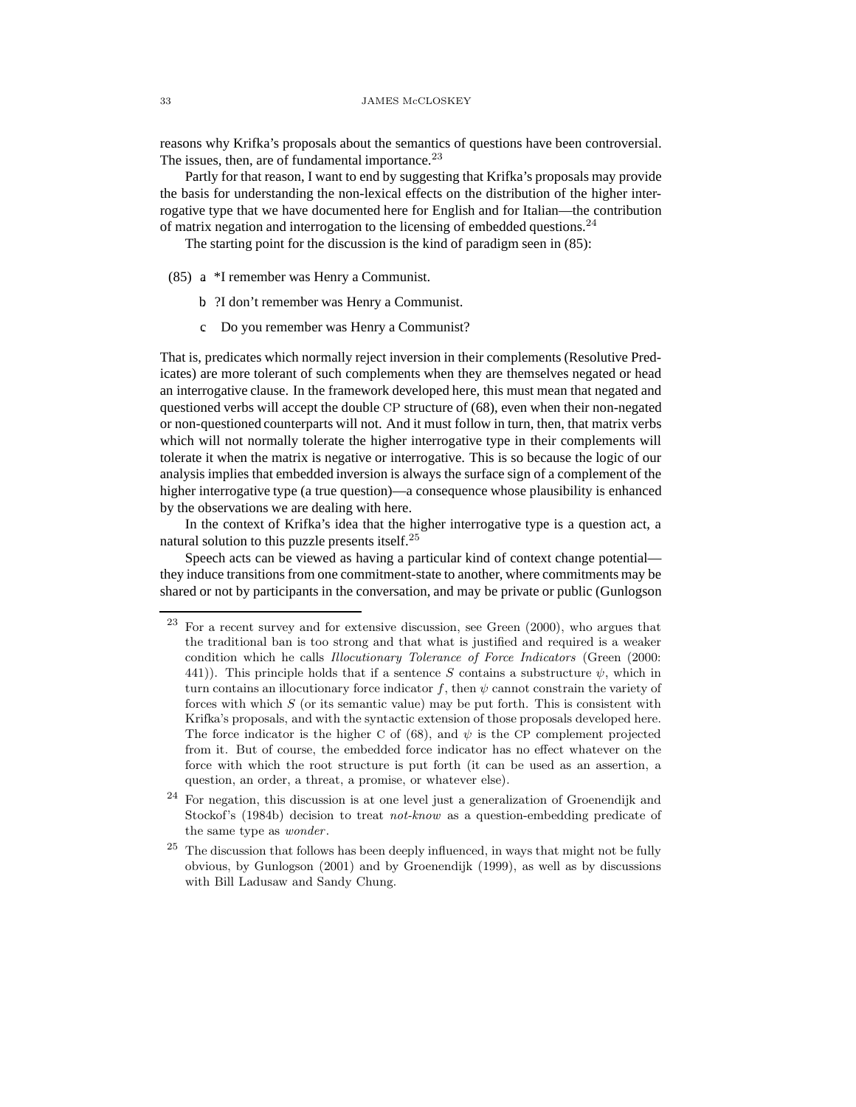reasons why Krifka's proposals about the semantics of questions have been controversial. The issues, then, are of fundamental importance. $^{23}$ 

Partly for that reason, I want to end by suggesting that Krifka's proposals may provide the basis for understanding the non-lexical effects on the distribution of the higher interrogative type that we have documented here for English and for Italian—the contribution of matrix negation and interrogation to the licensing of embedded questions.<sup>24</sup>

The starting point for the discussion is the kind of paradigm seen in (85):

- (85) a. \*I remember was Henry a Communist.
	- b. ?I don't remember was Henry a Communist.
	- c. Do you remember was Henry a Communist?

That is, predicates which normally reject inversion in their complements (Resolutive Predicates) are more tolerant of such complements when they are themselves negated or head an interrogative clause. In the framework developed here, this must mean that negated and questioned verbs will accept the double CP structure of (68), even when their non-negated or non-questioned counterparts will not. And it must follow in turn, then, that matrix verbs which will not normally tolerate the higher interrogative type in their complements will tolerate it when the matrix is negative or interrogative. This is so because the logic of our analysis implies that embedded inversion is always the surface sign of a complement of the higher interrogative type (a true question)—a consequence whose plausibility is enhanced by the observations we are dealing with here.

In the context of Krifka's idea that the higher interrogative type is a question act, a natural solution to this puzzle presents itself. $^{25}$ 

Speech acts can be viewed as having a particular kind of context change potential they induce transitions from one commitment-state to another, where commitments may be shared or not by participants in the conversation, and may be private or public (Gunlogson

<sup>23</sup> For a recent survey and for extensive discussion, see Green (2000), who argues that the traditional ban is too strong and that what is justified and required is a weaker condition which he calls Illocutionary Tolerance of Force Indicators (Green (2000: 441)). This principle holds that if a sentence S contains a substructure  $\psi$ , which in turn contains an illocutionary force indicator f, then  $\psi$  cannot constrain the variety of forces with which  $S$  (or its semantic value) may be put forth. This is consistent with Krifka's proposals, and with the syntactic extension of those proposals developed here. The force indicator is the higher C of (68), and  $\psi$  is the CP complement projected from it. But of course, the embedded force indicator has no effect whatever on the force with which the root structure is put forth (it can be used as an assertion, a question, an order, a threat, a promise, or whatever else).

 $24$  For negation, this discussion is at one level just a generalization of Groenendijk and Stockof's (1984b) decision to treat not-know as a question-embedding predicate of the same type as wonder.

 $25$  The discussion that follows has been deeply influenced, in ways that might not be fully obvious, by Gunlogson (2001) and by Groenendijk (1999), as well as by discussions with Bill Ladusaw and Sandy Chung.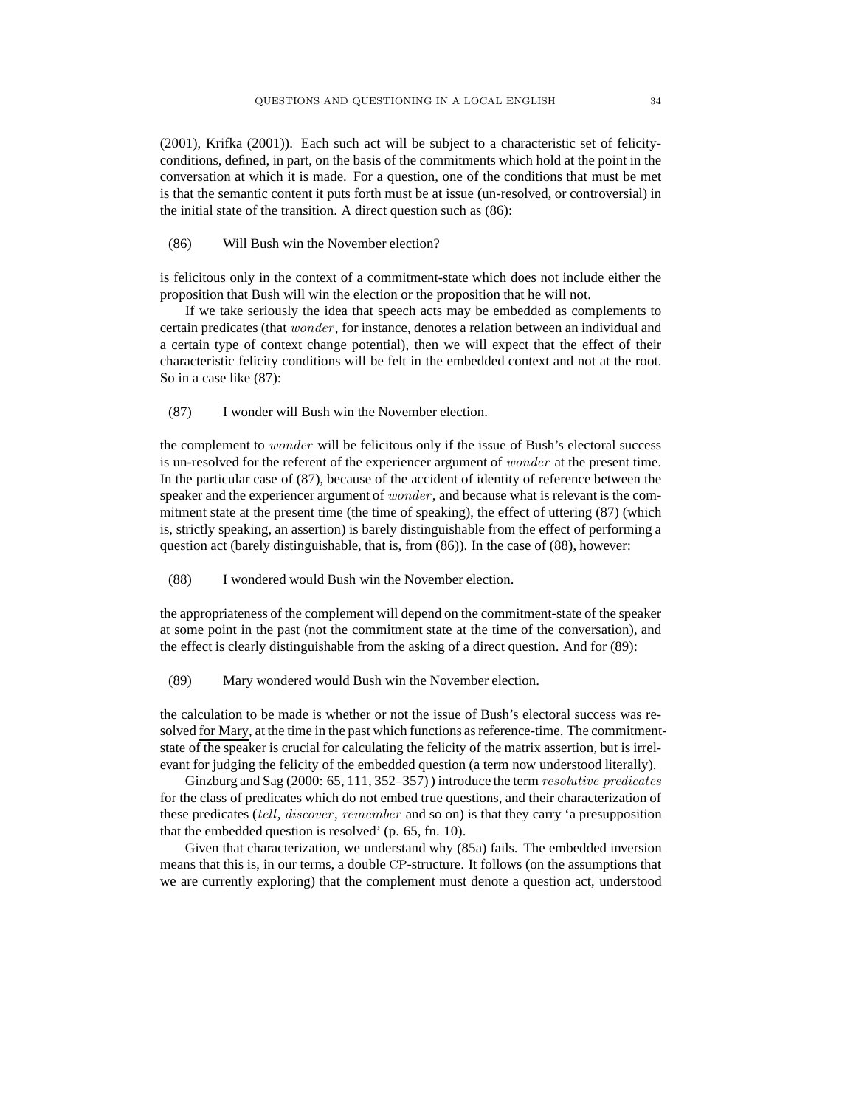(2001), Krifka (2001)). Each such act will be subject to a characteristic set of felicityconditions, defined, in part, on the basis of the commitments which hold at the point in the conversation at which it is made. For a question, one of the conditions that must be met is that the semantic content it puts forth must be at issue (un-resolved, or controversial) in the initial state of the transition. A direct question such as (86):

(86) Will Bush win the November election?

is felicitous only in the context of a commitment-state which does not include either the proposition that Bush will win the election or the proposition that he will not.

If we take seriously the idea that speech acts may be embedded as complements to certain predicates (that wonder , for instance, denotes a relation between an individual and a certain type of context change potential), then we will expect that the effect of their characteristic felicity conditions will be felt in the embedded context and not at the root. So in a case like (87):

(87) I wonder will Bush win the November election.

the complement to *wonder* will be felicitous only if the issue of Bush's electoral success is un-resolved for the referent of the experiencer argument of wonder at the present time. In the particular case of (87), because of the accident of identity of reference between the speaker and the experiencer argument of *wonder*, and because what is relevant is the commitment state at the present time (the time of speaking), the effect of uttering (87) (which is, strictly speaking, an assertion) is barely distinguishable from the effect of performing a question act (barely distinguishable, that is, from (86)). In the case of (88), however:

(88) I wondered would Bush win the November election.

the appropriateness of the complement will depend on the commitment-state of the speaker at some point in the past (not the commitment state at the time of the conversation), and the effect is clearly distinguishable from the asking of a direct question. And for (89):

(89) Mary wondered would Bush win the November election.

the calculation to be made is whether or not the issue of Bush's electoral success was resolved for Mary, at the time in the past which functions as reference-time. The commitmentstate of the speaker is crucial for calculating the felicity of the matrix assertion, but is irrelevant for judging the felicity of the embedded question (a term now understood literally).

Ginzburg and Sag (2000: 65, 111, 352–357) ) introduce the term *resolutive predicates* for the class of predicates which do not embed true questions, and their characterization of these predicates (tell, discover, remember and so on) is that they carry 'a presupposition that the embedded question is resolved' (p. 65, fn. 10).

Given that characterization, we understand why (85a) fails. The embedded inversion means that this is, in our terms, a double CP-structure. It follows (on the assumptions that we are currently exploring) that the complement must denote a question act, understood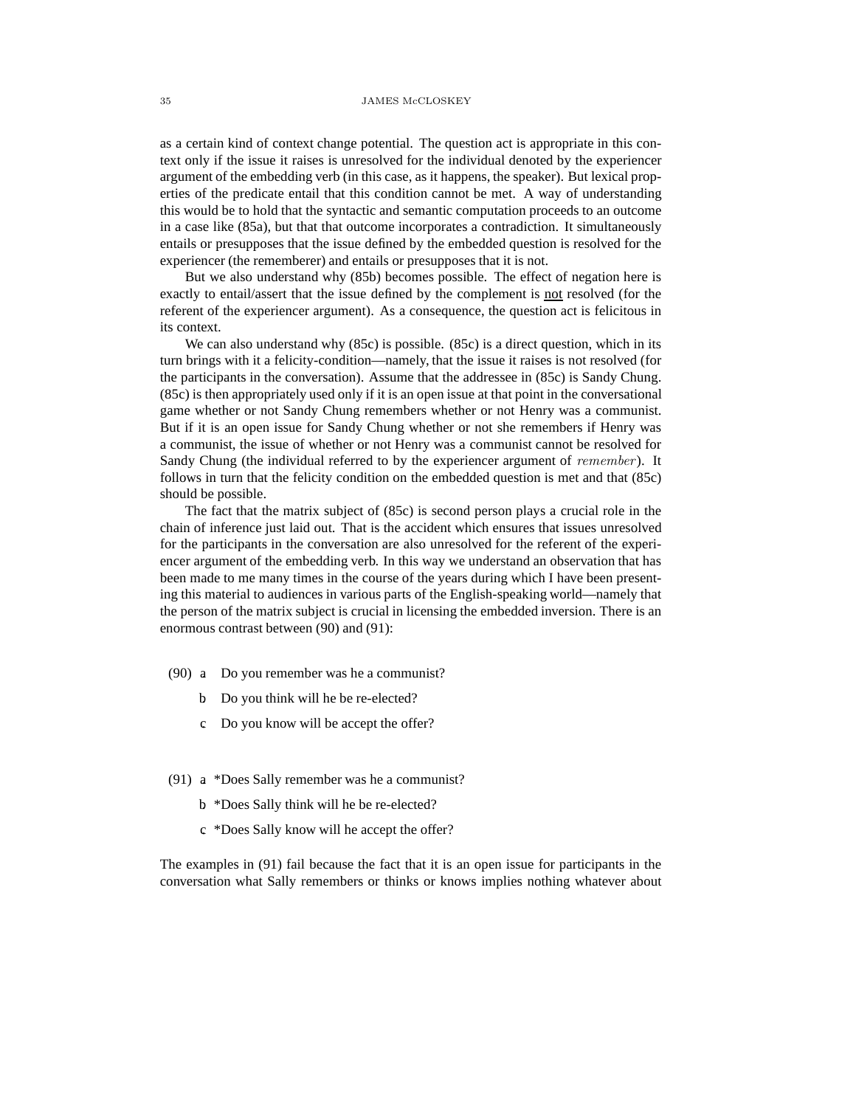as a certain kind of context change potential. The question act is appropriate in this context only if the issue it raises is unresolved for the individual denoted by the experiencer argument of the embedding verb (in this case, as it happens, the speaker). But lexical properties of the predicate entail that this condition cannot be met. A way of understanding this would be to hold that the syntactic and semantic computation proceeds to an outcome in a case like (85a), but that that outcome incorporates a contradiction. It simultaneously entails or presupposes that the issue defined by the embedded question is resolved for the experiencer (the rememberer) and entails or presupposes that it is not.

But we also understand why (85b) becomes possible. The effect of negation here is exactly to entail/assert that the issue defined by the complement is not resolved (for the referent of the experiencer argument). As a consequence, the question act is felicitous in its context.

We can also understand why (85c) is possible. (85c) is a direct question, which in its turn brings with it a felicity-condition—namely, that the issue it raises is not resolved (for the participants in the conversation). Assume that the addressee in (85c) is Sandy Chung. (85c) is then appropriately used only if it is an open issue at that point in the conversational game whether or not Sandy Chung remembers whether or not Henry was a communist. But if it is an open issue for Sandy Chung whether or not she remembers if Henry was a communist, the issue of whether or not Henry was a communist cannot be resolved for Sandy Chung (the individual referred to by the experiencer argument of *remember*). It follows in turn that the felicity condition on the embedded question is met and that (85c) should be possible.

The fact that the matrix subject of (85c) is second person plays a crucial role in the chain of inference just laid out. That is the accident which ensures that issues unresolved for the participants in the conversation are also unresolved for the referent of the experiencer argument of the embedding verb. In this way we understand an observation that has been made to me many times in the course of the years during which I have been presenting this material to audiences in various parts of the English-speaking world—namely that the person of the matrix subject is crucial in licensing the embedded inversion. There is an enormous contrast between (90) and (91):

- (90) a. Do you remember was he a communist?
	- b. Do you think will he be re-elected?
	- c. Do you know will be accept the offer?
- (91) a. \*Does Sally remember was he a communist?
	- b. \*Does Sally think will he be re-elected?
	- c. \*Does Sally know will he accept the offer?

The examples in (91) fail because the fact that it is an open issue for participants in the conversation what Sally remembers or thinks or knows implies nothing whatever about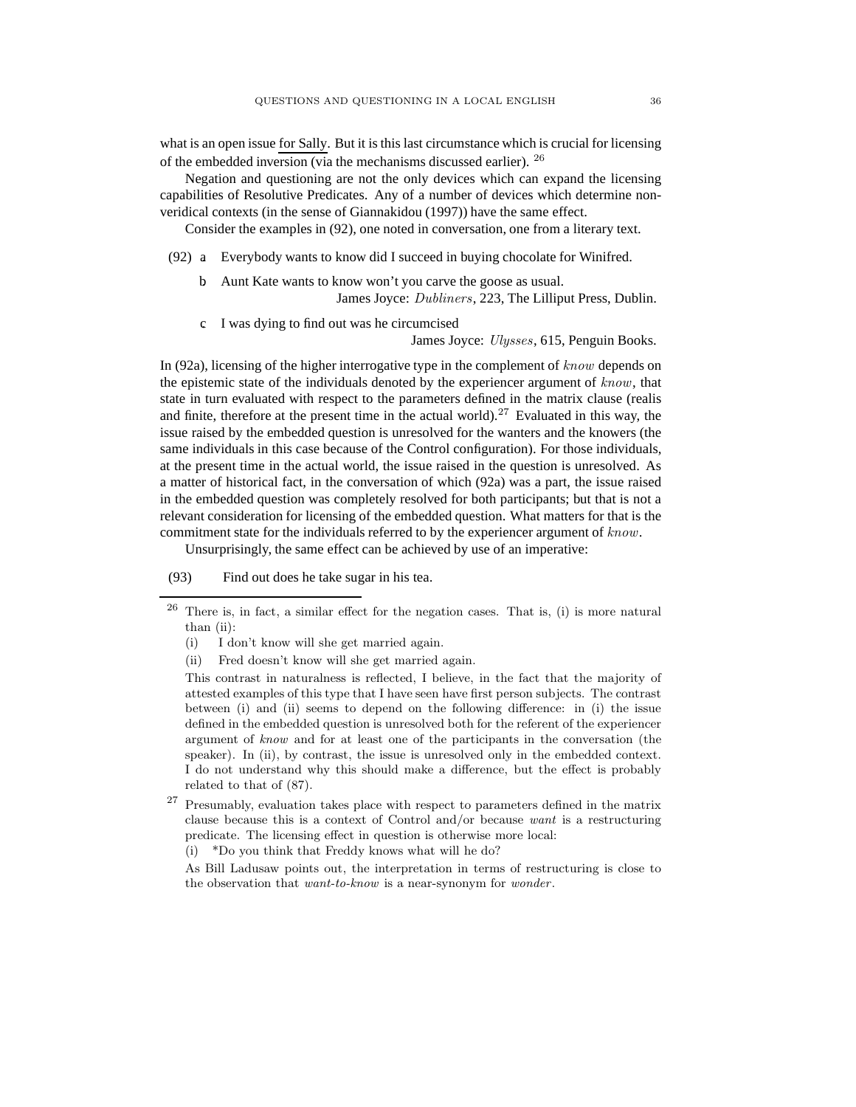what is an open issue for Sally. But it is this last circumstance which is crucial for licensing of the embedded inversion (via the mechanisms discussed earlier). <sup>26</sup>

Negation and questioning are not the only devices which can expand the licensing capabilities of Resolutive Predicates. Any of a number of devices which determine nonveridical contexts (in the sense of Giannakidou (1997)) have the same effect.

Consider the examples in (92), one noted in conversation, one from a literary text.

- (92) a. Everybody wants to know did I succeed in buying chocolate for Winifred.
	- b. Aunt Kate wants to know won't you carve the goose as usual. James Joyce: Dubliners, 223, The Lilliput Press, Dublin.
	- c. I was dying to find out was he circumcised

James Joyce: Ulysses, 615, Penguin Books.

In (92a), licensing of the higher interrogative type in the complement of  $known$  depends on the epistemic state of the individuals denoted by the experiencer argument of  $known$ , that state in turn evaluated with respect to the parameters defined in the matrix clause (realis and finite, therefore at the present time in the actual world).<sup>27</sup> Evaluated in this way, the issue raised by the embedded question is unresolved for the wanters and the knowers (the same individuals in this case because of the Control configuration). For those individuals, at the present time in the actual world, the issue raised in the question is unresolved. As a matter of historical fact, in the conversation of which (92a) was a part, the issue raised in the embedded question was completely resolved for both participants; but that is not a relevant consideration for licensing of the embedded question. What matters for that is the commitment state for the individuals referred to by the experiencer argument of  $known$ .

Unsurprisingly, the same effect can be achieved by use of an imperative:

- (93) Find out does he take sugar in his tea.
- $26$  There is, in fact, a similar effect for the negation cases. That is, (i) is more natural than (ii):
	- (i) I don't know will she get married again.
	- (ii) Fred doesn't know will she get married again.

This contrast in naturalness is reflected, I believe, in the fact that the majority of attested examples of this type that I have seen have first person subjects. The contrast between (i) and (ii) seems to depend on the following difference: in (i) the issue defined in the embedded question is unresolved both for the referent of the experiencer argument of know and for at least one of the participants in the conversation (the speaker). In (ii), by contrast, the issue is unresolved only in the embedded context. I do not understand why this should make a difference, but the effect is probably related to that of (87).

 $27$  Presumably, evaluation takes place with respect to parameters defined in the matrix clause because this is a context of Control and/or because want is a restructuring predicate. The licensing effect in question is otherwise more local:

(i) \*Do you think that Freddy knows what will he do?

As Bill Ladusaw points out, the interpretation in terms of restructuring is close to the observation that want-to-know is a near-synonym for wonder.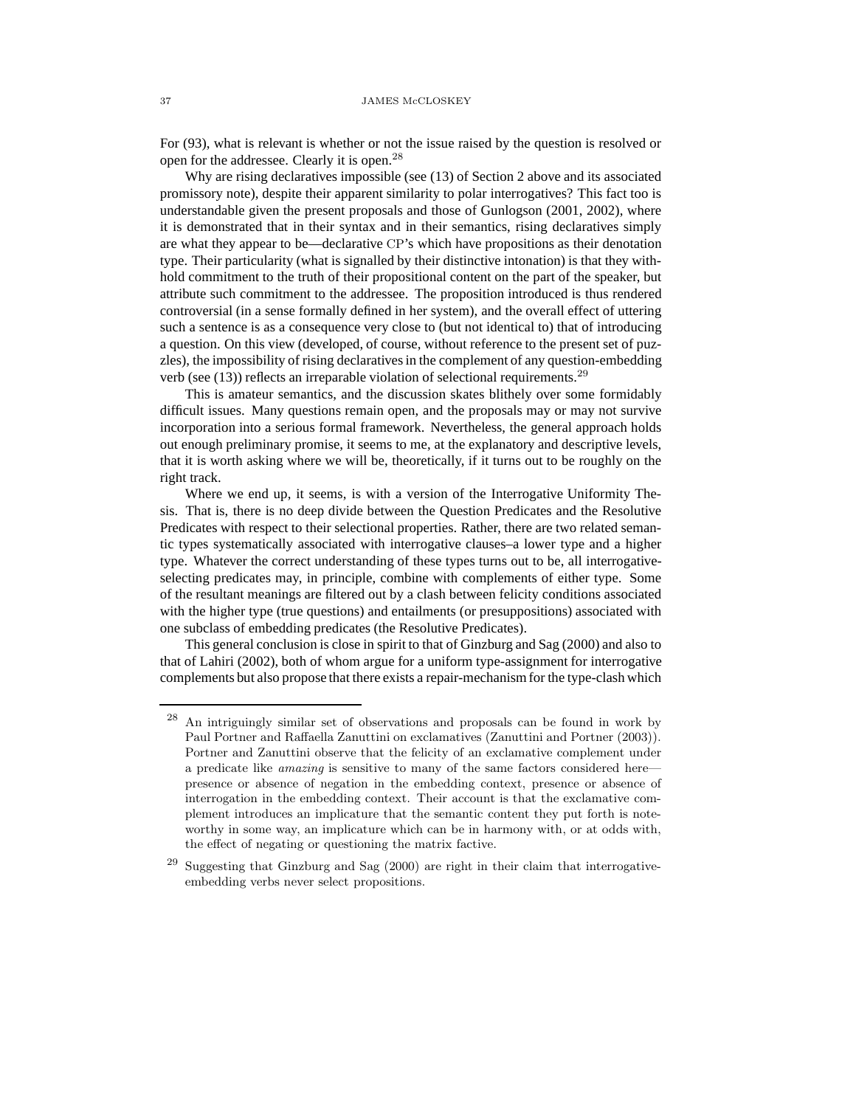For (93), what is relevant is whether or not the issue raised by the question is resolved or open for the addressee. Clearly it is open.<sup>28</sup>

Why are rising declaratives impossible (see (13) of Section 2 above and its associated promissory note), despite their apparent similarity to polar interrogatives? This fact too is understandable given the present proposals and those of Gunlogson (2001, 2002), where it is demonstrated that in their syntax and in their semantics, rising declaratives simply are what they appear to be—declarative CP's which have propositions as their denotation type. Their particularity (what is signalled by their distinctive intonation) is that they withhold commitment to the truth of their propositional content on the part of the speaker, but attribute such commitment to the addressee. The proposition introduced is thus rendered controversial (in a sense formally defined in her system), and the overall effect of uttering such a sentence is as a consequence very close to (but not identical to) that of introducing a question. On this view (developed, of course, without reference to the present set of puzzles), the impossibility of rising declaratives in the complement of any question-embedding verb (see  $(13)$ ) reflects an irreparable violation of selectional requirements.<sup>29</sup>

This is amateur semantics, and the discussion skates blithely over some formidably difficult issues. Many questions remain open, and the proposals may or may not survive incorporation into a serious formal framework. Nevertheless, the general approach holds out enough preliminary promise, it seems to me, at the explanatory and descriptive levels, that it is worth asking where we will be, theoretically, if it turns out to be roughly on the right track.

Where we end up, it seems, is with a version of the Interrogative Uniformity Thesis. That is, there is no deep divide between the Question Predicates and the Resolutive Predicates with respect to their selectional properties. Rather, there are two related semantic types systematically associated with interrogative clauses–a lower type and a higher type. Whatever the correct understanding of these types turns out to be, all interrogativeselecting predicates may, in principle, combine with complements of either type. Some of the resultant meanings are filtered out by a clash between felicity conditions associated with the higher type (true questions) and entailments (or presuppositions) associated with one subclass of embedding predicates (the Resolutive Predicates).

This general conclusion is close in spirit to that of Ginzburg and Sag (2000) and also to that of Lahiri (2002), both of whom argue for a uniform type-assignment for interrogative complements but also propose that there exists a repair-mechanism for the type-clash which

<sup>28</sup> An intriguingly similar set of observations and proposals can be found in work by Paul Portner and Raffaella Zanuttini on exclamatives (Zanuttini and Portner (2003)). Portner and Zanuttini observe that the felicity of an exclamative complement under a predicate like amazing is sensitive to many of the same factors considered here presence or absence of negation in the embedding context, presence or absence of interrogation in the embedding context. Their account is that the exclamative complement introduces an implicature that the semantic content they put forth is noteworthy in some way, an implicature which can be in harmony with, or at odds with, the effect of negating or questioning the matrix factive.

 $29$  Suggesting that Ginzburg and Sag (2000) are right in their claim that interrogativeembedding verbs never select propositions.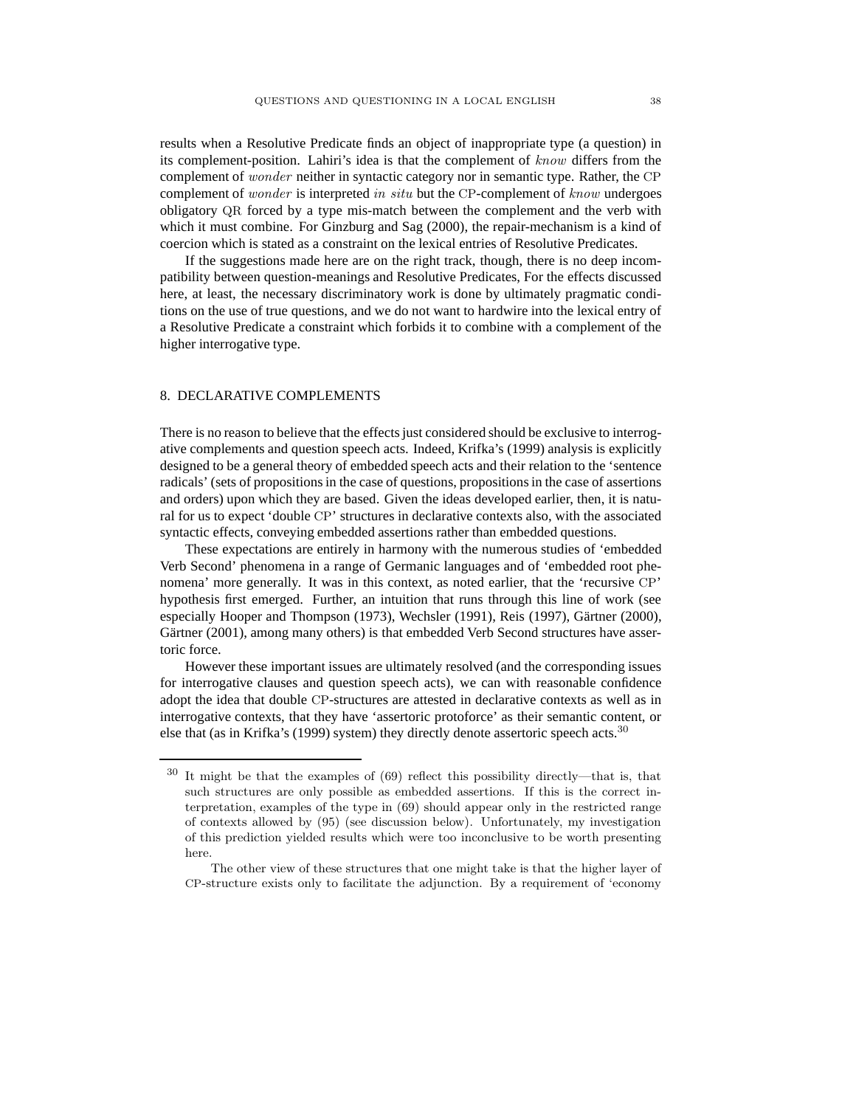results when a Resolutive Predicate finds an object of inappropriate type (a question) in its complement-position. Lahiri's idea is that the complement of know differs from the complement of *wonder* neither in syntactic category nor in semantic type. Rather, the CP complement of *wonder* is interpreted in situ but the CP-complement of know undergoes obligatory QR forced by a type mis-match between the complement and the verb with which it must combine. For Ginzburg and Sag (2000), the repair-mechanism is a kind of coercion which is stated as a constraint on the lexical entries of Resolutive Predicates.

If the suggestions made here are on the right track, though, there is no deep incompatibility between question-meanings and Resolutive Predicates, For the effects discussed here, at least, the necessary discriminatory work is done by ultimately pragmatic conditions on the use of true questions, and we do not want to hardwire into the lexical entry of a Resolutive Predicate a constraint which forbids it to combine with a complement of the higher interrogative type.

## 8. DECLARATIVE COMPLEMENTS

There is no reason to believe that the effects just considered should be exclusive to interrogative complements and question speech acts. Indeed, Krifka's (1999) analysis is explicitly designed to be a general theory of embedded speech acts and their relation to the 'sentence radicals' (sets of propositions in the case of questions, propositions in the case of assertions and orders) upon which they are based. Given the ideas developed earlier, then, it is natural for us to expect 'double CP' structures in declarative contexts also, with the associated syntactic effects, conveying embedded assertions rather than embedded questions.

These expectations are entirely in harmony with the numerous studies of 'embedded Verb Second' phenomena in a range of Germanic languages and of 'embedded root phenomena' more generally. It was in this context, as noted earlier, that the 'recursive CP' hypothesis first emerged. Further, an intuition that runs through this line of work (see especially Hooper and Thompson (1973), Wechsler (1991), Reis (1997), Gärtner (2000), Gärtner (2001), among many others) is that embedded Verb Second structures have assertoric force.

However these important issues are ultimately resolved (and the corresponding issues for interrogative clauses and question speech acts), we can with reasonable confidence adopt the idea that double CP-structures are attested in declarative contexts as well as in interrogative contexts, that they have 'assertoric protoforce' as their semantic content, or else that (as in Krifka's (1999) system) they directly denote assertoric speech acts.<sup>30</sup>

 $30$  It might be that the examples of  $(69)$  reflect this possibility directly—that is, that such structures are only possible as embedded assertions. If this is the correct interpretation, examples of the type in (69) should appear only in the restricted range of contexts allowed by (95) (see discussion below). Unfortunately, my investigation of this prediction yielded results which were too inconclusive to be worth presenting here.

The other view of these structures that one might take is that the higher layer of CP-structure exists only to facilitate the adjunction. By a requirement of 'economy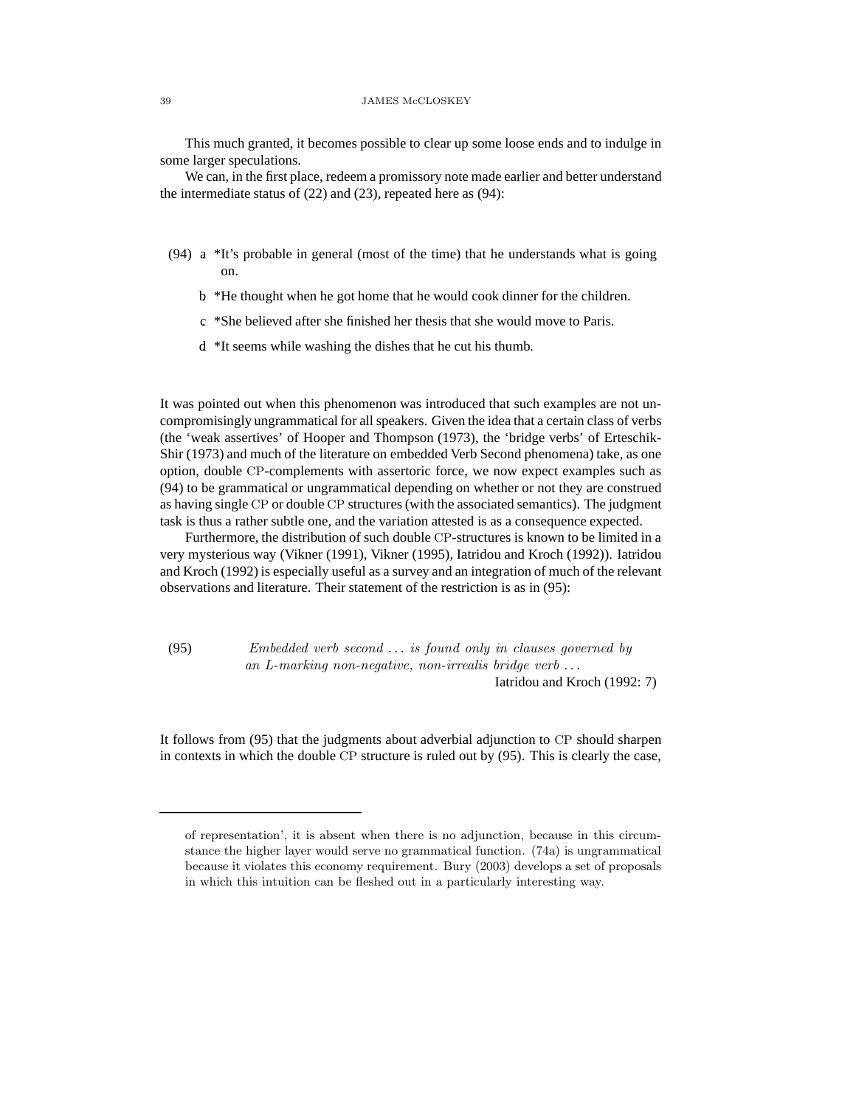This much granted, it becomes possible to clear up some loose ends and to indulge in some larger speculations.

We can, in the first place, redeem a promissory note made earlier and better understand the intermediate status of (22) and (23), repeated here as (94):

- $(94)$  a. \*It's probable in general (most of the time) that he understands what is going on.
	- b. \*He thought when he got home that he would cook dinner for the children.
	- c. \*She believed after she finished her thesis that she would move to Paris.
	- d. \*It seems while washing the dishes that he cut his thumb.

It was pointed out when this phenomenon was introduced that such examples are not uncompromisingly ungrammatical for all speakers. Given the idea that a certain class of verbs (the 'weak assertives' of Hooper and Thompson (1973), the 'bridge verbs' of Erteschik-Shir (1973) and much of the literature on embedded Verb Second phenomena) take, as one option, double CP-complements with assertoric force, we now expect examples such as (94) to be grammatical or ungrammatical depending on whether or not they are construed as having single CP or double CP structures (with the associated semantics). The judgment task is thus a rather subtle one, and the variation attested is as a consequence expected.

Furthermore, the distribution of such double CP-structures is known to be limited in a very mysterious way (Vikner (1991), Vikner (1995), Iatridou and Kroch (1992)). Iatridou and Kroch (1992) is especially useful as a survey and an integration of much of the relevant observations and literature. Their statement of the restriction is as in (95):

(95) Embedded verb second . . . is found only in clauses governed by an L-marking non-negative, non-irrealis bridge verb . . . Iatridou and Kroch (1992: 7)

It follows from (95) that the judgments about adverbial adjunction to CP should sharpen in contexts in which the double CP structure is ruled out by (95). This is clearly the case,

of representation', it is absent when there is no adjunction, because in this circumstance the higher layer would serve no grammatical function. (74a) is ungrammatical because it violates this economy requirement. Bury (2003) develops a set of proposals in which this intuition can be fleshed out in a particularly interesting way.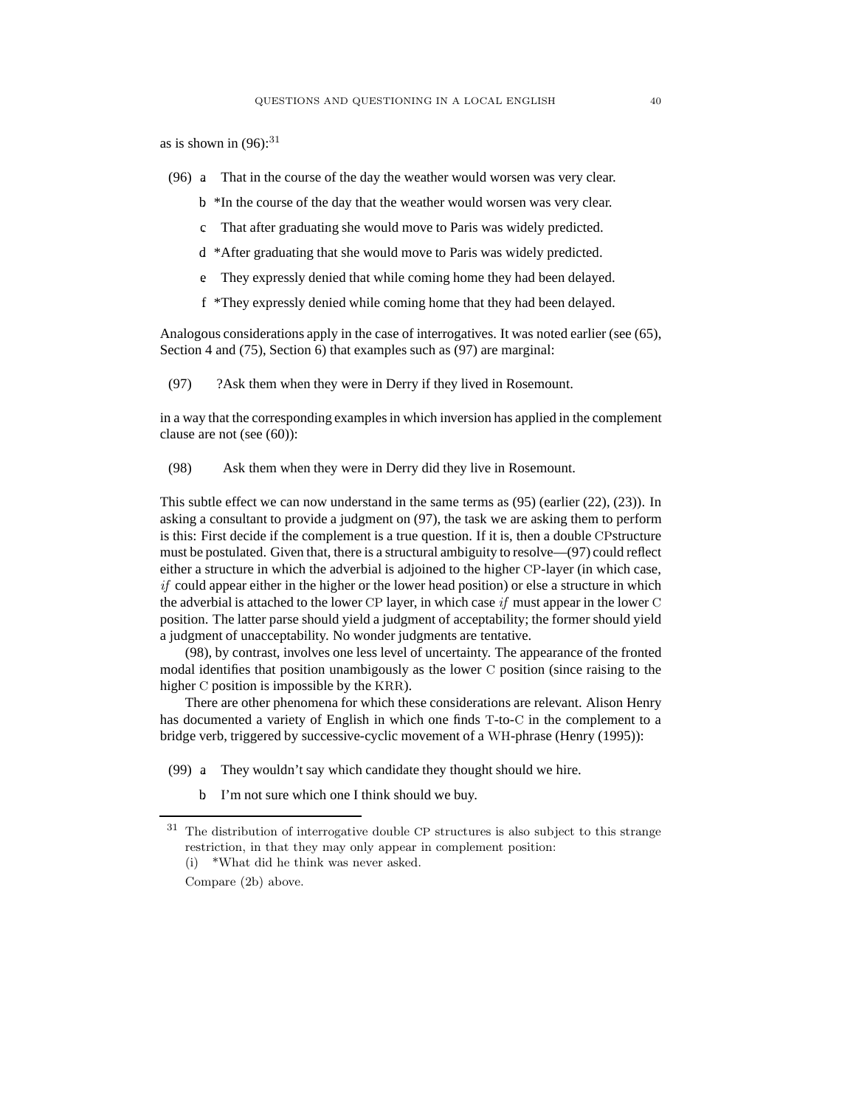as is shown in  $(96):^{31}$ 

- (96) a. That in the course of the day the weather would worsen was very clear.
	- b. \*In the course of the day that the weather would worsen was very clear.
	- c. That after graduating she would move to Paris was widely predicted.
	- d. \*After graduating that she would move to Paris was widely predicted.
	- e. They expressly denied that while coming home they had been delayed.
	- f. \*They expressly denied while coming home that they had been delayed.

Analogous considerations apply in the case of interrogatives. It was noted earlier (see (65), Section 4 and (75), Section 6) that examples such as (97) are marginal:

(97) ?Ask them when they were in Derry if they lived in Rosemount.

in a way that the corresponding examples in which inversion has applied in the complement clause are not (see (60)):

(98) Ask them when they were in Derry did they live in Rosemount.

This subtle effect we can now understand in the same terms as  $(95)$  (earlier  $(22)$ ,  $(23)$ ). In asking a consultant to provide a judgment on (97), the task we are asking them to perform is this: First decide if the complement is a true question. If it is, then a double CPstructure must be postulated. Given that, there is a structural ambiguity to resolve—(97) could reflect either a structure in which the adverbial is adjoined to the higher CP-layer (in which case,  $if$  could appear either in the higher or the lower head position) or else a structure in which the adverbial is attached to the lower CP layer, in which case  $if$  must appear in the lower C position. The latter parse should yield a judgment of acceptability; the former should yield a judgment of unacceptability. No wonder judgments are tentative.

(98), by contrast, involves one less level of uncertainty. The appearance of the fronted modal identifies that position unambigously as the lower C position (since raising to the higher C position is impossible by the KRR).

There are other phenomena for which these considerations are relevant. Alison Henry has documented a variety of English in which one finds T-to-C in the complement to a bridge verb, triggered by successive-cyclic movement of a WH-phrase (Henry (1995)):

- (99) a. They wouldn't say which candidate they thought should we hire.
	- b. I'm not sure which one I think should we buy.

 $31$  The distribution of interrogative double CP structures is also subject to this strange restriction, in that they may only appear in complement position:

<sup>(</sup>i) \*What did he think was never asked.

Compare (2b) above.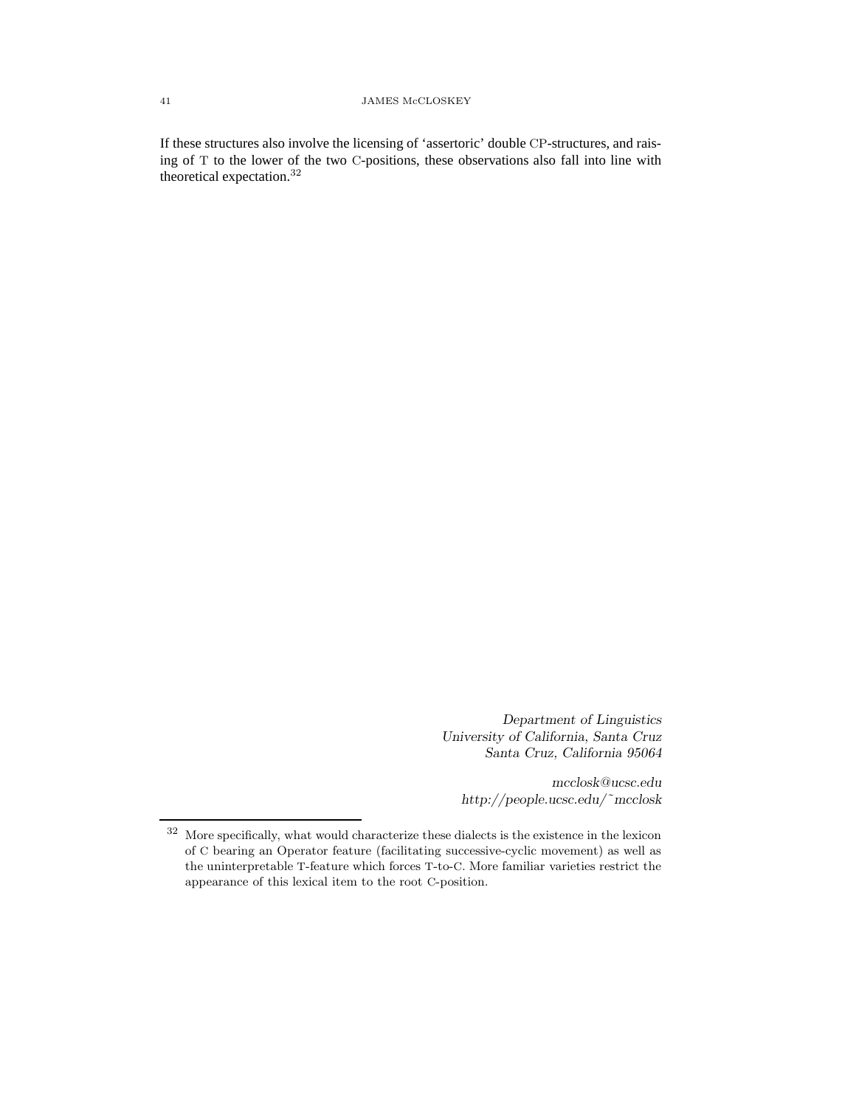If these structures also involve the licensing of 'assertoric' double CP-structures, and raising of T to the lower of the two C-positions, these observations also fall into line with theoretical expectation.<sup>32</sup>

> Department of Linguistics University of California, Santa Cruz Santa Cruz, California 95064

mcclosk@ucsc.edu http://people.ucsc.edu/˜mcclosk

 $32$  More specifically, what would characterize these dialects is the existence in the lexicon of C bearing an Operator feature (facilitating successive-cyclic movement) as well as the uninterpretable T-feature which forces T-to-C. More familiar varieties restrict the appearance of this lexical item to the root C-position.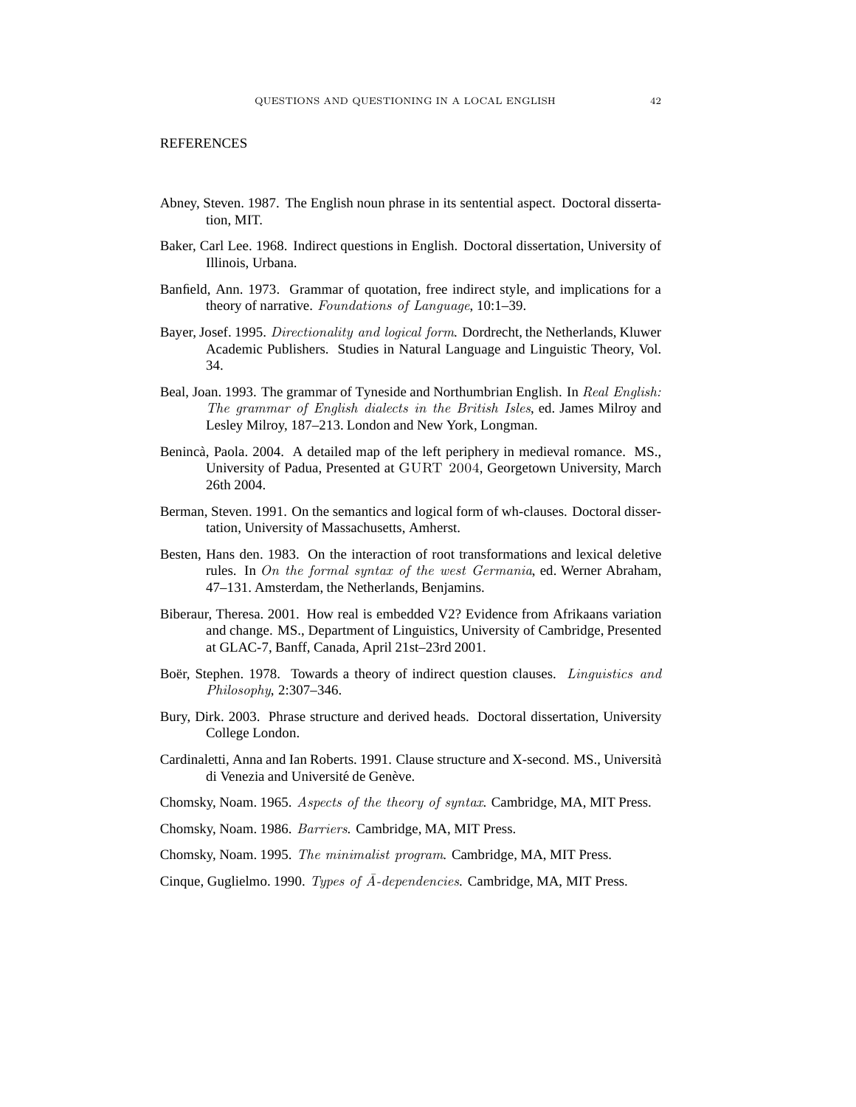#### REFERENCES

- Abney, Steven. 1987. The English noun phrase in its sentential aspect. Doctoral dissertation, MIT.
- Baker, Carl Lee. 1968. Indirect questions in English. Doctoral dissertation, University of Illinois, Urbana.
- Banfield, Ann. 1973. Grammar of quotation, free indirect style, and implications for a theory of narrative. Foundations of Language, 10:1–39.
- Bayer, Josef. 1995. Directionality and logical form. Dordrecht, the Netherlands, Kluwer Academic Publishers. Studies in Natural Language and Linguistic Theory, Vol. 34.
- Beal, Joan. 1993. The grammar of Tyneside and Northumbrian English. In Real English: The grammar of English dialects in the British Isles, ed. James Milroy and Lesley Milroy, 187–213. London and New York, Longman.
- Benincà, Paola. 2004. A detailed map of the left periphery in medieval romance. MS., University of Padua, Presented at GURT 2004, Georgetown University, March 26th 2004.
- Berman, Steven. 1991. On the semantics and logical form of wh-clauses. Doctoral dissertation, University of Massachusetts, Amherst.
- Besten, Hans den. 1983. On the interaction of root transformations and lexical deletive rules. In On the formal syntax of the west Germania, ed. Werner Abraham, 47–131. Amsterdam, the Netherlands, Benjamins.
- Biberaur, Theresa. 2001. How real is embedded V2? Evidence from Afrikaans variation and change. MS., Department of Linguistics, University of Cambridge, Presented at GLAC-7, Banff, Canada, April 21st–23rd 2001.
- Boër, Stephen. 1978. Towards a theory of indirect question clauses. Linguistics and Philosophy, 2:307–346.
- Bury, Dirk. 2003. Phrase structure and derived heads. Doctoral dissertation, University College London.
- Cardinaletti, Anna and Ian Roberts. 1991. Clause structure and X-second. MS., Universit`a di Venezia and Université de Genève.
- Chomsky, Noam. 1965. Aspects of the theory of syntax. Cambridge, MA, MIT Press.
- Chomsky, Noam. 1986. Barriers. Cambridge, MA, MIT Press.
- Chomsky, Noam. 1995. The minimalist program. Cambridge, MA, MIT Press.
- Cinque, Guglielmo. 1990. Types of  $\overline{A}$ -dependencies. Cambridge, MA, MIT Press.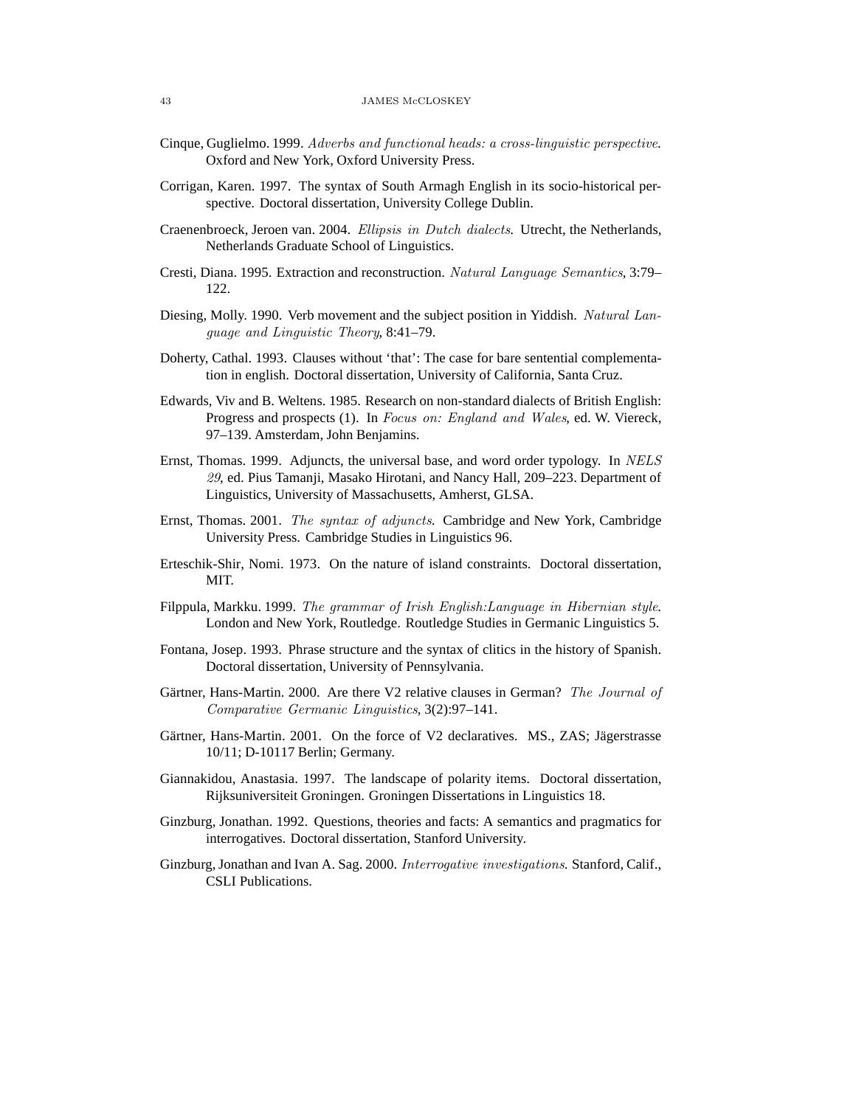- Cinque, Guglielmo. 1999. Adverbs and functional heads: a cross-linguistic perspective. Oxford and New York, Oxford University Press.
- Corrigan, Karen. 1997. The syntax of South Armagh English in its socio-historical perspective. Doctoral dissertation, University College Dublin.
- Craenenbroeck, Jeroen van. 2004. Ellipsis in Dutch dialects. Utrecht, the Netherlands, Netherlands Graduate School of Linguistics.
- Cresti, Diana. 1995. Extraction and reconstruction. Natural Language Semantics, 3:79– 122.
- Diesing, Molly. 1990. Verb movement and the subject position in Yiddish. Natural Language and Linguistic Theory, 8:41–79.
- Doherty, Cathal. 1993. Clauses without 'that': The case for bare sentential complementation in english. Doctoral dissertation, University of California, Santa Cruz.
- Edwards, Viv and B. Weltens. 1985. Research on non-standard dialects of British English: Progress and prospects (1). In Focus on: England and Wales, ed. W. Viereck, 97–139. Amsterdam, John Benjamins.
- Ernst, Thomas. 1999. Adjuncts, the universal base, and word order typology. In NELS 29, ed. Pius Tamanji, Masako Hirotani, and Nancy Hall, 209–223. Department of Linguistics, University of Massachusetts, Amherst, GLSA.
- Ernst, Thomas. 2001. The syntax of adjuncts. Cambridge and New York, Cambridge University Press. Cambridge Studies in Linguistics 96.
- Erteschik-Shir, Nomi. 1973. On the nature of island constraints. Doctoral dissertation, MIT.
- Filppula, Markku. 1999. The grammar of Irish English:Language in Hibernian style. London and New York, Routledge. Routledge Studies in Germanic Linguistics 5.
- Fontana, Josep. 1993. Phrase structure and the syntax of clitics in the history of Spanish. Doctoral dissertation, University of Pennsylvania.
- Gärtner, Hans-Martin. 2000. Are there V2 relative clauses in German? The Journal of Comparative Germanic Linguistics, 3(2):97–141.
- Gärtner, Hans-Martin. 2001. On the force of V2 declaratives. MS., ZAS; Jägerstrasse 10/11; D-10117 Berlin; Germany.
- Giannakidou, Anastasia. 1997. The landscape of polarity items. Doctoral dissertation, Rijksuniversiteit Groningen. Groningen Dissertations in Linguistics 18.
- Ginzburg, Jonathan. 1992. Questions, theories and facts: A semantics and pragmatics for interrogatives. Doctoral dissertation, Stanford University.
- Ginzburg, Jonathan and Ivan A. Sag. 2000. Interrogative investigations. Stanford, Calif., CSLI Publications.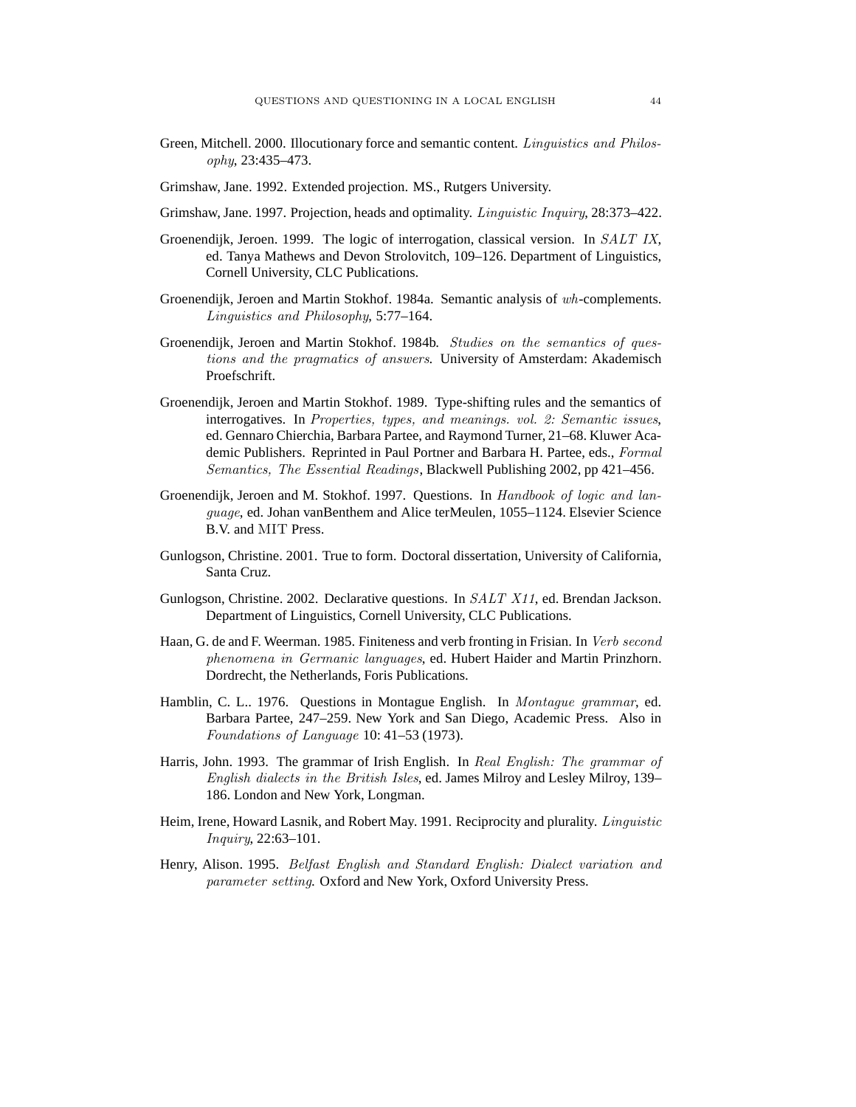- Green, Mitchell. 2000. Illocutionary force and semantic content. Linguistics and Philosophy, 23:435–473.
- Grimshaw, Jane. 1992. Extended projection. MS., Rutgers University.
- Grimshaw, Jane. 1997. Projection, heads and optimality. Linguistic Inquiry, 28:373–422.
- Groenendijk, Jeroen. 1999. The logic of interrogation, classical version. In SALT IX, ed. Tanya Mathews and Devon Strolovitch, 109–126. Department of Linguistics, Cornell University, CLC Publications.
- Groenendijk, Jeroen and Martin Stokhof. 1984a. Semantic analysis of wh-complements. Linguistics and Philosophy, 5:77–164.
- Groenendijk, Jeroen and Martin Stokhof. 1984b. Studies on the semantics of questions and the pragmatics of answers. University of Amsterdam: Akademisch Proefschrift.
- Groenendijk, Jeroen and Martin Stokhof. 1989. Type-shifting rules and the semantics of interrogatives. In Properties, types, and meanings. vol. 2: Semantic issues, ed. Gennaro Chierchia, Barbara Partee, and Raymond Turner, 21–68. Kluwer Academic Publishers. Reprinted in Paul Portner and Barbara H. Partee, eds., Formal Semantics, The Essential Readings, Blackwell Publishing 2002, pp 421–456.
- Groenendijk, Jeroen and M. Stokhof. 1997. Questions. In Handbook of logic and language, ed. Johan vanBenthem and Alice terMeulen, 1055–1124. Elsevier Science B.V. and MIT Press.
- Gunlogson, Christine. 2001. True to form. Doctoral dissertation, University of California, Santa Cruz.
- Gunlogson, Christine. 2002. Declarative questions. In SALT X11, ed. Brendan Jackson. Department of Linguistics, Cornell University, CLC Publications.
- Haan, G. de and F. Weerman. 1985. Finiteness and verb fronting in Frisian. In Verb second phenomena in Germanic languages, ed. Hubert Haider and Martin Prinzhorn. Dordrecht, the Netherlands, Foris Publications.
- Hamblin, C. L.. 1976. Questions in Montague English. In Montague grammar, ed. Barbara Partee, 247–259. New York and San Diego, Academic Press. Also in Foundations of Language 10: 41–53 (1973).
- Harris, John. 1993. The grammar of Irish English. In Real English: The grammar of English dialects in the British Isles, ed. James Milroy and Lesley Milroy, 139– 186. London and New York, Longman.
- Heim, Irene, Howard Lasnik, and Robert May. 1991. Reciprocity and plurality. Linguistic Inquiry, 22:63–101.
- Henry, Alison. 1995. Belfast English and Standard English: Dialect variation and parameter setting. Oxford and New York, Oxford University Press.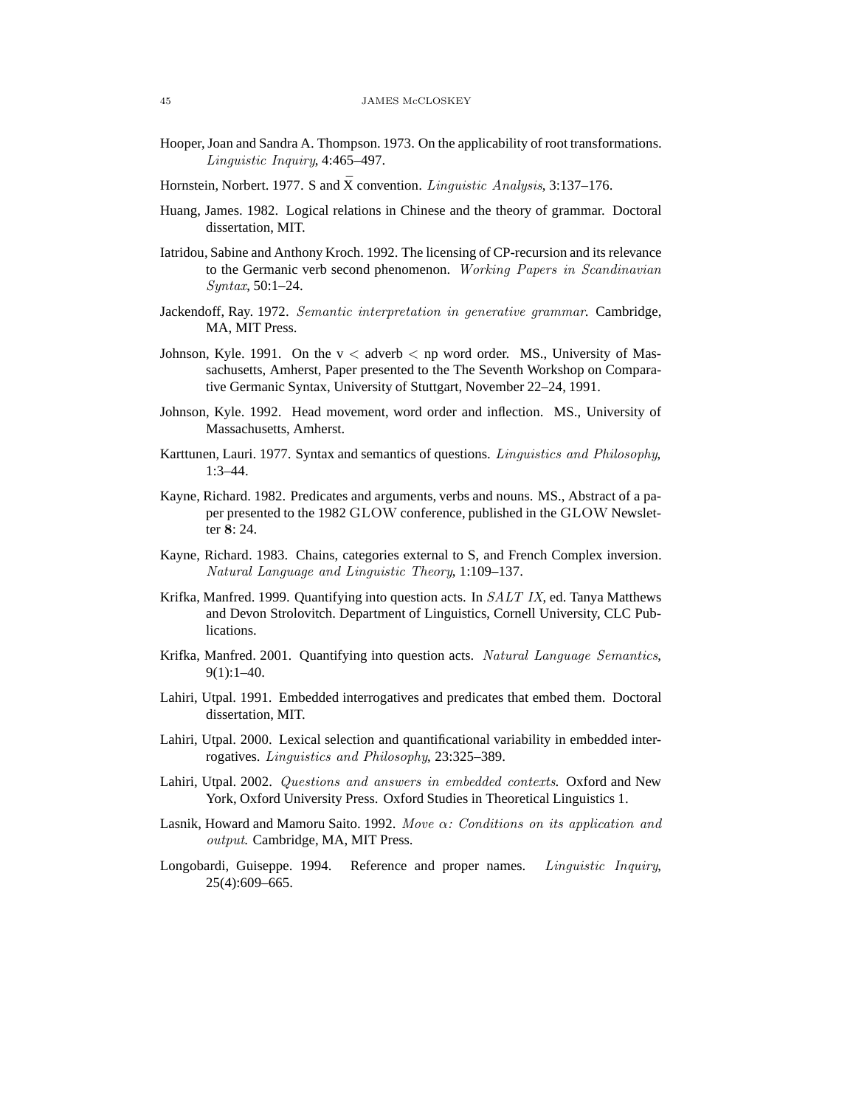- Hooper, Joan and Sandra A. Thompson. 1973. On the applicability of root transformations. Linguistic Inquiry, 4:465–497.
- Hornstein, Norbert. 1977. S and  $\bar{X}$  convention. *Linguistic Analysis*, 3:137–176.
- Huang, James. 1982. Logical relations in Chinese and the theory of grammar. Doctoral dissertation, MIT.
- Iatridou, Sabine and Anthony Kroch. 1992. The licensing of CP-recursion and its relevance to the Germanic verb second phenomenon. Working Papers in Scandinavian Syntax, 50:1–24.
- Jackendoff, Ray. 1972. Semantic interpretation in generative grammar. Cambridge, MA, MIT Press.
- Johnson, Kyle. 1991. On the  $v <$  adverb  $<$  np word order. MS., University of Massachusetts, Amherst, Paper presented to the The Seventh Workshop on Comparative Germanic Syntax, University of Stuttgart, November 22–24, 1991.
- Johnson, Kyle. 1992. Head movement, word order and inflection. MS., University of Massachusetts, Amherst.
- Karttunen, Lauri. 1977. Syntax and semantics of questions. Linguistics and Philosophy, 1:3–44.
- Kayne, Richard. 1982. Predicates and arguments, verbs and nouns. MS., Abstract of a paper presented to the 1982 GLOW conference, published in the GLOW Newsletter 8: 24.
- Kayne, Richard. 1983. Chains, categories external to S, and French Complex inversion. Natural Language and Linguistic Theory, 1:109–137.
- Krifka, Manfred. 1999. Quantifying into question acts. In SALT IX, ed. Tanya Matthews and Devon Strolovitch. Department of Linguistics, Cornell University, CLC Publications.
- Krifka, Manfred. 2001. Quantifying into question acts. Natural Language Semantics,  $9(1):1-40.$
- Lahiri, Utpal. 1991. Embedded interrogatives and predicates that embed them. Doctoral dissertation, MIT.
- Lahiri, Utpal. 2000. Lexical selection and quantificational variability in embedded interrogatives. Linguistics and Philosophy, 23:325–389.
- Lahiri, Utpal. 2002. Questions and answers in embedded contexts. Oxford and New York, Oxford University Press. Oxford Studies in Theoretical Linguistics 1.
- Lasnik, Howard and Mamoru Saito. 1992. Move  $\alpha$ : Conditions on its application and output. Cambridge, MA, MIT Press.
- Longobardi, Guiseppe. 1994. Reference and proper names. *Linguistic Inquiry*, 25(4):609–665.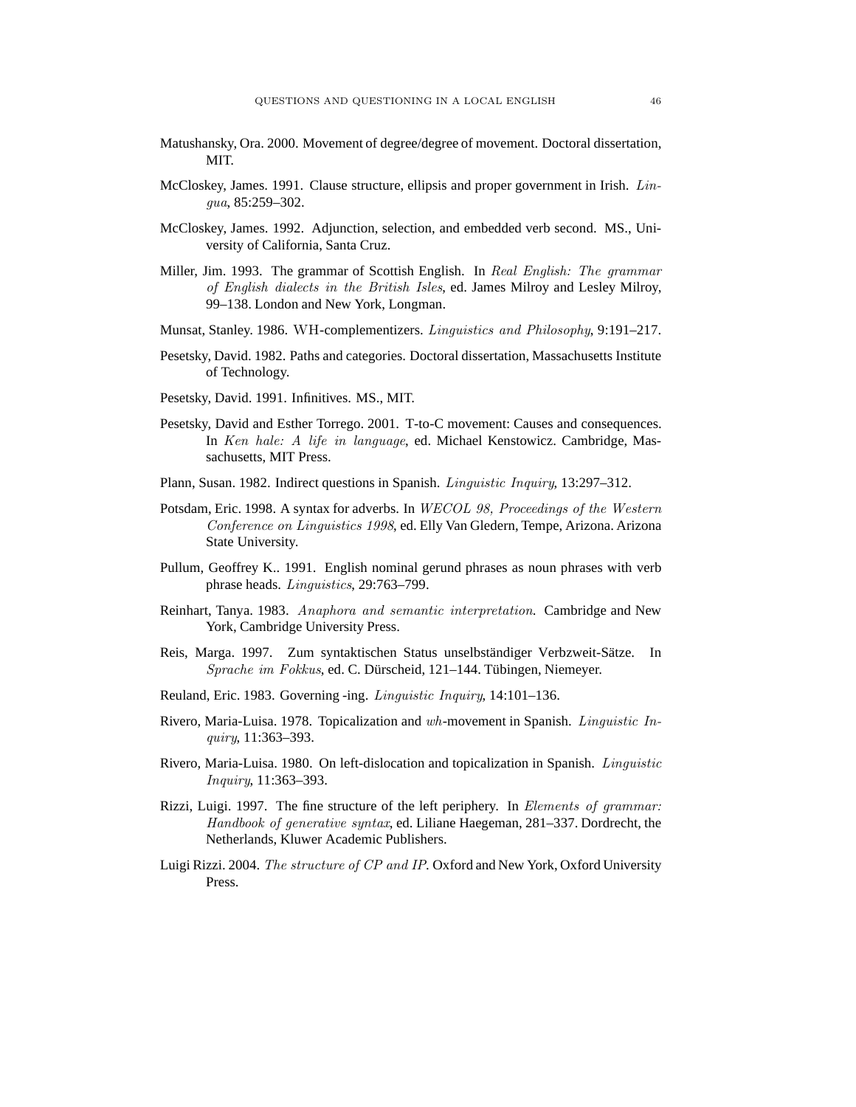- Matushansky, Ora. 2000. Movement of degree/degree of movement. Doctoral dissertation, MIT.
- McCloskey, James. 1991. Clause structure, ellipsis and proper government in Irish. Lingua, 85:259–302.
- McCloskey, James. 1992. Adjunction, selection, and embedded verb second. MS., University of California, Santa Cruz.
- Miller, Jim. 1993. The grammar of Scottish English. In Real English: The grammar of English dialects in the British Isles, ed. James Milroy and Lesley Milroy, 99–138. London and New York, Longman.
- Munsat, Stanley. 1986. WH-complementizers. Linguistics and Philosophy, 9:191–217.
- Pesetsky, David. 1982. Paths and categories. Doctoral dissertation, Massachusetts Institute of Technology.
- Pesetsky, David. 1991. Infinitives. MS., MIT.
- Pesetsky, David and Esther Torrego. 2001. T-to-C movement: Causes and consequences. In Ken hale: A life in language, ed. Michael Kenstowicz. Cambridge, Massachusetts, MIT Press.
- Plann, Susan. 1982. Indirect questions in Spanish. Linguistic Inquiry, 13:297–312.
- Potsdam, Eric. 1998. A syntax for adverbs. In WECOL 98, Proceedings of the Western Conference on Linguistics 1998, ed. Elly Van Gledern, Tempe, Arizona. Arizona State University.
- Pullum, Geoffrey K.. 1991. English nominal gerund phrases as noun phrases with verb phrase heads. Linguistics, 29:763–799.
- Reinhart, Tanya. 1983. Anaphora and semantic interpretation. Cambridge and New York, Cambridge University Press.
- Reis, Marga. 1997. Zum syntaktischen Status unselbständiger Verbzweit-Sätze. In Sprache im Fokkus, ed. C. Dürscheid, 121-144. Tübingen, Niemeyer.
- Reuland, Eric. 1983. Governing -ing. Linguistic Inquiry, 14:101–136.
- Rivero, Maria-Luisa. 1978. Topicalization and wh-movement in Spanish. Linguistic Inquiry, 11:363–393.
- Rivero, Maria-Luisa. 1980. On left-dislocation and topicalization in Spanish. Linguistic Inquiry, 11:363–393.
- Rizzi, Luigi. 1997. The fine structure of the left periphery. In Elements of grammar: Handbook of generative syntax, ed. Liliane Haegeman, 281–337. Dordrecht, the Netherlands, Kluwer Academic Publishers.
- Luigi Rizzi. 2004. The structure of CP and IP. Oxford and New York, Oxford University Press.